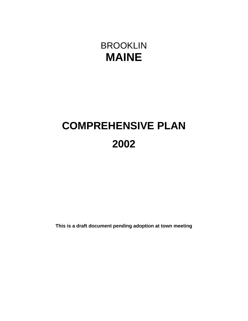# BROOKLIN **MAINE**

# **COMPREHENSIVE PLAN 2002**

**This is a draft document pending adoption at town meeting**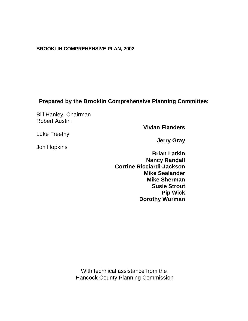#### **BROOKLIN COMPREHENSIVE PLAN, 2002**

# **Prepared by the Brooklin Comprehensive Planning Committee:**

Bill Hanley, Chairman Robert Austin

**Vivian Flanders**

Luke Freethy

Jon Hopkins

**Jerry Gray**

**Brian Larkin Nancy Randall Corrine Ricciardi-Jackson Mike Sealander Mike Sherman Susie Strout Pip Wick Dorothy Wurman**

With technical assistance from the Hancock County Planning Commission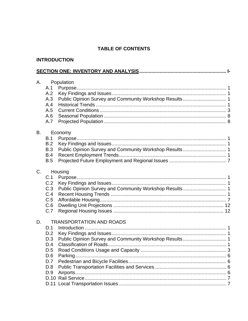## **TABLE OF CONTENTS**

#### **INTRODUCTION**

| A.        | A.1<br>A.2<br>A.3<br>A.4<br>A.5<br>A.6<br>A.7               | Population<br>Public Opinion Survey and Community Workshop Results 1                      |  |
|-----------|-------------------------------------------------------------|-------------------------------------------------------------------------------------------|--|
| <b>B.</b> | B.1<br>B.2<br>B.3<br>B.4<br>B.5                             | Economy<br>Public Opinion Survey and Community Workshop Results 1                         |  |
| $C_{1}$   | C.1<br>C.2<br>C.3<br>C.4<br>C.5<br>C.6<br>C.7               | Housing<br>Public Opinion Survey and Community Workshop Results 1                         |  |
| D.        | D.1<br>D.2<br>D.3<br>D.4<br>D.5<br>D.6<br>D.7<br>D.8<br>D.9 | <b>TRANSPORTATION AND ROADS</b><br>Public Opinion Survey and Community Workshop Results 1 |  |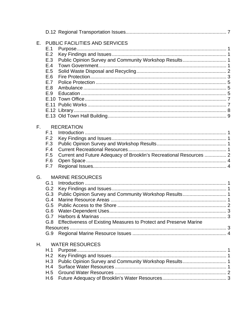| Е.           |     | <b>PUBLIC FACILITIES AND SERVICES</b>                               |
|--------------|-----|---------------------------------------------------------------------|
|              | E.1 |                                                                     |
|              | E.2 |                                                                     |
|              | E.3 | Public Opinion Survey and Community Workshop Results 1              |
|              | E.4 |                                                                     |
|              | E.5 |                                                                     |
|              | E.6 |                                                                     |
|              | E.7 |                                                                     |
|              | E.8 |                                                                     |
|              | E.9 |                                                                     |
|              |     |                                                                     |
|              |     |                                                                     |
|              |     |                                                                     |
|              |     |                                                                     |
|              |     |                                                                     |
| $F_{\rm{H}}$ |     | <b>RECREATION</b>                                                   |
|              | F.1 |                                                                     |
|              | F.2 |                                                                     |
|              | F.3 |                                                                     |
|              | F.4 |                                                                     |
|              | F.5 | Current and Future Adequacy of Brooklin's Recreational Resources  2 |
|              | F.6 |                                                                     |
|              | F.7 |                                                                     |
|              |     |                                                                     |
| G.           |     | <b>MARINE RESOURCES</b>                                             |
|              | G.1 |                                                                     |
|              | G.2 |                                                                     |
|              | G.3 | Public Opinion Survey and Community Workshop Results 1              |
|              | G.4 |                                                                     |
|              | G.5 |                                                                     |
|              | G.6 |                                                                     |
|              | G.7 |                                                                     |
|              | G.8 | Effectiveness of Existing Measures to Protect and Preserve Marine   |
|              |     |                                                                     |
|              | G.9 |                                                                     |
|              |     |                                                                     |
| Η.           |     | <b>WATER RESOURCES</b>                                              |
|              | H.1 |                                                                     |
|              | H.2 |                                                                     |
|              | H.3 | Public Opinion Survey and Community Workshop Results 1              |
|              | H.4 |                                                                     |
|              | H.5 |                                                                     |
|              | H.6 |                                                                     |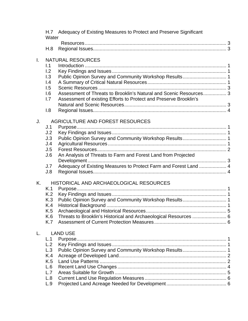|              | Water            | H.7 Adequacy of Existing Measures to Protect and Preserve Significant |  |
|--------------|------------------|-----------------------------------------------------------------------|--|
|              |                  |                                                                       |  |
|              | H.8              |                                                                       |  |
| $\mathbf{L}$ |                  | <b>NATURAL RESOURCES</b>                                              |  |
|              | 1.1              |                                                                       |  |
|              | 1.2              |                                                                       |  |
|              | 1.3              | Public Opinion Survey and Community Workshop Results 1                |  |
|              | $\overline{1.4}$ |                                                                       |  |
|              | 1.5              |                                                                       |  |
|              | 1.6              | Assessment of Threats to Brooklin's Natural and Scenic Resources 3    |  |
|              | 1.7              | Assessment of existing Efforts to Protect and Preserve Brooklin's     |  |
|              |                  |                                                                       |  |
|              | 1.8              |                                                                       |  |
| J.           |                  | AGRICULTURE AND FOREST RESOURCES                                      |  |
|              | J.1              |                                                                       |  |
|              | J.2              |                                                                       |  |
|              | J.3              | Public Opinion Survey and Community Workshop Results 1                |  |
|              | J.4              |                                                                       |  |
|              | J.5              |                                                                       |  |
|              | J.6              | An Analysis of Threats to Farm and Forest Land from Projected         |  |
|              |                  |                                                                       |  |
|              | J.7              | Adequacy of Existing Measures to Protect Farm and Forest Land  4      |  |
|              | J.8              |                                                                       |  |
| Κ.           |                  | HISTORICAL AND ARCHAEOLOGICAL RESOURCES                               |  |
|              | K.1              |                                                                       |  |
|              | K.2              |                                                                       |  |
|              | K.3              |                                                                       |  |
|              | K.4              |                                                                       |  |
|              | K.5              |                                                                       |  |
|              | K.6              | Threats to Brooklin's Historical and Archaeological Resources  6      |  |
|              | K.7              |                                                                       |  |
|              |                  | <b>LAND USE</b>                                                       |  |
|              | L.1              |                                                                       |  |
|              | L.2              |                                                                       |  |
|              | L.3              | Public Opinion Survey and Community Workshop Results 1                |  |
|              | K.4              |                                                                       |  |
|              | K.5              |                                                                       |  |
|              | L.6              |                                                                       |  |
|              | L.7              |                                                                       |  |
|              | L.8              |                                                                       |  |
|              | L.9              |                                                                       |  |
|              |                  |                                                                       |  |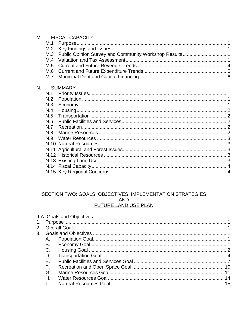|     | <b>FISCAL CAPACITY</b> |                |  |  |  |  |
|-----|------------------------|----------------|--|--|--|--|
| M.1 |                        |                |  |  |  |  |
| M.2 |                        |                |  |  |  |  |
| M.3 |                        |                |  |  |  |  |
| M.4 |                        |                |  |  |  |  |
| M.5 |                        |                |  |  |  |  |
| M.6 |                        |                |  |  |  |  |
| M.7 |                        |                |  |  |  |  |
|     |                        |                |  |  |  |  |
| N.1 |                        |                |  |  |  |  |
| N.2 |                        |                |  |  |  |  |
| N.3 |                        |                |  |  |  |  |
| N.4 |                        |                |  |  |  |  |
| N.5 |                        |                |  |  |  |  |
| N.6 |                        |                |  |  |  |  |
| N.7 |                        |                |  |  |  |  |
| N.8 |                        |                |  |  |  |  |
| N.9 |                        |                |  |  |  |  |
|     |                        |                |  |  |  |  |
|     |                        |                |  |  |  |  |
|     |                        |                |  |  |  |  |
|     |                        |                |  |  |  |  |
|     |                        |                |  |  |  |  |
|     |                        |                |  |  |  |  |
|     |                        | <b>SUMMARY</b> |  |  |  |  |

#### SECTION TWO: GOALS, OBJECTIVES, IMPLEMENTATION STRATEGIES AND **FUTURE LAND USE PLAN**

|    | II-A. Goals and Objectives |  |
|----|----------------------------|--|
|    |                            |  |
|    |                            |  |
|    |                            |  |
| А. |                            |  |
| В. |                            |  |
| C. |                            |  |
| D. |                            |  |
| F  |                            |  |
|    |                            |  |
| G. |                            |  |
| H. |                            |  |
|    |                            |  |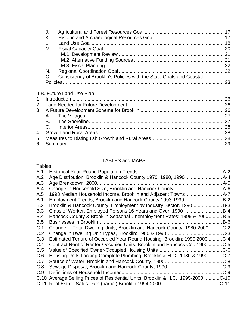| J.   |                                                                     |  |
|------|---------------------------------------------------------------------|--|
| - K. |                                                                     |  |
| L.   |                                                                     |  |
| М.   |                                                                     |  |
|      |                                                                     |  |
|      |                                                                     |  |
|      |                                                                     |  |
| N.   |                                                                     |  |
|      | Consistency of Brooklin's Policies with the State Goals and Coastal |  |
|      |                                                                     |  |

# II-B. Future Land Use Plan

# TABLES and MAPS

| Tables:    |                                                                             |            |
|------------|-----------------------------------------------------------------------------|------------|
| A.1        |                                                                             | $A-2$      |
| A.2        |                                                                             |            |
| A.3        |                                                                             | $A-5$      |
| A.4        | Change in Household Size, Brooklin and Hancock County                       | .A-6       |
| A.5        |                                                                             |            |
| B.1        | Employment Trends, Brooklin and Hancock County 1993-1999                    | $B-2$      |
| B.2        | Brooklin & Hancock County: Employment by Industry Sector, 1990              | <b>B-3</b> |
| <b>B.3</b> |                                                                             | $B-4$      |
| <b>B.4</b> | Hancock County & Brooklin Seasonal Unemployment Rates: 1999 & 2000          | $B-5$      |
| <b>B.5</b> |                                                                             | $B-6$      |
| C.1        | Change in Total Dwelling Units, Brooklin and Hancock County: 1980-2000      | $C-2$      |
| C.2        |                                                                             | $C-3$      |
| C.3        | Estimated Tenure of Occupied Year-Round Housing, Brooklin: 1990,2000        | $C-4$      |
| C.4        | Contract Rent of Renter-Occupied Units, Brooklin and Hancock Co.: 1990      | $C-5$      |
| C.5        | Value of Specified Owner-Occupied Housing Units                             | $C-6$      |
| C.6        | Housing Units Lacking Complete Plumbing, Brooklin & H.C.: 1980 & 1990 C-7   |            |
| C.7        |                                                                             | $C-8$      |
| C.8        |                                                                             | $$ C-9     |
| C.9        | Definitions of Household Incomes                                            | $C-9$      |
| C.10       | Average Selling Prices of Residential Units, Brooklin & H.C., 1995-2000C-10 |            |
|            | C.11 Real Estate Sales Data (partial) Brooklin 1994-2000                    | .C-11      |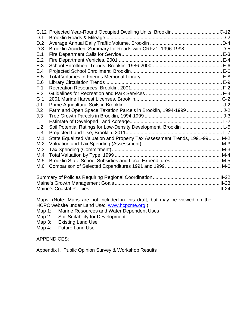|     | C.12 Projected Year-Round Occupied Dwelling Units, BrooklinC-12           |  |
|-----|---------------------------------------------------------------------------|--|
| D.1 |                                                                           |  |
| D.2 |                                                                           |  |
| D.3 | Brooklin Accident Summary for Roads with CRF>1, 1996-1998D-5              |  |
| E.1 |                                                                           |  |
| E.2 |                                                                           |  |
| E.3 |                                                                           |  |
| E.4 |                                                                           |  |
| E.5 |                                                                           |  |
| E.6 |                                                                           |  |
| F.1 |                                                                           |  |
| F.2 |                                                                           |  |
| G.1 |                                                                           |  |
| J.1 |                                                                           |  |
| J.2 | Farm and Open Space Taxation Parcels in Brooklin, 1994-1999  J-2          |  |
| J.3 |                                                                           |  |
| L.1 |                                                                           |  |
| L.2 | Soil Potential Ratings for Low-Density Development, Brooklin  L-5         |  |
| L.3 |                                                                           |  |
| M.1 | State Equalized Valuation and Property Tax Assessment Trends, 1991-99 M-2 |  |
| M.2 |                                                                           |  |
| M.3 |                                                                           |  |
| M.4 |                                                                           |  |
| M.5 |                                                                           |  |
| M.6 |                                                                           |  |
|     |                                                                           |  |

Maps: (Note: Maps are not included in this draft, but may be viewed on the HCPC website under Land Use: www.hcpcme.org )

- Map 1: Marine Resources and Water Dependent Uses
- Map 2: Soil Suitability for Development
- Map 3: Existing Land Use<br>Map 4: Future Land Use
- Future Land Use

#### APPENDICES:

Appendix I, Public Opinion Survey & Workshop Results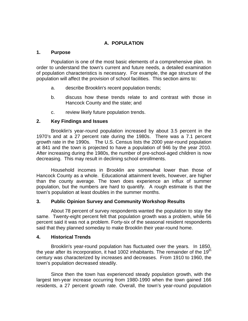#### **A. POPULATION**

#### **1. Purpose**

Population is one of the most basic elements of a comprehensive plan. In order to understand the town's current and future needs, a detailed examination of population characteristics is necessary. For example, the age structure of the population will affect the provision of school facilities. This section aims to:

- a. describe Brooklin's recent population trends;
- b. discuss how these trends relate to and contrast with those in Hancock County and the state; and
- c. review likely future population trends.

#### **2. Key Findings and Issues**

Brooklin's year-round population increased by about 3.5 percent in the 1970's and at a 27 percent rate during the 1980s. There was a 7.1 percent growth rate in the 1990s. The U.S. Census lists the 2000 year-round population at 841 and the town is projected to have a population of 946 by the year 2010. After increasing during the 1980s, the number of pre-school-aged children is now decreasing. This may result in declining school enrollments.

Household incomes in Brooklin are somewhat lower than those of Hancock County as a whole. Educational attainment levels, however, are higher than the county average. The town does experience an influx of summer population, but the numbers are hard to quantify. A rough estimate is that the town's population at least doubles in the summer months.

#### **3. Public Opinion Survey and Community Workshop Results**

About 78 percent of survey respondents wanted the population to stay the same. Twenty-eight percent felt that population growth was a problem, while 56 percent said it was not a problem. Forty-six of the seasonal resident respondents said that they planned someday to make Brooklin their year-round home.

#### **4. Historical Trends**

Brooklin's year-round population has fluctuated over the years. In 1850, the year after its incorporation, it had 1002 inhabitants. The remainder of the 19<sup>th</sup> century was characterized by increases and decreases. From 1910 to 1960, the town's population decreased steadily.

Since then the town has experienced steady population growth, with the largest ten-year increase occurring from 1980-1990 when the town gained 166 residents, a 27 percent growth rate. Overall, the town's year-round population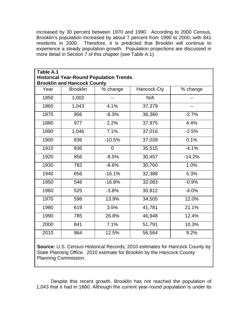increased by 30 percent between 1970 and 1990. According to 2000 Census, Brooklin's population increased by about 7 percent from 1990 to 2000, with 841 residents in 2000. Therefore, it is predicted that Brooklin will continue to experience a steady population growth. Population projections are discussed in more detail in Section 7 of this chapter (see Table A.1).

| Table A.1                                                                                            |       |                |        |          |  |  |  |  |  |
|------------------------------------------------------------------------------------------------------|-------|----------------|--------|----------|--|--|--|--|--|
| <b>Historical Year-Round Population Trends</b>                                                       |       |                |        |          |  |  |  |  |  |
| <b>Brooklin and Hancock County</b><br>Hancock Cty<br><b>Brooklin</b><br>% change<br>Year<br>% change |       |                |        |          |  |  |  |  |  |
|                                                                                                      |       |                |        |          |  |  |  |  |  |
| 1850                                                                                                 | 1,002 |                | N/A    |          |  |  |  |  |  |
| 1860                                                                                                 | 1,043 | 4.1%           | 37,379 |          |  |  |  |  |  |
| 1870                                                                                                 | 956   | $-8.3%$        | 36,360 | $-2.7%$  |  |  |  |  |  |
| 1880                                                                                                 | 977   | 2.2%           | 37,975 | 4.4%     |  |  |  |  |  |
| 1890                                                                                                 | 1,046 | 7.1%           | 37,016 | $-2.5%$  |  |  |  |  |  |
| 1900                                                                                                 | 936   | $-10.5%$       | 37,039 | 0.1%     |  |  |  |  |  |
| 1910                                                                                                 | 936   | $\overline{0}$ | 35,515 | $-4.1%$  |  |  |  |  |  |
| 1920                                                                                                 | 856   | $-8.5%$        | 30,457 | $-14.2%$ |  |  |  |  |  |
| 1930                                                                                                 | 782   | $-8.6%$        | 30,760 | 1.0%     |  |  |  |  |  |
| 1940                                                                                                 | 656   | $-16.1%$       | 32,388 | 5.3%     |  |  |  |  |  |
| 1950                                                                                                 | 546   | $-16.8%$       | 32,083 | $-0.9%$  |  |  |  |  |  |
| 1960                                                                                                 | 525   | $-3.8%$        | 30,812 | $-4.0%$  |  |  |  |  |  |
| 1970                                                                                                 | 598   | 13.9%          | 34,505 | 12.0%    |  |  |  |  |  |
| 1980                                                                                                 | 619   | 3.5%           | 41,781 | 21.1%    |  |  |  |  |  |
| 1990                                                                                                 | 785   | 26.8%          | 46,948 | 12.4%    |  |  |  |  |  |
| 2000                                                                                                 | 841   | 7.1%           | 51,791 | 10.3%    |  |  |  |  |  |
| 2010                                                                                                 | 964   | 12.5%          | 56,564 | 9.2%     |  |  |  |  |  |

**Source:** U.S. Census Historical Records; 2010 estimates for Hancock County by State Planning Office. 2010 estimate for Brooklin by the Hancock County Planning Commission.

.

Despite this recent growth, Brooklin has not reached the population of 1,043 that it had in 1860. Although the current year-round population is under its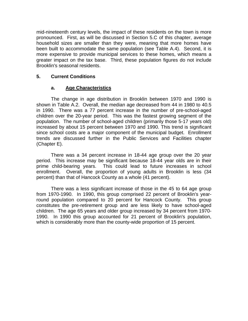mid-nineteenth century levels, the impact of these residents on the town is more pronounced. First, as will be discussed in Section 5.C of this chapter, average household sizes are smaller than they were, meaning that more homes have been built to accommodate the same population (see Table A.4). Second, it is more expensive to provide municipal services to these homes, which means a greater impact on the tax base. Third, these population figures do not include Brooklin's seasonal residents.

#### **5. Current Conditions**

#### **a. Age Characteristics**

The change in age distribution in Brooklin between 1970 and 1990 is shown in Table A.2. Overall, the median age decreased from 44 in 1980 to 40.5 in 1990. There was a 77 percent increase in the number of pre-school-aged children over the 20-year period. This was the fastest growing segment of the population. The number of school-aged children (primarily those 5-17 years old) increased by about 15 percent between 1970 and 1990. This trend is significant since school costs are a major component of the municipal budget. Enrollment trends are discussed further in the Public Services and Facilities chapter (Chapter E).

There was a 34 percent increase in 18-44 age group over the 20 year period. This increase may be significant because 18-44 year olds are in their prime child-bearing years. This could lead to future increases in school enrollment. Overall, the proportion of young adults in Brooklin is less (34 percent) than that of Hancock County as a whole (41 percent).

There was a less significant increase of those in the 45 to 64 age group from 1970-1990. In 1990, this group comprised 22 percent of Brooklin's yearround population compared to 20 percent for Hancock County. This group constitutes the pre-retirement group and are less likely to have school-aged children. The age 65 years and older group increased by 34 percent from 1970- 1990. In 1990 this group accounted for 21 percent of Brooklin's population, which is considerably more than the county-wide proportion of 15 percent.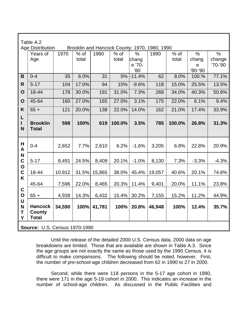|                  | Table A.2                                                                |        |       |        |        |               |        |        |                        |               |
|------------------|--------------------------------------------------------------------------|--------|-------|--------|--------|---------------|--------|--------|------------------------|---------------|
|                  | <b>Age Distribution</b><br>Brooklin and Hancock County: 1970, 1980, 1990 |        |       |        |        |               |        |        |                        |               |
|                  | Years of                                                                 | 1970   | % of  | 1980   | $%$ of | $\frac{0}{0}$ | 1990   | $%$ of | $\frac{0}{0}$          | $\frac{0}{0}$ |
|                  | Age                                                                      |        | total |        | total  | chang         |        | total  | chang                  | change        |
|                  |                                                                          |        |       |        |        | e '70-<br>'80 |        |        | $\mathbf e$<br>'80-'90 | '70-'90       |
| B                | $0 - 4$                                                                  | 35     | 6.0%  | 31     | 5%     | $-11.4%$      | 62     | 8.0%   | 100.%                  | 77.1%         |
|                  |                                                                          |        |       |        |        |               |        |        |                        |               |
| R                | $5 - 17$                                                                 | 104    | 17.0% | 94     | 15%    | $-9.6%$       | 118    | 15.0%  | 25.5%                  | 13.5%         |
| $\mathbf O$      | 18-44                                                                    | 178    | 30.0% | 191    | 31.0%  | 7.3%          | 268    | 34.0%  | 40.3%                  | 50.6%         |
| $\mathbf O$      | 45-64                                                                    | 160    | 27.0% | 165    | 27.0%  | 3.1%          | 175    | 22.0%  | 6.1%                   | 9.4%          |
| K                | $65 +$                                                                   | 121    | 20.0% | 138    | 22.0%  | 14.0%         | 162    | 21.0%  | 17.4%                  | 33.9%         |
| L<br>L           | <b>Brooklin</b>                                                          | 598    | 100%  | 619    | 100.0% | 3.5%          | 785    | 100.0% | 26.8%                  | 31.3%         |
| N                | <b>Total</b>                                                             |        |       |        |        |               |        |        |                        |               |
| Н<br>A           | $0 - 4$                                                                  | 2,652  | 7.7%  | 2,610  | 6.2%   | $-1.6%$       | 3,205  | 6.8%   | 22.8%                  | 20.9%         |
| N<br>$\mathbf C$ | $5 - 17$                                                                 | 8,491  | 24.5% | 8,409  | 20.1%  | $-1.0%$       | 8,130  | 7.3%   | $-3.3%$                | $-4.3%$       |
| $\mathbf O$<br>C | 18-44                                                                    | 10,912 | 31.5% | 15,865 | 38.0%  | 45.4%         | 19,057 | 40.6%  | 20.1%                  | 74.6%         |
| K                | 45-64                                                                    | 7,596  | 22.0% | 8,465  | 20.3%  | 11.4%         | 9,401  | 20.0%  | 11.1%                  | 23.8%         |
| $\mathbf C$<br>O | $65 +$                                                                   | 4,939  | 14.3% | 6,432  | 15.4%  | 30.2%         | 7,155  | 15.2%  | 11.2%                  | 44.9%         |
| U<br>N<br>Τ<br>Y | <b>Hancock</b><br><b>County</b><br><b>Total</b>                          | 34,590 | 100%  | 41,781 | 100%   | 20.8%         | 46,948 | 100%   | 12.4%                  | 35.7%         |
|                  | <b>Source: U.S. Census 1970-1990</b>                                     |        |       |        |        |               |        |        |                        |               |

Until the release of the detailed 2000 U.S. Census data, 2000 data on age breakdowns are limited. Those that are available are shown in Table A.3. Since the age groups are not exactly the same as those used by the 1990 Census, it is difficult to make comparisons. The following should be noted, however. First, the number of pre-school-age children decreased from 62 in 1990 to 27 in 2000.

Second, while there were 118 persons in the 5-17 age cohort in 1990, there were 171 in the age 5-19 cohort in 2000. This indicates an increase in the number of school-age children. As discussed in the Public Facilities and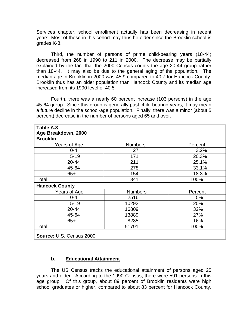Services chapter, school enrollment actually has been decreasing in recent years. Most of those in this cohort may thus be older since the Brooklin school is grades K-8.

Third, the number of persons of prime child-bearing years (18-44) decreased from 268 in 1990 to 211 in 2000. The decrease may be partially explained by the fact that the 2000 Census counts the age 20-44 group rather than 18-44. It may also be due to the general aging of the population. The median age in Brooklin in 2000 was 45.9 compared to 40.7 for Hancock County. Brooklin thus has an older population than Hancock County and its median age increased from its 1990 level of 40.5

Fourth, there was a nearly 60 percent increase (103 persons) in the age 45-64 group. Since this group is generally past child-bearing years, it may mean a future decline in the school-age population. Finally, there was a minor (about 5 percent) decrease in the number of persons aged 65 and over.

| Table A.3                |                |         |
|--------------------------|----------------|---------|
| Age Breakdown, 2000      |                |         |
| <b>Brooklin</b>          |                |         |
| Years of Age             | <b>Numbers</b> | Percent |
| $0 - 4$                  | 27             | 3.2%    |
| $5 - 19$                 | 171            | 20.3%   |
| 20-44                    | 211            | 25.1%   |
| 45-64                    | 278            | 33.1%   |
| $65+$                    | 154            | 18.3%   |
| Total                    | 841            | 100%    |
| <b>Hancock County</b>    |                |         |
| Years of Age             | <b>Numbers</b> | Percent |
| $0 - 4$                  | 2516           | 5%      |
| $5 - 19$                 | 10292          | 20%     |
| 20-44                    | 16809          | 32%     |
| 45-64                    | 13889          | 27%     |
| $65+$                    | 8285           | 16%     |
| Total                    | 51791          | 100%    |
| Source: U.S. Census 2000 |                |         |

#### **b. Educational Attainment**

.

The US Census tracks the educational attainment of persons aged 25 years and older. According to the 1990 Census, there were 591 persons in this age group. Of this group, about 89 percent of Brooklin residents were high school graduates or higher, compared to about 83 percent for Hancock County.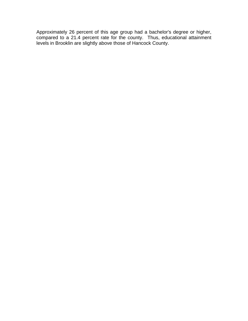Approximately 26 percent of this age group had a bachelor's degree or higher, compared to a 21.4 percent rate for the county. Thus, educational attainment levels in Brooklin are slightly above those of Hancock County.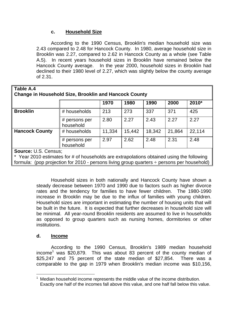#### **c. Household Size**

According to the 1990 Census, Brooklin's median household size was 2.43 compared to 2.48 for Hancock County. In 1980, average household size in Brooklin was 2.27, compared to 2.62 in Hancock County as a whole (see Table A.5). In recent years household sizes in Brooklin have remained below the Hancock County average. In the year 2000, household sizes in Brooklin had declined to their 1980 level of 2.27, which was slightly below the county average of 2.31.

| Table A.4                                                    |                            |        |        |        |        |        |
|--------------------------------------------------------------|----------------------------|--------|--------|--------|--------|--------|
| <b>Change in Household Size, Brooklin and Hancock County</b> |                            |        |        |        |        |        |
|                                                              |                            | 1970   | 1980   | 1990   | 2000   | 2010*  |
| <b>Brooklin</b>                                              | # households               | 213    | 273    | 337    | 371    | 425    |
|                                                              | # persons per<br>household | 2.80   | 2.27   | 2.43   | 2.27   | 2.27   |
| <b>Hancock County</b>                                        | # households               | 11,334 | 15,442 | 18,342 | 21,864 | 22,114 |
|                                                              | # persons per<br>household | 2.97   | 2.62   | 2.48   | 2.31   | 2.48   |
| <b>Source: U.S. Census;</b>                                  |                            |        |        |        |        |        |

\* Year 2010 estimates for # of households are extrapolations obtained using the following formula: (pop projection for 2010 - persons living group quarters ÷ persons per household)

> Household sizes in both nationally and Hancock County have shown a steady decrease between 1970 and 1990 due to factors such as higher divorce rates and the tendency for families to have fewer children. The 1980-1990 increase in Brooklin may be due to the influx of families with young children. Household sizes are important in estimating the number of housing units that will be built in the future. It is expected that further decreases in household size will be minimal. All year-round Brooklin residents are assumed to live in households as opposed to group quarters such as nursing homes, dormitories or other institutions.

#### **d. Income**

 $\overline{a}$ 

According to the 1990 Census, Brooklin's 1989 median household income<sup>1</sup> was \$20,879. This was about 83 percent of the county median of \$25,247 and 75 percent of the state median of \$27,854. There was a comparable to the gap in 1979 when Brooklin's median income was \$10,156,

 $1$  Median household income represents the middle value of the income distribution. Exactly one half of the incomes fall above this value, and one half fall below this value.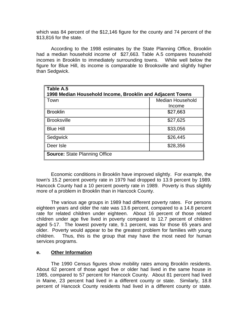which was 84 percent of the \$12,146 figure for the county and 74 percent of the \$13,816 for the state.

According to the 1998 estimates by the State Planning Office, Brooklin had a median household income of \$27,663. Table A.5 compares household incomes in Brooklin to immediately surrounding towns. While well below the figure for Blue Hill, its income is comparable to Brooksville and slightly higher than Sedgwick.

| Table A.5<br>1998 Median Household Income, Brooklin and Adjacent Towns |                         |  |  |  |  |
|------------------------------------------------------------------------|-------------------------|--|--|--|--|
| Town                                                                   | <b>Median Household</b> |  |  |  |  |
|                                                                        | Income                  |  |  |  |  |
| <b>Brooklin</b>                                                        | \$27,663                |  |  |  |  |
| <b>Brooksville</b>                                                     | \$27,625                |  |  |  |  |
| <b>Blue Hill</b>                                                       | \$33,056                |  |  |  |  |
| Sedgwick                                                               | \$26,445                |  |  |  |  |
| Deer Isle                                                              | \$28,356                |  |  |  |  |
| <b>Source: State Planning Office</b>                                   |                         |  |  |  |  |

Economic conditions in Brooklin have improved slightly. For example, the town's 15.2 percent poverty rate in 1979 had dropped to 13.9 percent by 1989. Hancock County had a 10 percent poverty rate in 1989. Poverty is thus slightly more of a problem in Brooklin than in Hancock County.

The various age groups in 1989 had different poverty rates. For persons eighteen years and older the rate was 13.6 percent, compared to a 14.8 percent rate for related children under eighteen. About 16 percent of those related children under age five lived in poverty compared to 12.7 percent of children aged 5-17. The lowest poverty rate, 9.1 percent, was for those 65 years and older. Poverty would appear to be the greatest problem for families with young children. Thus, this is the group that may have the most need for human services programs.

#### **e. Other Information**

The 1990 Census figures show mobility rates among Brooklin residents. About 62 percent of those aged five or older had lived in the same house in 1985, compared to 57 percent for Hancock County. About 81 percent had lived in Maine, 23 percent had lived in a different county or state. Similarly, 18.8 percent of Hancock County residents had lived in a different county or state.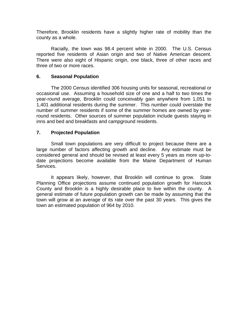Therefore, Brooklin residents have a slightly higher rate of mobility than the county as a whole.

Racially, the town was 98.4 percent white in 2000. The U.S. Census reported five residents of Asian origin and two of Native American descent. There were also eight of Hispanic origin, one black, three of other races and three of two or more races.

#### **6. Seasonal Population**

The 2000 Census identified 306 housing units for seasonal, recreational or occasional use. Assuming a household size of one and a half to two times the year-round average, Brooklin could conceivably gain anywhere from 1,051 to 1,401 additional residents during the summer. This number could overstate the number of summer residents if some of the summer homes are owned by yearround residents. Other sources of summer population include guests staying in inns and bed and breakfasts and campground residents.

#### **7. Projected Population**

Small town populations are very difficult to project because there are a large number of factors affecting growth and decline. Any estimate must be considered general and should be revised at least every 5 years as more up-todate projections become available from the Maine Department of Human Services.

It appears likely, however, that Brooklin will continue to grow. State Planning Office projections assume continued population growth for Hancock County and Brooklin is a highly desirable place to live within the county. A general estimate of future population growth can be made by assuming that the town will grow at an average of its rate over the past 30 years. This gives the town an estimated population of 964 by 2010.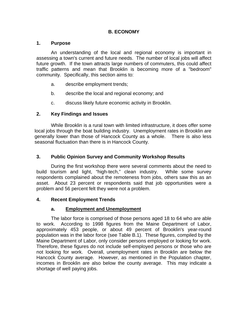#### **B. ECONOMY**

#### **1. Purpose**

An understanding of the local and regional economy is important in assessing a town's current and future needs. The number of local jobs will affect future growth. If the town attracts large numbers of commuters, this could affect traffic patterns and mean that Brooklin is becoming more of a "bedroom" community. Specifically, this section aims to:

- a. describe employment trends;
- b. describe the local and regional economy; and
- c. discuss likely future economic activity in Brooklin.

#### **2. Key Findings and Issues**

While Brooklin is a rural town with limited infrastructure, it does offer some local jobs through the boat building industry. Unemployment rates in Brooklin are generally lower than those of Hancock County as a whole. There is also less seasonal fluctuation than there is in Hancock County.

#### **3. Public Opinion Survey and Community Workshop Results**

During the first workshop there were several comments about the need to build tourism and light, "high-tech," clean industry. While some survey respondents complained about the remoteness from jobs, others saw this as an asset. About 23 percent or respondents said that job opportunities were a problem and 56 percent felt they were not a problem.

#### **4. Recent Employment Trends**

#### **a. Employment and Unemployment**

The labor force is comprised of those persons aged 18 to 64 who are able to work. According to 1998 figures from the Maine Department of Labor, approximately 453 people, or about 49 percent of Brooklin's year-round population was in the labor force (see Table B.1). These figures, compiled by the Maine Department of Labor, only consider persons employed or looking for work. Therefore, these figures do not include self-employed persons or those who are not looking for work. Overall, unemployment rates in Brooklin are below the Hancock County average. However, as mentioned in the Population chapter, incomes in Brooklin are also below the county average. This may indicate a shortage of well paying jobs.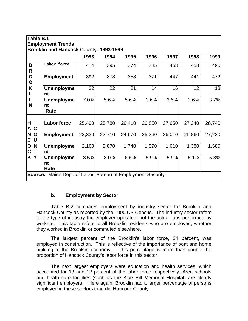|                                                           | Table B.1<br><b>Employment Trends</b><br><b>Brooklin and Hancock County: 1993-1999</b> |        |        |        |        |        |        |        |  |
|-----------------------------------------------------------|----------------------------------------------------------------------------------------|--------|--------|--------|--------|--------|--------|--------|--|
|                                                           |                                                                                        | 1993   | 1994   | 1995   | 1996   | 1997   | 1998   | 1999   |  |
| B<br>R                                                    | Labor force                                                                            | 414    | 395    | 374    | 385    | 463    | 453    | 490    |  |
| $\mathbf O$<br>O                                          | <b>Employment</b>                                                                      | 392    | 373    | 353    | 371    | 447    | 441    | 472    |  |
| K                                                         | <b>Unemployme</b><br>nt                                                                | 22     | 22     | 21     | 14     | 16     | 12     | 18     |  |
| N                                                         | <b>Unemployme</b><br>nt<br>Rate                                                        | 7.0%   | 5.6%   | 5.6%   | 3.6%   | 3.5%   | 2.6%   | 3.7%   |  |
| H<br>A<br>C                                               | <b>Labor force</b>                                                                     | 25,490 | 25,780 | 26,410 | 26,850 | 27,650 | 27,240 | 28,740 |  |
| N<br>$\mathbf 0$<br>U<br>$\mathbf{C}$                     | <b>Employment</b>                                                                      | 23,330 | 23,710 | 24,670 | 25,260 | 26,010 | 25,860 | 27,230 |  |
| $\mathbf N$<br>$\mathbf O$<br>$\mathbf c$<br>$\mathsf{T}$ | <b>Unemployme</b><br>nt                                                                | 2,160  | 2,070  | 1,740  | 1,590  | 1,610  | 1,380  | 1,580  |  |
| K Y                                                       | <b>Unemployme</b><br>nt<br>Rate                                                        | 8.5%   | 8.0%   | 6.6%   | 5.9%   | 5.9%   | 5.1%   | 5.3%   |  |
|                                                           | <b>Source:</b> Maine Dept. of Labor, Bureau of Employment Security                     |        |        |        |        |        |        |        |  |

#### **b. Employment by Sector**

Table B.2 compares employment by industry sector for Brooklin and Hancock County as reported by the 1990 US Census. The industry sector refers to the type of industry the employer operates, not the actual jobs performed by workers. This table refers to all Brooklin residents who are employed, whether they worked in Brooklin or commuted elsewhere.

The largest percent of the Brooklin's labor force, 24 percent, was employed in construction. This is reflective of the importance of boat and home building to the Brooklin economy. This percentage is more than double the proportion of Hancock County's labor force in this sector.

The next largest employers were education and health services, which accounted for 13 and 12 percent of the labor force respectively. Area schools and heath care facilities (such as the Blue Hill Memorial Hospital) are clearly significant employers. Here again, Brooklin had a larger percentage of persons employed in these sectors than did Hancock County.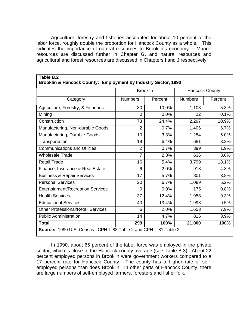Agriculture, forestry and fisheries accounted for about 10 percent of the labor force, roughly double the proportion for Hancock County as a whole. This indicates the importance of natural resources to Brooklin's economy. Marine resources are discussed further in Chapter G. and natural resources and agricultural and forest resources are discussed in Chapters I and J respectively.

|                                           | <b>Brooklin</b> |         | <b>Hancock County</b> |         |
|-------------------------------------------|-----------------|---------|-----------------------|---------|
| Category                                  | <b>Numbers</b>  | Percent | <b>Numbers</b>        | Percent |
| Agriculture, Forestry, & Fisheries        | 30              | 10.0%   | 1,108                 | 5.3%    |
| Mining                                    | $\Omega$        | 0.0%    | 22                    | 0.1%    |
| Construction                              | 73              | 24.4%   | 2,297                 | 10.9%   |
| Manufacturing, Non-durable Goods          | $\overline{2}$  | 0.7%    | 1,406                 | 6.7%    |
| Manufacturing, Durable Goods              | 10              | 3.3%    | 1,254                 | 6.0%    |
| Transportation                            | 19              | 6.4%    | 681                   | 3.2%    |
| <b>Communications and Utilities</b>       | $\overline{2}$  | 0.7%    | 399                   | 1.9%    |
| <b>Wholesale Trade</b>                    | $\overline{7}$  | 2.3%    | 636                   | 3.0%    |
| <b>Retail Trade</b>                       | 16              | 5.4%    | 3,799                 | 18.1%   |
| Finance, Insurance & Real Estate          | 6               | 2.0%    | 913                   | 4.3%    |
| <b>Business &amp; Repair Services</b>     | 17              | 5.7%    | 801                   | 3.8%    |
| <b>Personal Services</b>                  | 20              | 6.7%    | 1,089                 | 5.2%    |
| <b>Entertainment/Recreation Services</b>  | $\Omega$        | 0.0%    | 175                   | 0.8%    |
| <b>Health Services</b>                    | 37              | 12.4%   | 1,958                 | 9.3%    |
| <b>Educational Services</b>               | 40              | 13.4%   | 1,993                 | 9.5%    |
| <b>Other Professional/Retail Services</b> | 6               | 2.0%    | 1,653                 | 7.9%    |
| <b>Public Administration</b>              | 14              | 4.7%    | 816                   | 3.9%    |
| <b>Total</b>                              | 299             | 100%    | 21,000                | 100%    |

**Table B.2**

In 1990, about 65 percent of the labor force was employed in the private sector, which is close to the Hancock county average (see Table B.3). About 22 percent employed persons in Brooklin were government workers compared to a 17 percent rate for Hancock County. The county has a higher rate of selfemployed persons than does Brooklin. In other parts of Hancock County, there are large numbers of self-employed farmers, foresters and fisher folk.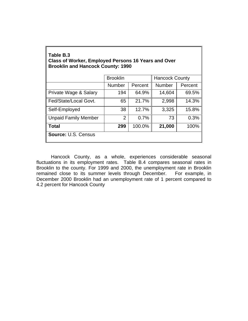| Table B.3                                           |  |
|-----------------------------------------------------|--|
| Class of Worker, Employed Persons 16 Years and Over |  |
| <b>Brooklin and Hancock County: 1990</b>            |  |

|                             | <b>Brooklin</b> |         | <b>Hancock County</b> |         |
|-----------------------------|-----------------|---------|-----------------------|---------|
|                             | <b>Number</b>   | Percent | <b>Number</b>         | Percent |
| Private Wage & Salary       | 194             | 64.9%   | 14,604                | 69.5%   |
| Fed/State/Local Govt.       | 65              | 21.7%   | 2,998                 | 14.3%   |
| Self-Employed               | 38              | 12.7%   | 3,325                 | 15.8%   |
| <b>Unpaid Family Member</b> | 2               | 0.7%    | 73                    | 0.3%    |
| <b>Total</b>                | 299             | 100.0%  | 21,000                | 100%    |
| <b>Source: U.S. Census</b>  |                 |         |                       |         |

Hancock County, as a whole, experiences considerable seasonal fluctuations in its employment rates. Table B.4 compares seasonal rates in Brooklin to the county. For 1999 and 2000, the unemployment rate in Brooklin remained close to its summer levels through December. For example, in December 2000 Brooklin had an unemployment rate of 1 percent compared to 4.2 percent for Hancock County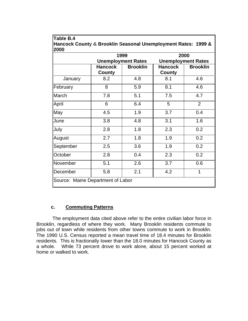|           |                          | 1999                      | 2000                      |                 |  |
|-----------|--------------------------|---------------------------|---------------------------|-----------------|--|
|           |                          | <b>Unemployment Rates</b> | <b>Unemployment Rates</b> |                 |  |
|           | <b>Hancock</b><br>County | <b>Brooklin</b>           | <b>Hancock</b><br>County  | <b>Brooklin</b> |  |
| January   | 8.2                      | 4.8                       | 8.1                       | 4.6             |  |
| February  | 8                        | 5.9                       | 8.1                       | 4.6             |  |
| March     | 7.8                      | 5.1                       | 7.5                       | 4.7             |  |
| April     | 6                        | 6.4                       | 5                         | $\overline{2}$  |  |
| May       | 4.5                      | 1.9                       | 3.7                       | 0.4             |  |
| June      | 3.8                      | 4.8                       | 3.1                       | 1.6             |  |
| July      | 2.8                      | 1.8                       | 2.3                       | 0.2             |  |
| August    | 2.7                      | 1.8                       | 1.9                       | 0.2             |  |
| September | 2.5                      | 3.6                       | 1.9                       | 0.2             |  |
| October   | 2.8                      | 0.4                       | 2.3                       | 0.2             |  |
| November  | 5.1                      | 2.6                       | 3.7                       | 0.6             |  |
| December  | 5.8                      | 2.1                       | 4.2                       | 1               |  |

**Table B.4**

#### **c. Commuting Patterns**

 The employment data cited above refer to the entire civilian labor force in Brooklin, regardless of where they work. Many Brooklin residents commute to jobs out of town while residents from other towns commute to work in Brooklin. The 1990 U.S. Census reported a mean travel time of 18.4 minutes for Brooklin residents. This is fractionally lower than the 18.0 minutes for Hancock County as a whole. While 73 percent drove to work alone, about 15 percent worked at home or walked to work.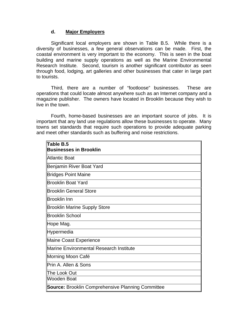#### **d. Major Employers**

Significant local employers are shown in Table B.5. While there is a diversity of businesses, a few general observations can be made. First, the coastal environment is very important to the economy. This is seen in the boat building and marine supply operations as well as the Marine Environmental Research Institute. Second, tourism is another significant contributor as seen through food, lodging, art galleries and other businesses that cater in large part to tourists.

Third, there are a number of "footloose" businesses. These are operations that could locate almost anywhere such as an Internet company and a magazine publisher. The owners have located in Brooklin because they wish to live in the town.

Fourth, home-based businesses are an important source of jobs. It is important that any land use regulations allow these businesses to operate. Many towns set standards that require such operations to provide adequate parking and meet other standards such as buffering and noise restrictions.

| Table B.5<br><b>Businesses in Brooklin</b>               |
|----------------------------------------------------------|
| Atlantic Boat                                            |
| Benjamin River Boat Yard                                 |
| <b>Bridges Point Maine</b>                               |
| <b>Brooklin Boat Yard</b>                                |
| <b>Brooklin General Store</b>                            |
| <b>Brooklin Inn</b>                                      |
| <b>Brooklin Marine Supply Store</b>                      |
| <b>Brooklin School</b>                                   |
| Hope Mag.                                                |
| Hypermedia                                               |
| <b>Maine Coast Experience</b>                            |
| <b>Marine Environmental Research Institute</b>           |
| Morning Moon Café                                        |
| Prin A. Allen & Sons                                     |
| The Look Out                                             |
| Wooden Boat                                              |
| <b>Source: Brooklin Comprehensive Planning Committee</b> |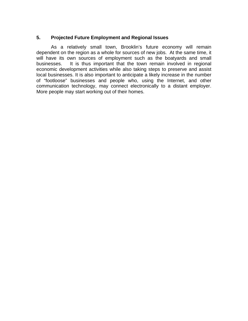#### **5. Projected Future Employment and Regional Issues**

As a relatively small town, Brooklin's future economy will remain dependent on the region as a whole for sources of new jobs. At the same time, it will have its own sources of employment such as the boatyards and small businesses. It is thus important that the town remain involved in regional economic development activities while also taking steps to preserve and assist local businesses. It is also important to anticipate a likely increase in the number of "footloose" businesses and people who, using the Internet, and other communication technology, may connect electronically to a distant employer. More people may start working out of their homes.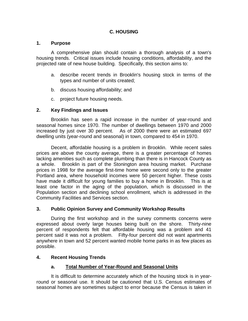#### **C. HOUSING**

#### **1. Purpose**

A comprehensive plan should contain a thorough analysis of a town's housing trends. Critical issues include housing conditions, affordability, and the projected rate of new house building. Specifically, this section aims to:

- a. describe recent trends in Brooklin's housing stock in terms of the types and number of units created;
- b. discuss housing affordability; and
- c. project future housing needs.

#### **2. Key Findings and Issues**

Brooklin has seen a rapid increase in the number of year-round and seasonal homes since 1970. The number of dwellings between 1970 and 2000 increased by just over 30 percent. As of 2000 there were an estimated 697 dwelling units (year-round and seasonal) in town, compared to 454 in 1970.

Decent, affordable housing is a problem in Brooklin. While recent sales prices are above the county average, there is a greater percentage of homes lacking amenities such as complete plumbing than there is in Hancock County as a whole. Brooklin is part of the Stonington area housing market. Purchase prices in 1998 for the average first-time home were second only to the greater Portland area, where household incomes were 50 percent higher. These costs have made it difficult for young families to buy a home in Brooklin. This is at least one factor in the aging of the population, which is discussed in the Population section and declining school enrollment, which is addressed in the Community Facilities and Services section.

#### **3. Public Opinion Survey and Community Workshop Results**

During the first workshop and in the survey comments concerns were expressed about overly large houses being built on the shore. Thirty-nine percent of respondents felt that affordable housing was a problem and 41 percent said it was not a problem. Fifty-four percent did not want apartments anywhere in town and 52 percent wanted mobile home parks in as few places as possible.

#### **4. Recent Housing Trends**

#### **a. Total Number of Year-Round and Seasonal Units**

It is difficult to determine accurately which of the housing stock is in yearround or seasonal use. It should be cautioned that U.S. Census estimates of seasonal homes are sometimes subject to error because the Census is taken in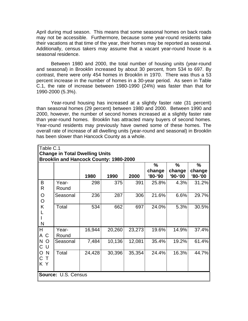April during mud season. This means that some seasonal homes on back roads may not be accessible. Furthermore, because some year-round residents take their vacations at that time of the year, their homes may be reported as seasonal. Additionally, census takers may assume that a vacant year-round house is a seasonal residence.

Between 1980 and 2000, the total number of housing units (year-round and seasonal) in Brooklin increased by about 30 percent, from 534 to 697. By contrast, there were only 454 homes in Brooklin in 1970. There was thus a 53 percent increase in the number of homes in a 30-year period. As seen in Table C.1, the rate of increase between 1980-1990 (24%) was faster than that for 1990-2000 (5.3%).

Year-round housing has increased at a slightly faster rate (31 percent) than seasonal homes (29 percent) between 1980 and 2000. Between 1990 and 2000, however, the number of second homes increased at a slightly faster rate than year-round homes. Brooklin has attracted many buyers of second homes. Year-round residents may previously have owned some of these homes. The overall rate of increase of all dwelling units (year-round and seasonal) in Brooklin has been slower than Hancock County as a whole.

| ∥Table C.1               |                                                                                        |        |        |        |                   |                   |                   |
|--------------------------|----------------------------------------------------------------------------------------|--------|--------|--------|-------------------|-------------------|-------------------|
|                          | <b>Change in Total Dwelling Units</b><br><b>Brooklin and Hancock County: 1980-2000</b> |        |        |        |                   |                   |                   |
|                          |                                                                                        |        |        |        | $\%$              | $\frac{0}{0}$     | %                 |
|                          |                                                                                        | 1980   | 1990   | 2000   | change<br>'80-'90 | change<br>'90-'00 | change<br>'80-'00 |
| B<br>$\mathsf R$         | Year-<br>Round                                                                         | 298    | 375    | 391    | 25.8%             | 4.3%              | 31.2%             |
| O<br>$\circ$             | Seasonal                                                                               | 236    | 287    | 306    | 21.6%             | 6.6%              | 29.7%             |
| Κ<br>$\mathsf{N}$        | Total                                                                                  | 534    | 662    | 697    | 24.0%             | 5.3%              | 30.5%             |
| <b>H</b><br>A C          | Year-<br>Round                                                                         | 16,944 | 20,260 | 23,273 | 19.6%             | 14.9%             | 37.4%             |
| N<br>$\circ$<br> C <br>U | Seasonal                                                                               | 7,484  | 10,136 | 12,081 | 35.4%             | 19.2%             | 61.4%             |
| lO.<br>N<br>IC T<br>KY   | Total                                                                                  | 24,428 | 30,396 | 35,354 | 24.4%             | 16.3%             | 44.7%             |
|                          | Source: U.S. Census                                                                    |        |        |        |                   |                   |                   |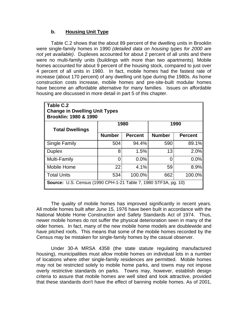#### **b. Housing Unit Type**

Table C.2 shows that the about 89 percent of the dwelling units in Brooklin were single-family homes in 1990 *(detailed data on housing types for 2000 are not yet available)*. Duplexes accounted for about 2 percent of all units and there were no multi-family units (buildings with more than two apartments). Mobile homes accounted for about 9 percent of the housing stock, compared to just over 4 percent of all units in 1980. In fact, mobile homes had the fastest rate of increase (about 170 percent) of any dwelling unit type during the 1980s. As home construction costs increase, mobile homes and pre-site-built modular homes have become an affordable alternative for many families. Issues on affordable housing are discussed in more detail in part 5 of this chapter.

| Table C.2<br><b>Change in Dwelling Unit Types</b><br><b>Brooklin: 1980 &amp; 1990</b> |               |                |               |                |  |
|---------------------------------------------------------------------------------------|---------------|----------------|---------------|----------------|--|
| <b>Total Dwellings</b>                                                                |               | 1980           | 1990          |                |  |
|                                                                                       | <b>Number</b> | <b>Percent</b> | <b>Number</b> | <b>Percent</b> |  |
| <b>Single Family</b>                                                                  | 504           | 94.4%          | 590           | 89.1%          |  |
| <b>Duplex</b>                                                                         | 8             | 1.5%           | 13            | 2.0%           |  |
| Multi-Family                                                                          | O             | $0.0\%$        |               | 0.0%           |  |
| Mobile Home                                                                           | 22            | 4.1%           | 59            | 8.9%           |  |
| <b>Total Units</b>                                                                    | 534           | 100.0%         | 662           | 100.0%         |  |
| <b>Source: U.S. Census (1990 CPH-1-21 Table 7, 1980 STF3A, pg. 10)</b>                |               |                |               |                |  |

The quality of mobile homes has improved significantly in recent years. All mobile homes built after June 15, 1976 have been built in accordance with the National Mobile Home Construction and Safety Standards Act of 1974. Thus, newer mobile homes do not suffer the physical deterioration seen in many of the older homes. In fact, many of the new mobile home models are doublewide and have pitched roofs. This means that some of the mobile homes recorded by the Census may be mistaken for single-family homes by the casual observer.

Under 30-A MRSA 4358 (the state statute regulating manufactured housing), municipalities must allow mobile homes on individual lots in a number of locations where other single-family residences are permitted. Mobile homes may not be restricted solely to mobile home parks, and towns may not impose overly restrictive standards on parks. Towns may, however, establish design criteria to assure that mobile homes are well sited and look attractive, provided that these standards don't have the effect of banning mobile homes. As of 2001,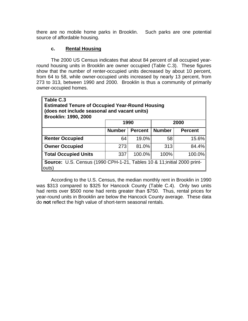there are no mobile home parks in Brooklin. Such parks are one potential source of affordable housing.

#### **c. Rental Housing**

The 2000 US Census indicates that about 84 percent of all occupied yearround housing units in Brooklin are owner occupied (Table C.3). These figures show that the number of renter-occupied units decreased by about 10 percent, from 64 to 58, while owner-occupied units increased by nearly 13 percent, from 273 to 313, between 1990 and 2000. Brooklin is thus a community of primarily owner-occupied homes.

| Table C.3<br><b>Estimated Tenure of Occupied Year-Round Housing</b><br>(does not include seasonal and vacant units)<br><b>Brooklin: 1990, 2000</b> |               |                |               |                |  |  |
|----------------------------------------------------------------------------------------------------------------------------------------------------|---------------|----------------|---------------|----------------|--|--|
|                                                                                                                                                    | 1990          |                |               | 2000           |  |  |
|                                                                                                                                                    | <b>Number</b> | <b>Percent</b> | <b>Number</b> | <b>Percent</b> |  |  |
| <b>Renter Occupied</b>                                                                                                                             | 64            | 19.0%          | 58            | 15.6%          |  |  |
| <b>Owner Occupied</b>                                                                                                                              | 273           | 81.0%          | 313           | 84.4%          |  |  |
| <b>Total Occupied Units</b>                                                                                                                        | 337           | 100.0%         | 100%          | 100.0%         |  |  |
| <b>Source:</b> U.S. Census (1990 CPH-1-21, Tables 10 & 11; initial 2000 print-<br>outs)                                                            |               |                |               |                |  |  |

According to the U.S. Census, the median monthly rent in Brooklin in 1990 was \$313 compared to \$325 for Hancock County (Table C.4). Only two units had rents over \$500 none had rents greater than \$750. Thus, rental prices for year-round units in Brooklin are below the Hancock County average. These data do **not** reflect the high value of short-term seasonal rentals.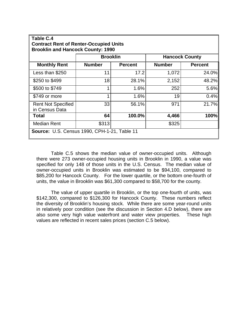| Table C.4<br><b>Contract Rent of Renter-Occupied Units</b><br><b>Brooklin and Hancock County: 1990</b> |                 |                |                       |                |  |
|--------------------------------------------------------------------------------------------------------|-----------------|----------------|-----------------------|----------------|--|
|                                                                                                        | <b>Brooklin</b> |                | <b>Hancock County</b> |                |  |
| <b>Monthly Rent</b>                                                                                    | <b>Number</b>   | <b>Percent</b> | <b>Number</b>         | <b>Percent</b> |  |
| Less than \$250                                                                                        | 11              | 17.2           | 1,072                 | 24.0%          |  |
| \$250 to \$499                                                                                         | 18              | 28.1%          | 2,152                 | 48.2%          |  |
| \$500 to \$749                                                                                         |                 | 1.6%           | 252                   | 5.6%           |  |
| \$749 or more                                                                                          | 4               | 1.6%           | 19                    | 0.4%           |  |
| <b>Rent Not Specified</b><br>in Census Data                                                            | 33              | 56.1%          | 971                   | 21.7%          |  |
| Total                                                                                                  | 64              | 100.0%         | 4,466                 | 100%           |  |
| <b>Median Rent</b>                                                                                     | \$313           |                | \$325                 |                |  |
| <b>Source: U.S. Census 1990, CPH-1-21, Table 11</b>                                                    |                 |                |                       |                |  |

Table C.5 shows the median value of owner-occupied units. Although there were 273 owner-occupied housing units in Brooklin in 1990, a value was specified for only 148 of those units in the U.S. Census. The median value of owner-occupied units in Brooklin was estimated to be \$94,100, compared to \$85,200 for Hancock County. For the lower quartile, or the bottom one-fourth of units, the value in Brooklin was \$61,300 compared to \$58,700 for the county.

The value of upper quartile in Brooklin, or the top one-fourth of units, was \$142,300, compared to \$126,300 for Hancock County. These numbers reflect the diversity of Brooklin's housing stock. While there are some year-round units in relatively poor condition (see the discussion in Section 4.D below), there are also some very high value waterfront and water view properties. These high values are reflected in recent sales prices (section C.5 below).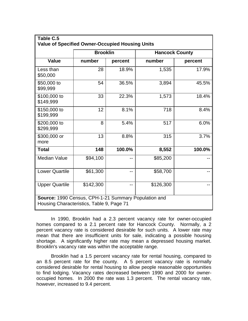| Table C.5<br><b>Value of Specified Owner-Occupied Housing Units</b>                               |                 |         |                       |         |  |
|---------------------------------------------------------------------------------------------------|-----------------|---------|-----------------------|---------|--|
|                                                                                                   | <b>Brooklin</b> |         | <b>Hancock County</b> |         |  |
| <b>Value</b>                                                                                      | number          | percent | number                | percent |  |
| Less than<br>\$50,000                                                                             | 28              | 18.9%   | 1,535                 | 17.9%   |  |
| \$50,000 to<br>\$99,999                                                                           | 54              | 36.5%   | 3,894                 | 45.5%   |  |
| \$100,000 to<br>\$149,999                                                                         | 33              | 22.3%   | 1,573                 | 18.4%   |  |
| \$150,000 to<br>\$199,999                                                                         | 12              | 8.1%    | 718                   | 8.4%    |  |
| \$200,000 to<br>\$299,999                                                                         | 8               | 5.4%    | 517                   | 6.0%    |  |
| \$300,000 or<br>more                                                                              | 13              | 8.8%    | 315                   | 3.7%    |  |
| <b>Total</b>                                                                                      | 148             | 100.0%  | 8,552                 | 100.0%  |  |
| <b>Median Value</b>                                                                               | \$94,100        |         | \$85,200              |         |  |
| <b>Lower Quartile</b>                                                                             | \$61,300        | --      | \$58,700              |         |  |
| <b>Upper Quartile</b>                                                                             | \$142,300       |         | \$126,300             |         |  |
| Source: 1990 Census, CPH-1-21 Summary Population and<br>Housing Characteristics, Table 9, Page 71 |                 |         |                       |         |  |

In 1990, Brooklin had a 2.3 percent vacancy rate for owner-occupied homes compared to a 2.1 percent rate for Hancock County. Normally, a 2 percent vacancy rate is considered desirable for such units. A lower rate may mean that there are insufficient units for sale, indicating a possible housing shortage. A significantly higher rate may mean a depressed housing market. Brooklin's vacancy rate was within the acceptable range.

Brooklin had a 1.5 percent vacancy rate for rental housing, compared to an 8.5 percent rate for the county. A 5 percent vacancy rate is normally considered desirable for rental housing to allow people reasonable opportunities to find lodging. Vacancy rates decreased between 1990 and 2000 for owneroccupied homes. In 2000 the rate was 1.3 percent. The rental vacancy rate, however, increased to 9.4 percent.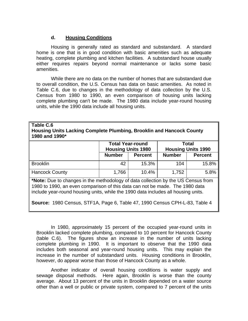#### **d. Housing Conditions**

Housing is generally rated as standard and substandard. A standard home is one that is in good condition with basic amenities such as adequate heating, complete plumbing and kitchen facilities. A substandard house usually either requires repairs beyond normal maintenance or lacks some basic amenities.

While there are no data on the number of homes that are substandard due to overall condition, the U.S. Census has data on basic amenities. As noted in Table C.6, due to changes in the methodology of data collection by the U.S. Census from 1980 to 1990, an even comparison of housing units lacking complete plumbing can't be made. The 1980 data include year-round housing units, while the 1990 data include all housing units.

#### **Table C.6 Housing Units Lacking Complete Plumbing, Brooklin and Hancock County 1980 and 1990\***

|                       | <b>Total Year-round</b><br><b>Total</b><br><b>Housing Units 1980</b><br><b>Housing Units 1990</b> |                |               |                |
|-----------------------|---------------------------------------------------------------------------------------------------|----------------|---------------|----------------|
|                       | <b>Number</b>                                                                                     | <b>Percent</b> | <b>Number</b> | <b>Percent</b> |
| <b>Brooklin</b>       | 42                                                                                                | 15.3%          | 104           | 15.8%          |
| <b>Hancock County</b> | 1,766                                                                                             | 10.4%          | 1,752         | 5.8%           |

**\*Note:** Due to changes in the methodology of data collection by the US Census from 1980 to 1990, an even comparison of this data can not be made. The 1980 data include year-round housing units, while the 1990 data includes all housing units.

**Source:** 1980 Census, STF1A, Page 6, Table 47, 1990 Census CPH-L-83, Table 4

In 1980, approximately 15 percent of the occupied year-round units in Brooklin lacked complete plumbing, compared to 10 percent for Hancock County (table C.6). The figures show an increase in the number of units lacking complete plumbing in 1990. It is important to observe that the 1990 data includes both seasonal and year-round housing units. This may explain the increase in the number of substandard units. Housing conditions in Brooklin, however, do appear worse than those of Hancock County as a whole.

Another indicator of overall housing conditions is water supply and sewage disposal methods. Here again, Brooklin is worse than the county average. About 13 percent of the units in Brooklin depended on a water source other than a well or public or private system, compared to 7 percent of the units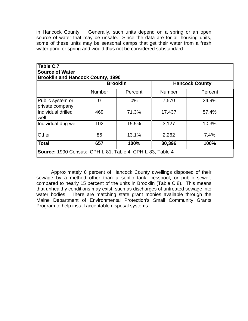in Hancock County. Generally, such units depend on a spring or an open source of water that may be unsafe. Since the data are for all housing units, some of these units may be seasonal camps that get their water from a fresh water pond or spring and would thus not be considered substandard.

| Table C.7                                                 |               |                 |                       |         |  |
|-----------------------------------------------------------|---------------|-----------------|-----------------------|---------|--|
| <b>Source of Water</b>                                    |               |                 |                       |         |  |
| <b>Brooklin and Hancock County, 1990</b>                  |               |                 |                       |         |  |
|                                                           |               | <b>Brooklin</b> | <b>Hancock County</b> |         |  |
|                                                           | <b>Number</b> | Percent         | <b>Number</b>         | Percent |  |
| ∥Public system or<br>private company                      | 0             | $0\%$           | 7,570                 | 24.9%   |  |
| Individual drilled<br>well                                | 469           | 71.3%           | 17,437                | 57.4%   |  |
| Individual dug well                                       | 102           | 15.5%           | 3,127                 | 10.3%   |  |
| Other                                                     | 86            | 13.1%           | 2,262                 | 7.4%    |  |
| <b>Total</b>                                              | 657           | 100%            | 30,396                | 100%    |  |
| Source: 1990 Census: CPH-L-81, Table 4; CPH-L-83, Table 4 |               |                 |                       |         |  |

Approximately 6 percent of Hancock County dwellings disposed of their sewage by a method other than a septic tank, cesspool, or public sewer, compared to nearly 15 percent of the units in Brooklin (Table C.8). This means that unhealthy conditions may exist, such as discharges of untreated sewage into water bodies. There are matching state grant monies available through the Maine Department of Environmental Protection's Small Community Grants Program to help install acceptable disposal systems.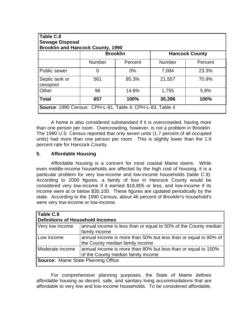| Table C.8<br><b>Sewage Disposal</b><br><b>Brooklin and Hancock County, 1990</b> |                |                 |                       |         |  |
|---------------------------------------------------------------------------------|----------------|-----------------|-----------------------|---------|--|
|                                                                                 |                | <b>Brooklin</b> | <b>Hancock County</b> |         |  |
|                                                                                 | <b>Number</b>  | Percent         | <b>Number</b>         | Percent |  |
| Public sewer                                                                    | $\overline{0}$ | $0\%$           | 7,084                 | 23.3%   |  |
| Septic tank or<br>cesspool                                                      | 561            | 85.3%           | 21,557                | 70.9%   |  |
| Other                                                                           | 96             | 14.6%           | 1,755                 | 5.8%    |  |
| <b>Total</b>                                                                    | 657            | 100%            | 30,396                | 100%    |  |
| Source: 1990 Census: CPH-L-81, Table 4; CPH-L-83, Table 4                       |                |                 |                       |         |  |

A home is also considered substandard if it is overcrowded, having more than one person per room. Overcrowding, however, is not a problem in Brooklin. The 1990 U.S. Census reported that only seven units (1.7 percent of all occupied units) had more than one person per room. This is slightly lower than the 1.9 percent rate for Hancock County.

#### **5. Affordable Housing**

Affordable housing is a concern for most coastal Maine towns. While even middle-income households are affected by the high cost of housing, it is a particular problem for very low-income and low-income households (table C.9). According to 2000 figures, a family of four in Hancock County would be considered very low-income if it earned \$18,805 or less, and low-income if its income were at or below \$30,100. These figures are updated periodically by the state. According to the 1990 Census, about 46 percent of Brooklin's household's were very low-income or low-income.

| Table C.9                                  |                                                                 |  |  |
|--------------------------------------------|-----------------------------------------------------------------|--|--|
| Definitions of Household Incomes           |                                                                 |  |  |
| Very low income                            | annual income is less than or equal to 50% of the County median |  |  |
|                                            | family income                                                   |  |  |
| Low income                                 | annual income is more than 50% but less than or equal to 80% of |  |  |
|                                            | the County median family income                                 |  |  |
| Moderate income                            | annual income is more than 80% but less than or equal to 150%   |  |  |
|                                            | of the County median family income                              |  |  |
| <b>Source:</b> Maine State Planning Office |                                                                 |  |  |

For comprehensive planning purposes, the State of Maine defines affordable housing as decent, safe, and sanitary living accommodations that are affordable to very low and low-income households. To be considered affordable,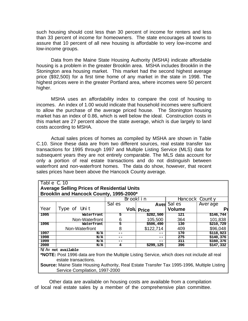such housing should cost less than 30 percent of income for renters and less than 33 percent of income for homeowners. The state encourages all towns to assure that 10 percent of all new housing is affordable to very low-income and low-income groups.

Data from the Maine State Housing Authority (MSHA) indicate affordable housing is a problem in the greater Brooklin area. MSHA includes Brooklin in the Stonington area housing market. This market had the second highest average price (\$92,500) for a first time home of any market in the state in 1998. The highest prices were in the greater Portland area, where incomes were 50 percent higher.

MSHA uses an affordability index to compare the cost of housing to incomes. An index of 1.00 would indicate that household incomes were sufficient to allow the purchase of the average priced house. The Stonington housing market has an index of 0.86, which is well below the ideal. Construction costs in this market are 27 percent above the state average, which is due largely to land costs according to MSHA.

Actual sales prices of homes as compiled by MSHA are shown in Table C.10. Since these data are from two different sources, real estate transfer tax transactions for 1995 through 1997 and Multiple Listing Service (MLS) data for subsequent years they are not entirely comparable. The MLS data account for only a portion of real estate transactions and do not distinguish between waterfront and non-waterfront homes. The data do show, however, that recent sales prices have been above the Hancock County average.

| Table C. 10 | <b>Average Selling Prices of Residential Units</b>                            |        |                   |                   |           |
|-------------|-------------------------------------------------------------------------------|--------|-------------------|-------------------|-----------|
|             | Brooklin and Hancock County, 1995-2000*<br>Brookl in<br><b>Hancock County</b> |        |                   |                   |           |
|             |                                                                               | Sal es |                   | <b>Aver</b> Sales | Average   |
| Year        | Type of Unit                                                                  |        | <b>Volu Price</b> | <b>Volume</b>     | Pı        |
| 1995        | Waterfront                                                                    | 5      | \$282,500         | 121               | \$146,744 |
|             | Non-Waterfront                                                                | 6      | 105,500           | 364               | 101,838   |
| 1996        | Waterfront                                                                    | 5      | \$506,490         | 130               | \$210,729 |
|             | Non-Waterfront                                                                | 8      | \$122,714         | 409               | \$96,048  |
| 1997        | N/A                                                                           | --     | --                | 170               | \$118,923 |
| 1998        | N/A                                                                           |        | --                | 275               | \$140,376 |
| 1999        | N/A                                                                           | --     | --                | 311               | \$160,376 |
| 2000        | N/A                                                                           | 4      | \$299,125         | 396               | \$147,332 |

**\*NOTE:** Post 1996 data are from the Multiple Listing Service, which does not include all real estate transactions.

**Source:** Maine State Housing Authority, Real Estate Transfer Tax 1995-1996, Multiple Listing Service Compilation, 1997-2000

Other data are available on housing costs are available from a compilation of local real estate sales by a member of the comprehensive plan committee.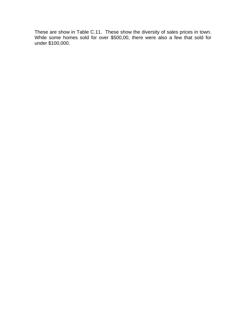These are show in Table C.11. These show the diversity of sales prices in town. While some homes sold for over \$500,00, there were also a few that sold for under \$100,000.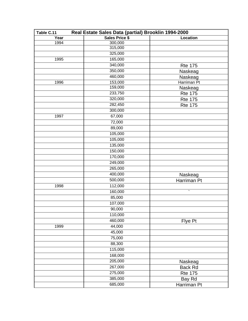| Real Estate Sales Data (partial) Brooklin 1994-2000<br>Table C.11 |                |                |  |  |
|-------------------------------------------------------------------|----------------|----------------|--|--|
| Year                                                              | Sales Price \$ | Location       |  |  |
| 1994                                                              | 300,000        |                |  |  |
|                                                                   | 315,000        |                |  |  |
|                                                                   | 325,000        |                |  |  |
| 1995                                                              | 165,000        |                |  |  |
|                                                                   | 340,000        | <b>Rte 175</b> |  |  |
|                                                                   | 350,000        | Naskeag        |  |  |
|                                                                   | 460,000        | Naskeag        |  |  |
| 1996                                                              | 153,000        | Harriman Pt    |  |  |
|                                                                   | 159,000        | Naskeag        |  |  |
|                                                                   | 233,750        | <b>Rte 175</b> |  |  |
|                                                                   | 320,000        | <b>Rte 175</b> |  |  |
|                                                                   | 282,450        | <b>Rte 175</b> |  |  |
|                                                                   | 300,000        |                |  |  |
| 1997                                                              | 67,000         |                |  |  |
|                                                                   | 72,000         |                |  |  |
|                                                                   | 89,000         |                |  |  |
|                                                                   | 105,000        |                |  |  |
|                                                                   | 105,000        |                |  |  |
|                                                                   | 135,000        |                |  |  |
|                                                                   | 150,000        |                |  |  |
|                                                                   | 170,000        |                |  |  |
|                                                                   | 249,000        |                |  |  |
|                                                                   | 265,000        |                |  |  |
|                                                                   | 400,000        | Naskeag        |  |  |
|                                                                   | 500,000        | Harriman Pt    |  |  |
| 1998                                                              | 112,000        |                |  |  |
|                                                                   | 160,000        | τ              |  |  |
|                                                                   | 85,000         |                |  |  |
|                                                                   | 107,000        |                |  |  |
|                                                                   | 90,000         |                |  |  |
|                                                                   | 110,000        |                |  |  |
|                                                                   | 460,000        | Flye Pt        |  |  |
| 1999                                                              | 44,000         |                |  |  |
|                                                                   | 45,000         |                |  |  |
|                                                                   | 75,000         |                |  |  |
|                                                                   | 88,300         |                |  |  |
|                                                                   | 115,000        |                |  |  |
|                                                                   |                |                |  |  |
|                                                                   | 168,000        |                |  |  |
|                                                                   | 205,000        | Naskeag        |  |  |
|                                                                   | 267,000        | <b>Back Rd</b> |  |  |
|                                                                   | 275,000        | <b>Rte 175</b> |  |  |
|                                                                   | 385,000        | Bay Rd         |  |  |
|                                                                   | 685,000        | Harriman Pt    |  |  |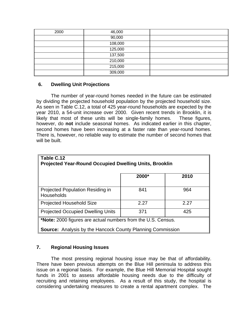| 2000 | 46,000  |  |
|------|---------|--|
|      | 90,000  |  |
|      | 108,000 |  |
|      | 125,000 |  |
|      | 137,500 |  |
|      | 210,000 |  |
|      | 215,000 |  |
|      | 309,000 |  |

## **6. Dwelling Unit Projections**

The number of year-round homes needed in the future can be estimated by dividing the projected household population by the projected household size. As seen in Table C.12, a total of 425 year-round households are expected by the year 2010, a 54-unit increase over 2000. Given recent trends in Brooklin, it is likely that most of these units will be single-family homes. These figures, however, do **not** include seasonal homes. As indicated earlier in this chapter, second homes have been increasing at a faster rate than year-round homes. There is, however, no reliable way to estimate the number of second homes that will be built.

| Table C.12<br><b>Projected Year-Round Occupied Dwelling Units, Brooklin</b>                                                              |       |      |  |  |  |
|------------------------------------------------------------------------------------------------------------------------------------------|-------|------|--|--|--|
|                                                                                                                                          | 2000* | 2010 |  |  |  |
| <b>Projected Population Residing in</b><br><b>Households</b>                                                                             | 841   | 964  |  |  |  |
| <b>Projected Household Size</b>                                                                                                          | 2.27  | 2.27 |  |  |  |
| <b>Projected Occupied Dwelling Units</b>                                                                                                 | 371   | 425  |  |  |  |
| <b>*Note:</b> 2000 figures are actual numbers from the U.S. Census.<br><b>Source:</b> Analysis by the Hancock County Planning Commission |       |      |  |  |  |

## **7. Regional Housing Issues**

The most pressing regional housing issue may be that of affordability. There have been previous attempts on the Blue Hill peninsula to address this issue on a regional basis. For example, the Blue Hill Memorial Hospital sought funds in 2001 to assess affordable housing needs due to the difficulty of recruiting and retaining employees. As a result of this study, the hospital is considering undertaking measures to create a rental apartment complex. The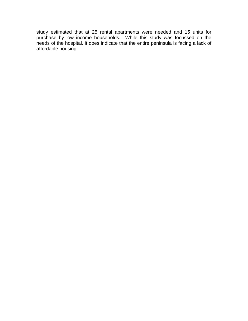study estimated that at 25 rental apartments were needed and 15 units for purchase by low income households. While this study was focussed on the needs of the hospital, it does indicate that the entire peninsula is facing a lack of affordable housing.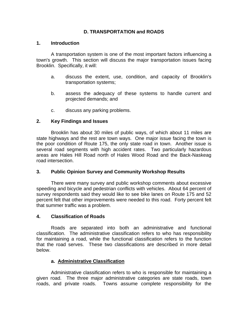# **D. TRANSPORTATION and ROADS**

## **1. Introduction**

A transportation system is one of the most important factors influencing a town's growth. This section will discuss the major transportation issues facing Brooklin. Specifically, it will:

- a. discuss the extent, use, condition, and capacity of Brooklin's transportation systems;
- b. assess the adequacy of these systems to handle current and projected demands; and
- c. discuss any parking problems.

## **2. Key Findings and Issues**

Brooklin has about 30 miles of public ways, of which about 11 miles are state highways and the rest are town ways. One major issue facing the town is the poor condition of Route 175, the only state road in town. Another issue is several road segments with high accident rates. Two particularly hazardous areas are Hales Hill Road north of Hales Wood Road and the Back-Naskeag road intersection.

## **3. Public Opinion Survey and Community Workshop Results**

There were many survey and public workshop comments about excessive speeding and bicycle and pedestrian conflicts with vehicles. About 64 percent of survey respondents said they would like to see bike lanes on Route 175 and 52 percent felt that other improvements were needed to this road. Forty percent felt that summer traffic was a problem.

#### **4. Classification of Roads**

Roads are separated into both an administrative and functional classification. The administrative classification refers to who has responsibility for maintaining a road, while the functional classification refers to the function that the road serves. These two classifications are described in more detail below.

#### **a. Administrative Classification**

Administrative classification refers to who is responsible for maintaining a given road. The three major administrative categories are state roads, town roads, and private roads. Towns assume complete responsibility for the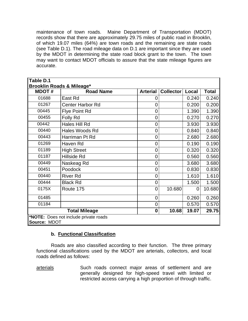maintenance of town roads. Maine Department of Transportation (MDOT) records show that there are approximately 29.75 miles of public road in Brooklin, of which 19.07 miles (64%) are town roads and the remaining are state roads (see Table D.1). The road mileage data on D.1 are important since they are used by the MDOT in determining the state road block grant to the town. The town may want to contact MDOT officials to assure that the state mileage figures are accurate.

| ∥Table D.1   |                                       |                 |                  |       |              |
|--------------|---------------------------------------|-----------------|------------------|-------|--------------|
|              | <b>Brooklin Roads &amp; Mileage*</b>  |                 |                  |       |              |
| <b>MDOT#</b> | <b>Road Name</b>                      | <b>Arterial</b> | <b>Collector</b> | Local | <b>Total</b> |
| 01688        | East Rd                               | 0               |                  | 0.240 | 0.240        |
| 01267        | <b>Center Harbor Rd</b>               | 0               |                  | 0.200 | 0.200        |
| 00445        | <b>Flye Point Rd</b>                  | $\overline{0}$  |                  | 1.390 | 1.390        |
| 00455        | Folly Rd                              | 0               |                  | 0.270 | 0.270        |
| 00442        | Hales Hill Rd                         | 0               |                  | 3.930 | 3.930        |
| 00440        | Hales Woods Rd                        | 0               |                  | 0.840 | 0.840        |
| 00443        | Harriman Pt Rd                        | 0               |                  | 2.680 | 2.680        |
| 01269        | Haven Rd                              | 0               |                  | 0.190 | 0.190        |
| 01189        | <b>High Street</b>                    | 0               |                  | 0.320 | 0.320        |
| 01187        | Hillside Rd                           | 0               |                  | 0.560 | 0.560        |
| 00449        | Naskeag Rd                            | 0               |                  | 3.680 | 3.680        |
| 00451        | Poodock                               | 0               |                  | 0.830 | 0.830        |
| 00440        | <b>River Rd</b>                       | 0               |                  | 1.610 | 1.610        |
| 00444        | <b>Black Rd</b>                       | 0               |                  | 1.500 | 1.500        |
| 0175X        | Route 175                             | 0               | 10.680           | 0     | 10.680       |
| 01485        |                                       | 0               |                  | 0.260 | 0.260        |
| 01184        |                                       | 0               |                  | 0.570 | 0.570        |
|              | <b>Total Mileage</b>                  | $\mathbf 0$     | 10.68            | 19.07 | 29.75        |
| Source: MDOT | *NOTE: Does not include private roads |                 |                  |       |              |

## **b. Functional Classification**

Roads are also classified according to their function. The three primary functional classifications used by the MDOT are arterials, collectors, and local roads defined as follows:

arterials Such roads connect major areas of settlement and are generally designed for high-speed travel with limited or restricted access carrying a high proportion of through traffic.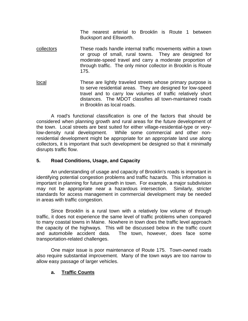The nearest arterial to Brooklin is Route 1 between Bucksport and Ellsworth.

- collectors These roads handle internal traffic movements within a town or group of small, rural towns. They are designed for moderate-speed travel and carry a moderate proportion of through traffic. The only minor collector in Brooklin is Route 175.
- local These are lightly traveled streets whose primary purpose is to serve residential areas. They are designed for low-speed travel and to carry low volumes of traffic relatively short distances. The MDOT classifies all town-maintained roads in Brooklin as local roads.

A road's functional classification is one of the factors that should be considered when planning growth and rural areas for the future development of the town. Local streets are best suited for either village-residential-type or verylow-density rural development. While some commercial and other nonresidential development might be appropriate for an appropriate land use along collectors, it is important that such development be designed so that it minimally disrupts traffic flow.

## **5. Road Conditions, Usage, and Capacity**

An understanding of usage and capacity of Brooklin's roads is important in identifying potential congestion problems and traffic hazards. This information is important in planning for future growth in town. For example, a major subdivision may not be appropriate near a hazardous intersection. Similarly, stricter standards for access management in commercial development may be needed in areas with traffic congestion.

Since Brooklin is a rural town with a relatively low volume of through traffic, it does not experience the same level of traffic problems when compared to many coastal towns in Maine. Nowhere in town does the traffic level approach the capacity of the highways. This will be discussed below in the traffic count and automobile accident data. The town, however, does face some transportation-related challenges.

One major issue is poor maintenance of Route 175. Town-owned roads also require substantial improvement. Many of the town ways are too narrow to allow easy passage of larger vehicles.

## **a. Traffic Counts**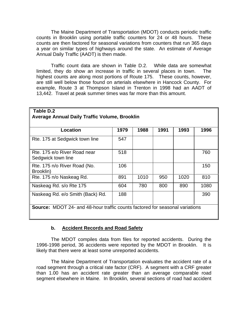The Maine Department of Transportation (MDOT) conducts periodic traffic counts in Brooklin using portable traffic counters for 24 or 48 hours. These counts are then factored for seasonal variations from counters that run 365 days a year on similar types of highways around the state. An estimate of Average Annual Daily Traffic (AADT) is then made.

Traffic count data are shown in Table D.2. While data are somewhat limited, they do show an increase in traffic in several places in town. The highest counts are along most portions of Route 175. These counts, however, are still well below those found on arterials elsewhere in Hancock County. For example, Route 3 at Thompson Island in Trenton in 1998 had an AADT of 13,442. Travel at peak summer times was far more than this amount.

| Table D.2                                                                           |      |      |      |      |      |
|-------------------------------------------------------------------------------------|------|------|------|------|------|
| <b>Average Annual Daily Traffic Volume, Brooklin</b>                                |      |      |      |      |      |
|                                                                                     |      |      |      |      |      |
| Location                                                                            | 1979 | 1988 | 1991 | 1993 | 1996 |
| Rte. 175 at Sedgwick town line                                                      | 547  |      |      |      |      |
| Rte. 175 e/o River Road near<br>Sedgwick town line                                  | 518  |      |      |      | 760  |
| Rte. 175 n/o River Road (No.<br>Brooklin)                                           | 106  |      |      |      | 150  |
| Rte. 175 n/o Naskeag Rd.                                                            | 891  | 1010 | 950  | 1020 | 810  |
| Naskeag Rd. s/o Rte 175                                                             | 604  | 780  | 800  | 890  | 1080 |
| Naskeag Rd. e/o Smith (Back) Rd.                                                    | 188  |      |      |      | 390  |
| <b>Source:</b> MDOT 24- and 48-hour traffic counts factored for seasonal variations |      |      |      |      |      |

## **b. Accident Records and Road Safety**

The MDOT compiles data from files for reported accidents. During the 1996-1998 period, 36 accidents were reported by the MDOT in Brooklin. It is likely that there were at least some unreported accidents.

The Maine Department of Transportation evaluates the accident rate of a road segment through a critical rate factor (CRF). A segment with a CRF greater than 1.00 has an accident rate greater than an average comparable road segment elsewhere in Maine. In Brooklin, several sections of road had accident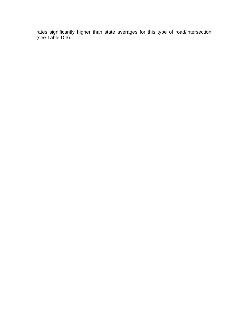rates significantly higher than state averages for this type of road/intersection (see Table D.3).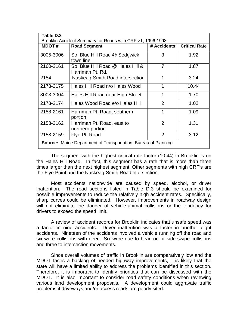| Table D.3    | Brooklin Accident Summary for Roads with CRF >1, 1996-1998            |                |                      |  |  |  |
|--------------|-----------------------------------------------------------------------|----------------|----------------------|--|--|--|
| <b>MDOT#</b> | <b>Road Segment</b>                                                   | # Accidents    | <b>Critical Rate</b> |  |  |  |
| 3005-3006    | So. Blue Hill Road @ Sedgwick<br>town line                            | 3              | 1.92                 |  |  |  |
| 2160-2161    | So. Blue Hill Road @ Hales Hill &<br>Harriman Pt. Rd.                 | $\overline{7}$ | 1.87                 |  |  |  |
| 2154         | Naskeag-Smith Road intersection                                       | 1              | 3.24                 |  |  |  |
| 2173-2175    | Hales Hill Road n/o Hales Wood                                        | 1              | 10.44                |  |  |  |
| 3003-3004    | Hales Hill Road near High Street                                      | 1              | 1.70                 |  |  |  |
| 2173-2174    | Hales Wood Road e/o Hales Hill                                        | 2              | 1.02                 |  |  |  |
| 2158-2161    | Harriman Pt. Road, southern<br>portion                                | 1              | 1.09                 |  |  |  |
| 2158-2162    | Harriman Pt. Road, east to<br>northern portion                        | $\mathcal{P}$  | 1.31                 |  |  |  |
| 2158-2159    | Flye Pt. Road                                                         | $\overline{2}$ | 3.12                 |  |  |  |
|              | <b>Source:</b> Maine Department of Transportation, Bureau of Planning |                |                      |  |  |  |

The segment with the highest critical rate factor (10.44) in Brooklin is on the Hales Hill Road. In fact, this segment has a rate that is more than three times larger than the next highest segment. Other segments with high CRF's are the Flye Point and the Naskeag-Smith Road intersection.

Most accidents nationwide are caused by speed, alcohol, or driver inattention. The road sections listed in Table D.3 should be examined for possible improvements to reduce the relatively high accident rates. Specifically, sharp curves could be eliminated. However, improvements in roadway design will not eliminate the danger of vehicle-animal collisions or the tendency for drivers to exceed the speed limit.

A review of accident records for Brooklin indicates that unsafe speed was a factor in nine accidents. Driver inattention was a factor in another eight accidents. Nineteen of the accidents involved a vehicle running off the road and six were collisions with deer. Six were due to head-on or side-swipe collisions and three to intersection movements.

Since overall volumes of traffic in Brooklin are comparatively low and the MDOT faces a backlog of needed highway improvements, it is likely that the state will have a limited ability to address the problems identified in this section. Therefore, it is important to identify priorities that can be discussed with the MDOT. It is also important to consider road safety conditions when reviewing various land development proposals. A development could aggravate traffic problems if driveways and/or access roads are poorly sited.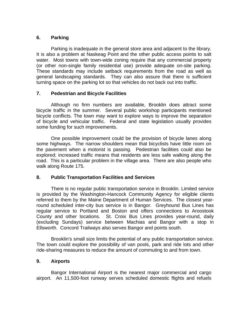## **6. Parking**

Parking is inadequate in the general store area and adjacent to the library. It is also a problem at Naskeag Point and the other public access points to salt water. Most towns with town-wide zoning require that any commercial property (or other non-single family residential use) provide adequate on-site parking. These standards may include setback requirements from the road as well as general landscaping standards. They can also assure that there is sufficient turning space on the parking lot so that vehicles do not back out into traffic.

## **7. Pedestrian and Bicycle Facilities**

Although no firm numbers are available, Brooklin does attract some bicycle traffic in the summer. Several public workshop participants mentioned bicycle conflicts. The town may want to explore ways to improve the separation of bicycle and vehicular traffic. Federal and state legislation usually provides some funding for such improvements.

One possible improvement could be the provision of bicycle lanes along some highways. The narrow shoulders mean that bicyclists have little room on the pavement when a motorist is passing. Pedestrian facilities could also be explored; increased traffic means that residents are less safe walking along the road. This is a particular problem in the village area. There are also people who walk along Route 175.

## **8. Public Transportation Facilities and Services**

There is no regular public transportation service in Brooklin. Limited service is provided by the Washington-Hancock Community Agency for eligible clients referred to them by the Maine Department of Human Services. The closest yearround scheduled inter-city bus service is in Bangor. Greyhound Bus Lines has regular service to Portland and Boston and offers connections to Aroostook County and other locations. St. Croix Bus Lines provides year-round, daily (excluding Sundays) service between Machias and Bangor with a stop in Ellsworth. Concord Trailways also serves Bangor and points south.

Brooklin's small size limits the potential of any public transportation service. The town could explore the possibility of van pools, park and ride lots and other ride-sharing measures to reduce the amount of commuting to and from town.

## **9. Airports**

Bangor International Airport is the nearest major commercial and cargo airport. An 11,500-foot runway serves scheduled domestic flights and refuels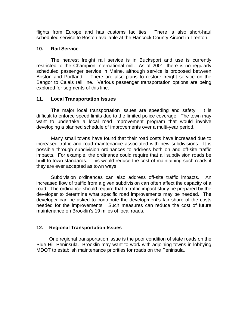flights from Europe and has customs facilities. There is also short-haul scheduled service to Boston available at the Hancock County Airport in Trenton.

### **10. Rail Service**

The nearest freight rail service is in Bucksport and use is currently restricted to the Champion International mill. As of 2001, there is no regularly scheduled passenger service in Maine, although service is proposed between Boston and Portland. There are also plans to restore freight service on the Bangor to Calais rail line. Various passenger transportation options are being explored for segments of this line.

## **11. Local Transportation Issues**

The major local transportation issues are speeding and safety. It is difficult to enforce speed limits due to the limited police coverage. The town may want to undertake a local road improvement program that would involve developing a planned schedule of improvements over a multi-year period.

Many small towns have found that their road costs have increased due to increased traffic and road maintenance associated with new subdivisions. It is possible through subdivision ordinances to address both on and off-site traffic impacts. For example, the ordinance could require that all subdivision roads be built to town standards. This would reduce the cost of maintaining such roads if they are ever accepted as town ways.

Subdivision ordinances can also address off-site traffic impacts. An increased flow of traffic from a given subdivision can often affect the capacity of a road. The ordinance should require that a traffic impact study be prepared by the developer to determine what specific road improvements may be needed. The developer can be asked to contribute the development's fair share of the costs needed for the improvements. Such measures can reduce the cost of future maintenance on Brooklin's 19 miles of local roads.

## **12. Regional Transportation Issues**

One regional transportation issue is the poor condition of state roads on the Blue Hill Peninsula. Brooklin may want to work with adjoining towns in lobbying MDOT to establish maintenance priorities for roads on the Peninsula.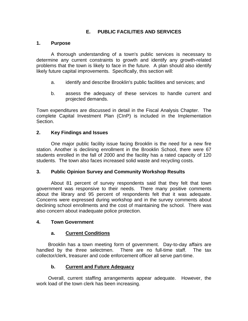# **E. PUBLIC FACILITIES AND SERVICES**

## **1. Purpose**

A thorough understanding of a town's public services is necessary to determine any current constraints to growth and identify any growth-related problems that the town is likely to face in the future. A plan should also identify likely future capital improvements. Specifically, this section will:

- a. identify and describe Brooklin's public facilities and services; and
- b. assess the adequacy of these services to handle current and projected demands.

Town expenditures are discussed in detail in the Fiscal Analysis Chapter. The complete Capital Investment Plan (CInP) is included in the Implementation Section.

## **2. Key Findings and Issues**

One major public facility issue facing Brooklin is the need for a new fire station. Another is declining enrollment in the Brooklin School, there were 67 students enrolled in the fall of 2000 and the facility has a rated capacity of 120 students. The town also faces increased solid waste and recycling costs.

## **3. Public Opinion Survey and Community Workshop Results**

About 81 percent of survey respondents said that they felt that town government was responsive to their needs. There many positive comments about the library and 95 percent of respondents felt that it was adequate. Concerns were expressed during workshop and in the survey comments about declining school enrollments and the cost of maintaining the school. There was also concern about inadequate police protection.

## **4. Town Government**

## **a. Current Conditions**

Brooklin has a town meeting form of government. Day-to-day affairs are handled by the three selectmen. There are no full-time staff. The tax collector/clerk, treasurer and code enforcement officer all serve part-time.

## **b. Current and Future Adequacy**

Overall, current staffing arrangements appear adequate. However, the work load of the town clerk has been increasing.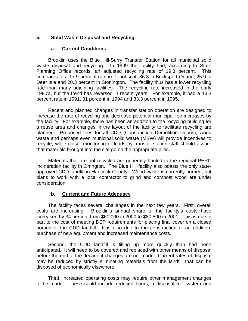## **5. Solid Waste Disposal and Recycling**

### **a. Current Conditions**

Brooklin uses the Blue Hill-Surry Transfer Station for all municipal solid waste disposal and recycling. In 1999 the facility had, according to State Planning Office records, an adjusted recycling rate of 19.3 percent. This compares to a 17.9 percent rate in Penobscot, 36.3 in Bucksport-Orland, 25.9 in Deer Isle and 20.3 percent in Stonington. The facility thus has a lower recycling rate than many adjoining facilities. The recycling rate increased in the early 1990's, but the trend has reversed in recent years. For example, it had a 13.3 percent rate in 1991, 31 percent in 1994 and 33.3 percent in 1995.

Recent and planned changes in transfer station operation are designed to increase the rate of recycling and decrease potential municipal fee increases by the facility. For example, there has been an addition to the recycling building for a reuse area and changes in the layout of the facility to facilitate recycling are planned. Proposed fees for all CDD (Construction Demolition Debris), wood waste and perhaps even municipal solid waste (MSW) will provide incentives to recycle, while closer monitoring of loads by transfer station staff should assure that materials brought into the site go on the appropriate piles.

Materials that are not recycled are generally hauled to the regional PERC incineration facility in Orrington. The Blue Hill facility also boasts the only stateapproved CDD landfill in Hancock County. Wood waste is currently burned, but plans to work with a local contractor to grind and compost wood are under consideration.

## **b. Current and Future Adequacy**

The facility faces several challenges in the next few years. First, overall costs are increasing. Brooklin's annual share of the facility's costs have increased by 34 percent from \$60,000 in 2000 to \$80,500 in 2001. This is due in part to the cost of meeting DEP requirements for placing final cover on a closed portion of the CDD landfill. It is also due to the construction of an addition, purchase of new equipment and increased maintenance costs.

Second, the CDD landfill is filling up more quickly than had been anticipated. It will need to be covered and replaced with other means of disposal before the end of the decade if changes are not made. Current rates of disposal may be reduced by strictly eliminating materials from the landfill that can be disposed of economically elsewhere.

Third, increased operating costs may require other management changes to be made. These could include reduced hours, a disposal fee system and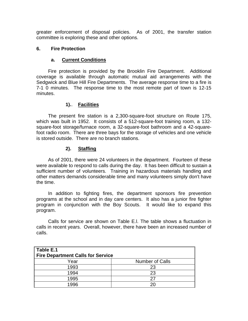greater enforcement of disposal policies. As of 2001, the transfer station committee is exploring these and other options.

## **6. Fire Protection**

### **a. Current Conditions**

Fire protection is provided by the Brooklin Fire Department. Additional coverage is available through automatic mutual aid arrangements with the Sedgwick and Blue Hill Fire Departments. The average response time to a fire is 7-1 0 minutes. The response time to the most remote part of town is 12-15 minutes.

## **1).**. **Facilities**

The present fire station is a 2,300-square-foot structure on Route 175, which was built in 1952. It consists of a 512-square-foot training room, a 132 square-foot storage/furnace room, a 32-square-foot bathroom and a 42-squarefoot radio room. There are three bays for the storage of vehicles and one vehicle is stored outside. There are no branch stations.

## **2). Staffing**

As of 2001, there were 24 volunteers in the department. Fourteen of these were available to respond to calls during the day. It has been difficult to sustain a sufficient number of volunteers. Training in hazardous materials handling and other matters demands considerable time and many volunteers simply don't have the time.

In addition to fighting fires, the department sponsors fire prevention programs at the school and in day care centers. It also has a junior fire fighter program in conjunction with the Boy Scouts. It would like to expand this program.

Calls for service are shown on Table E.l. The table shows a fluctuation in calls in recent years. Overall, however, there have been an increased number of calls.

| Table E.1<br><b>Fire Department Calls for Service</b> |                        |  |  |  |  |
|-------------------------------------------------------|------------------------|--|--|--|--|
| Year                                                  | <b>Number of Calls</b> |  |  |  |  |
| 1993                                                  | 23                     |  |  |  |  |
| 1994                                                  | 23                     |  |  |  |  |
| 1995                                                  | 27                     |  |  |  |  |
| 1996                                                  | 20                     |  |  |  |  |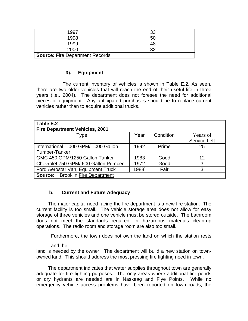| 1997                                   | っっ        |  |  |
|----------------------------------------|-----------|--|--|
| 1998                                   | <b>5C</b> |  |  |
| 1999                                   |           |  |  |
| 2000                                   | າດ        |  |  |
| <b>Source: Fire Department Records</b> |           |  |  |

## **3). Equipment**

The current inventory of vehicles is shown in Table E.2. As seen, there are two older vehicles that will reach the end of their useful life in three years (i.e., 2004). The department does not foresee the need for additional pieces of equipment. Any anticipated purchases should be to replace current vehicles rather than to acquire additional trucks.

| Table E.2<br><b>Fire Department Vehicles, 2001</b>      |      |           |              |  |  |  |
|---------------------------------------------------------|------|-----------|--------------|--|--|--|
| Type                                                    | Year | Condition | Years of     |  |  |  |
|                                                         |      |           | Service Left |  |  |  |
| International 1,000 GPM/1,000 Gallon                    | 1992 | Prime     | 25           |  |  |  |
| Pumper-Tanker                                           |      |           |              |  |  |  |
| GMC 450 GPM/1250 Gallon Tanker                          | 1983 | Good      | 12           |  |  |  |
| Chevrolet 750 GPM/ 600 Gallon Pumper                    | 1972 | Good      | 3            |  |  |  |
| Ford Aerostar Van, Equipment Truck<br>Fair<br>1988<br>3 |      |           |              |  |  |  |
| <b>Source:</b> Brooklin Fire Department                 |      |           |              |  |  |  |

## **b. Current and Future Adequacy**

The major capital need facing the fire department is a new fire station. The current facility is too small. The vehicle storage area does not allow for easy storage of three vehicles and one vehicle must be stored outside. The bathroom does not meet the standards required for hazardous materials clean-up operations. The radio room and storage room are also too small.

Furthermore, the town does not own the land on which the station rests

#### and the

land is needed by the owner. The department will build a new station on townowned land. This should address the most pressing fire fighting need in town.

The department indicates that water supplies throughout town are generally adequate for fire fighting purposes. The only areas where additional fire ponds or dry hydrants are needed are in Naskeag and Flye Points. While no emergency vehicle access problems have been reported on town roads, the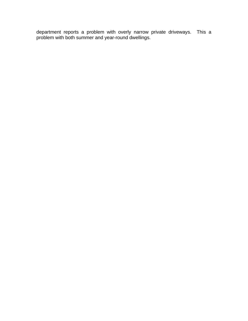department reports a problem with overly narrow private driveways. This a problem with both summer and year-round dwellings.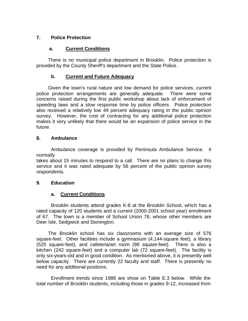# **7. Police Protection**

## **a. Current Conditions**

There is no municipal police department in Brooklin. Police protection is provided by the County Sheriff's department and the State Police.

# **b. Current and Future Adequacy**

Given the town's rural nature and low demand for police services, current police protection arrangements are generally adequate. There were some concerns raised during the first public workshop about lack of enforcement of speeding laws and a slow response time by police officers. Police protection also received a relatively low 49 percent adequacy rating in the public opinion survey. However, the cost of contracting for any additional police protection makes it very unlikely that there would be an expansion of police service in the future.

## **8. Ambulance**

Ambulance coverage is provided by Peninsula Ambulance Service. It normally

takes about 15 minutes to respond to a call. There are no plans to change this service and it was rated adequate by 56 percent of the public opinion survey respondents.

## **9. Education**

## **a. Current Conditions**

Brooklin students attend grades K-8 at the Brooklin School, which has a rated capacity of 120 students and a current (2000-2001 school year) enrollment of 67. The town is a member of School Union 76, whose other members are Deer Isle, Sedgwick and Stonington.

The Brooklin school has six classrooms with an average size of 576 square-feet. Other facilities include a gymnasium (4,144-square feet), a library (520 square-feet), and cafeteria/art room (98 square-feet). There is also a kitchen (242 square-feet) and a computer lab (72 square-feet). The facility is only six-years-old and in good condition. As mentioned above, it is presently well below capacity. There are currently 22 faculty and staff. There is presently no need for any additional positions.

Enrollment trends since 1986 are show on Table E.3 below. While the total number of Brooklin students, including those in grades 9-12, increased from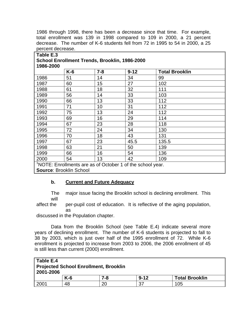1986 through 1998, there has been a decrease since that time. For example, total enrollment was 139 in 1998 compared to 109 in 2000, a 21 percent decrease. The number of K-6 students fell from 72 in 1995 to 54 in 2000, a 25 percent decrease.

|      | $K-6$ | $7 - 8$ | $9 - 12$ | <b>Total Brooklin</b> |
|------|-------|---------|----------|-----------------------|
| 1986 | 51    | 14      | 34       | 99                    |
| 1987 | 60    | 15      | 27       | 102                   |
| 1988 | 61    | 18      | 32       | 111                   |
| 1989 | 56    | 14      | 33       | 103                   |
| 1990 | 66    | 13      | 33       | 112                   |
| 1991 | 71    | 10      | 31       | 112                   |
| 1992 | 75    | 13      | 24       | 112                   |
| 1993 | 69    | 16      | 29       | 114                   |
| 1994 | 67    | 23      | 28       | 118                   |
| 1995 | 72    | 24      | 34       | 130                   |
| 1996 | 70    | 18      | 43       | 131                   |
| 1997 | 67    | 23      | 45.5     | 135.5                 |
| 1998 | 63    | 21      | 50       | 139                   |
| 1999 | 66    | 16      | 54       | 136                   |
| 2000 | 54    | 13      | 42       | 109                   |

## **b. Current and Future Adequacy**

The major issue facing the Brooklin school is declining enrollment. This will

affect the per-pupil cost of education. It is reflective of the aging population, as

discussed in the Population chapter.

Data from the Brooklin School (see Table E.4) indicate several more years of declining enrollment. The number of K-6 students is projected to fall to 38 by 2003, which is just over half of the 1995 enrollment of 72. While K-6 enrollment is projected to increase from 2003 to 2006, the 2006 enrollment of 45 is still less than current (2000) enrollment.

| ∥ Table E.4<br>Projected School Enrollment, Brooklin<br>2001-2006 |       |     |          |                       |  |
|-------------------------------------------------------------------|-------|-----|----------|-----------------------|--|
|                                                                   | $K-6$ | 7-8 | $9 - 12$ | <b>Total Brooklin</b> |  |
| 2001                                                              | 48    | 20  | 37       | 105                   |  |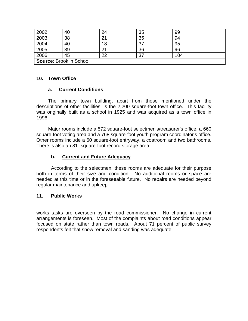| 2002                    | 40 | 24 | 35 | 99  |
|-------------------------|----|----|----|-----|
| 2003                    | 38 | 21 | 35 | 94  |
| 2004                    | 40 | 18 | 37 | 95  |
| 2005                    | 39 | つ1 | 36 | 96  |
| 2006                    | 45 | າາ | 37 | 104 |
| Source: Brooklin School |    |    |    |     |

### **10. Town Office**

## **a. Current Conditions**

The primary town building, apart from those mentioned under the descriptions of other facilities, is the 2,200 square-foot town office. This facility was originally built as a school in 1925 and was acquired as a town office in 1996.

Major rooms include a 572 square-foot selectmen's/treasurer's office, a 660 square-foot voting area and a 768 square-foot youth program coordinator's office. Other rooms include a 60 square-foot entryway, a coatroom and two bathrooms. There is also an 81 -square-foot record storage area

#### **b. Current and Future Adequacy**

According to the selectmen, these rooms are adequate for their purpose both in terms of their size and condition. No additional rooms or space are needed at this time or in the foreseeable future. No repairs are needed beyond regular maintenance and upkeep.

#### **11. Public Works**

works tasks are overseen by the road commissioner. No change in current arrangements is foreseen. Most of the complaints about road conditions appear focused on state rather than town roads. About 71 percent of public survey respondents felt that snow removal and sanding was adequate.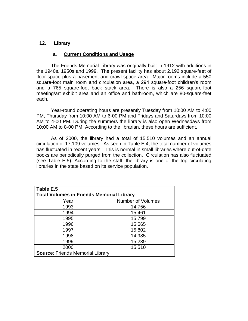## **12. Library**

### **a. Current Conditions and Usage**

The Friends Memorial Library was originally built in 1912 with additions in the 1940s, 1950s and 1999. The present facility has about 2,192 square-feet of floor space plus a basement and crawl space area. Major rooms include a 550 square-foot main room and circulation area, a 294 square-foot children's room and a 765 square-foot back stack area. There is also a 256 square-foot meeting/art exhibit area and an office and bathroom, which are 80-square-feet each.

Year-round operating hours are presently Tuesday from 10:00 AM to 4:00 PM, Thursday from 10:00 AM to 6-00 PM and Fridays and Saturdays from 10:00 AM to 4-00 PM. During the summers the library is also open Wednesdays from 10:00 AM to 8-00 PM. According to the librarian, these hours are sufficient.

As of 2000, the library had a total of 15,510 volumes and an annual circulation of 17,109 volumes. As seen in Table E.4, the total number of volumes has fluctuated in recent years. This is normal in small libraries where out-of-date books are periodically purged from the collection. Circulation has also fluctuated (see Table E.5). According to the staff, the library is one of the top circulating libraries in the state based on its service population.

| Table E.5                                        |        |  |  |  |  |
|--------------------------------------------------|--------|--|--|--|--|
| <b>Total Volumes in Friends Memorial Library</b> |        |  |  |  |  |
| <b>Number of Volumes</b><br>Year                 |        |  |  |  |  |
| 1993                                             | 14,756 |  |  |  |  |
| 1994                                             | 15,461 |  |  |  |  |
| 1995                                             | 15,799 |  |  |  |  |
| 1996                                             | 15,565 |  |  |  |  |
| 1997                                             | 15,802 |  |  |  |  |
| 1998                                             | 14,985 |  |  |  |  |
| 1999                                             | 15,239 |  |  |  |  |
| 2000                                             | 15,510 |  |  |  |  |
| <b>Source: Friends Memorial Library</b>          |        |  |  |  |  |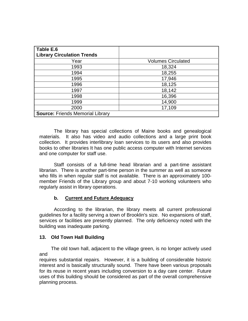| Table E.6<br><b>Library Circulation Trends</b> |                           |
|------------------------------------------------|---------------------------|
| Year                                           | <b>Volumes Circulated</b> |
| 1993                                           | 18,324                    |
| 1994                                           | 18,255                    |
| 1995                                           | 17,946                    |
| 1996                                           | 18,125                    |
| 1997                                           | 18,142                    |
| 1998                                           | 16,396                    |
| 1999                                           | 14,900                    |
| 2000                                           | 17,109                    |
| <b>Source: Friends Memorial Library</b>        |                           |

The library has special collections of Maine books and genealogical materials. It also has video and audio collections and a large print book collection. It provides interlibrary loan services to its users and also provides books to other libraries It has one public access computer with Internet services and one computer for staff use.

Staff consists of a full-time head librarian and a part-time assistant librarian. There is another part-time person in the summer as well as someone who fills in when regular staff is not available. There is an approximately 100 member Friends of the Library group and about 7-10 working volunteers who regularly assist in library operations.

## **b. Current and Future Adequacy**

According to the librarian, the library meets all current professional guidelines for a facility serving a town of Brooklin's size. No expansions of staff, services or facilities are presently planned. The only deficiency noted with the building was inadequate parking.

## **13. Old Town Hall Building**

The old town hall, adjacent to the village green, is no longer actively used and

requires substantial repairs. However, it is a building of considerable historic interest and is basically structurally sound. There have been various proposals for its reuse in recent years including conversion to a day care center. Future uses of this building should be considered as part of the overall comprehensive planning process.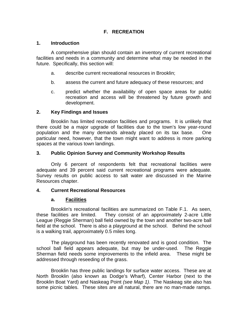# **F. RECREATION**

### **1. Introduction**

A comprehensive plan should contain an inventory of current recreational facilities and needs in a community and determine what may be needed in the future. Specifically, this section will:

- a. describe current recreational resources in Brooklin;
- b. assess the current and future adequacy of these resources; and
- c. predict whether the availability of open space areas for public recreation and access will be threatened by future growth and development.

#### **2. Key Findings and Issues**

Brooklin has limited recreation facilities and programs. It is unlikely that there could be a major upgrade of facilities due to the town's low year-round population and the many demands already placed on its tax base. One particular need, however, that the town might want to address is more parking spaces at the various town landings.

#### **3. Public Opinion Survey and Community Workshop Results**

Only 6 percent of respondents felt that recreational facilities were adequate and 39 percent said current recreational programs were adequate. Survey results on public access to salt water are discussed in the Marine Resources chapter.

#### **4. Current Recreational Resources**

#### **a. Facilities**

Brooklin's recreational facilities are summarized on Table F.1. As seen, these facilities are limited. They consist of an approximately 2-acre Little League (Reggie Sherman) ball field owned by the town and another two-acre ball field at the school. There is also a playground at the school. Behind the school is a walking trail, approximately 0.5 miles long.

The playground has been recently renovated and is good condition. The school ball field appears adequate, but may be under-used. The Reggie Sherman field needs some improvements to the infield area. These might be addressed through reseeding of the grass.

Brooklin has three public landings for surface water access. These are at North Brooklin (also known as Dodge's Wharf), Center Harbor (next to the Brooklin Boat Yard) and Naskeag Point *(see Map 1)*. The Naskeag site also has some picnic tables. These sites are all natural, there are no man-made ramps.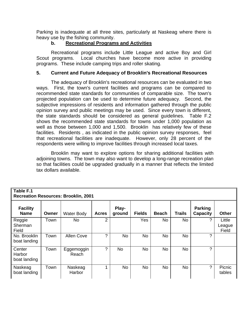Parking is inadequate at all three sites, particularly at Naskeag where there is heavy use by the fishing community.

## **b. Recreational Programs and Activities**

Recreational programs include Little League and active Boy and Girl Scout programs. Local churches have become more active in providing programs. These include camping trips and roller skating.

## **5. Current and Future Adequacy of Brooklin's Recreational Resources**

The adequacy of Brooklin's recreational resources can be evaluated in two ways. First, the town's current facilities and programs can be compared to recommended state standards for communities of comparable size. The town's projected population can be used to determine future adequacy. Second, the subjective impressions of residents and information gathered through the public opinion survey and public meetings may be used. Since every town is different, the state standards should be considered as general guidelines. Table F.2 shows the recommended state standards for towns under 1,000 population as well as those between 1,000 and 1,500. Brooklin has relatively few of these facilities. Residents , as indicated in the public opinion survey responses, feel that recreational facilities are inadequate. However, only 28 percent of the respondents were willing to improve facilities through increased local taxes.

Brooklin may want to explore options for sharing additional facilities with adjoining towns. The town may also want to develop a long-range recreation plan so that facilities could be upgraded gradually in a manner that reflects the limited tax dollars available.

| Table F.1<br><b>Recreation Resources: Brooklin, 2001</b> |       |                     |              |                 |               |              |               |                                   |                           |
|----------------------------------------------------------|-------|---------------------|--------------|-----------------|---------------|--------------|---------------|-----------------------------------|---------------------------|
| <b>Facility</b><br><b>Name</b>                           | Owner | <b>Water Body</b>   | <b>Acres</b> | Play-<br>ground | <b>Fields</b> | <b>Beach</b> | <b>Trails</b> | <b>Parking</b><br><b>Capacity</b> | <b>Other</b>              |
| Reggie<br>Sherman<br>Field                               | Town  | No                  | 2            |                 | Yes           | <b>No</b>    | No            | ?                                 | Little<br>League<br>Field |
| No. Brooklin<br>boat landing                             | Town  | <b>Allen Cove</b>   | っ            | <b>No</b>       | <b>No</b>     | <b>No</b>    | No            | ?                                 |                           |
| Center<br>Harbor<br>boat landing                         | Town  | Eggemoggin<br>Reach | 2            | No              | <b>No</b>     | <b>No</b>    | No            | ?                                 |                           |
| Naskeag<br>boat landing                                  | Town  | Naskeag<br>Harbor   | ◢            | <b>No</b>       | <b>No</b>     | <b>No</b>    | No            | ?                                 | Picnic<br>tables          |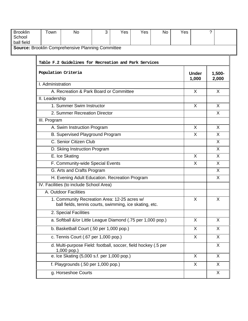| <b>Brooklin</b><br>School                                | Town                                                                                                    | <b>No</b>                                             | 3 | Yes | Yes | <b>No</b> | Yes                |              | ?            |
|----------------------------------------------------------|---------------------------------------------------------------------------------------------------------|-------------------------------------------------------|---|-----|-----|-----------|--------------------|--------------|--------------|
| ball field                                               |                                                                                                         |                                                       |   |     |     |           |                    |              |              |
| <b>Source: Brooklin Comprehensive Planning Committee</b> |                                                                                                         |                                                       |   |     |     |           |                    |              |              |
|                                                          |                                                                                                         |                                                       |   |     |     |           |                    |              |              |
|                                                          |                                                                                                         | Table F.2 Guidelines for Recreation and Park Services |   |     |     |           |                    |              |              |
|                                                          | Population Criteria<br><b>Under</b>                                                                     |                                                       |   |     |     | 1,000     | $1,500 -$<br>2,000 |              |              |
|                                                          | I. Administration                                                                                       |                                                       |   |     |     |           |                    |              |              |
|                                                          |                                                                                                         | A. Recreation & Park Board or Committee               |   |     |     |           |                    | $\mathsf{X}$ | X            |
|                                                          | II. Leadership                                                                                          |                                                       |   |     |     |           |                    |              |              |
|                                                          |                                                                                                         | 1. Summer Swim Instructor                             |   |     |     |           |                    | $\mathsf{X}$ | $\sf X$      |
|                                                          |                                                                                                         | 2. Summer Recreation Director                         |   |     |     |           |                    |              | $\mathsf{X}$ |
|                                                          | III. Program                                                                                            |                                                       |   |     |     |           |                    |              |              |
|                                                          |                                                                                                         | A. Swim Instruction Program                           |   |     |     |           |                    | $\sf X$      | $\sf X$      |
|                                                          | B. Supervised Playground Program                                                                        |                                                       |   |     |     |           |                    | $\mathsf{X}$ | $\mathsf{X}$ |
|                                                          | C. Senior Citizen Club                                                                                  |                                                       |   |     |     |           |                    |              | X            |
|                                                          | D. Skiing Instruction Program                                                                           |                                                       |   |     |     |           |                    |              | $\sf X$      |
|                                                          | E. Ice Skating                                                                                          |                                                       |   |     |     |           |                    | $\mathsf{X}$ | X            |
|                                                          | F. Community-wide Special Events                                                                        |                                                       |   |     |     |           |                    | X            | $\sf X$      |
|                                                          | G. Arts and Crafts Program                                                                              |                                                       |   |     |     |           |                    |              | $\sf X$      |
|                                                          | H. Evening Adult Education. Recreation Program                                                          |                                                       |   |     |     |           |                    |              | $\mathsf{X}$ |
|                                                          | IV. Facilities (to include School Area)                                                                 |                                                       |   |     |     |           |                    |              |              |
|                                                          |                                                                                                         | A. Outdoor Facilities                                 |   |     |     |           |                    |              |              |
|                                                          | 1. Community Recreation Area: 12-25 acres w/<br>ball fields, tennis courts, swimming, ice skating, etc. |                                                       |   |     |     |           | X                  | X            |              |
|                                                          | 2. Special Facilities                                                                                   |                                                       |   |     |     |           |                    |              |              |
|                                                          | a. Softball &/or Little League Diamond (.75 per 1,000 pop.)                                             |                                                       |   |     |     |           |                    | $\mathsf{X}$ | $\sf X$      |
|                                                          | b. Basketball Court (.50 per 1,000 pop.)                                                                |                                                       |   |     |     |           |                    | $\mathsf{X}$ | $\sf X$      |
|                                                          | c. Tennis Court (.67 per 1,000 pop.)                                                                    |                                                       |   |     |     |           | $\mathsf{X}$       | X            |              |
|                                                          | d. Multi-purpose Field: football, soccer, field hockey (.5 per<br>1,000 pop.)                           |                                                       |   |     |     |           | X                  |              |              |
|                                                          |                                                                                                         | e. Ice Skating (5,000 s.f. per 1,000 pop.)            |   |     |     |           |                    | X            | $\sf X$      |
|                                                          | X<br>X<br>f. Playgrounds (.50 per 1,000 pop.)                                                           |                                                       |   |     |     |           |                    |              |              |
|                                                          | g. Horseshoe Courts                                                                                     |                                                       |   |     |     |           |                    | X            |              |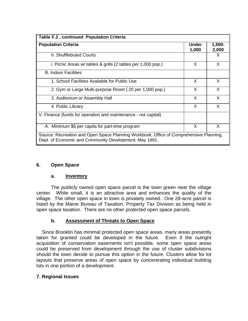| Table F.2, continued: Population Criteria                                                                                                        |                       |                 |  |  |
|--------------------------------------------------------------------------------------------------------------------------------------------------|-----------------------|-----------------|--|--|
| <b>Population Criteria</b>                                                                                                                       | <b>Under</b><br>1,000 | 1,500-<br>2,000 |  |  |
| h. Shuffleboard Courts                                                                                                                           |                       | X               |  |  |
| i. Picnic Areas w/ tables & grills (2 tables per 1,000 pop.)                                                                                     | X                     | X               |  |  |
| <b>B. Indoor Facilities</b>                                                                                                                      |                       |                 |  |  |
| 1. School Facilities Available for Public Use                                                                                                    | X                     | X               |  |  |
| 2. Gym or Large Multi-purpose Room (.20 per 1,000 pop.)                                                                                          | X                     | X               |  |  |
| 3. Auditorium or Assembly Hall                                                                                                                   | X                     | X               |  |  |
| 4. Public Library                                                                                                                                | X                     | X               |  |  |
| V. Finance (funds for operation and maintenance - not capital)                                                                                   |                       |                 |  |  |
| A. Minimum \$6 per capita for part-time program                                                                                                  | X                     | X               |  |  |
| Source: Recreation and Open Space Planning Workbook, Office of Comprehensive Planning,<br>Dept. of Economic and Community Development; May 1991. |                       |                 |  |  |

## **6. Open Space**

## **a. Inventory**

The publicly owned open space parcel is the town green near the village center. While small, it is an attractive area and enhances the quality of the village. The other open space in town is privately owned. One 28-acre parcel is listed by the Maine Bureau of Taxation, Property Tax Division as being held in open space taxation. There are no other protected open space parcels.

## **b. Assessment of Threats to Open Space**

Since Brooklin has minimal protected open space areas, many areas presently taken for granted could be developed in the future. Even if the outright acquisition of conservation easements isn't possible, some open space areas could be preserved from development through the use of cluster subdivisions should the town decide to pursue this option in the future. Clusters allow for lot layouts that preserve areas of open space by concentrating individual building lots in one portion of a development.

## **7. Regional Issues**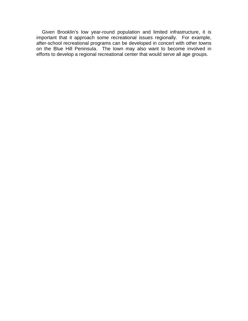Given Brooklin's low year-round population and limited infrastructure, it is important that it approach some recreational issues regionally. For example, after-school recreational programs can be developed in concert with other towns on the Blue Hill Peninsula. The town may also want to become involved in efforts to develop a regional recreational center that would serve all age groups.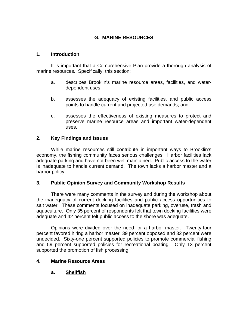# **G. MARINE RESOURCES**

### **1. Introduction**

It is important that a Comprehensive Plan provide a thorough analysis of marine resources. Specifically, this section:

- a. describes Brooklin's marine resource areas, facilities, and waterdependent uses;
- b. assesses the adequacy of existing facilities, and public access points to handle current and projected use demands; and
- c. assesses the effectiveness of existing measures to protect and preserve marine resource areas and important water-dependent uses.

## **2. Key Findings and Issues**

While marine resources still contribute in important ways to Brooklin's economy, the fishing community faces serious challenges. Harbor facilities lack adequate parking and have not been well maintained. Public access to the water is inadequate to handle current demand. The town lacks a harbor master and a harbor policy.

## **3. Public Opinion Survey and Community Workshop Results**

There were many comments in the survey and during the workshop about the inadequacy of current docking facilities and public access opportunities to salt water. These comments focused on inadequate parking, overuse, trash and aquaculture. Only 35 percent of respondents felt that town docking facilities were adequate and 42 percent felt public access to the shore was adequate.

Opinions were divided over the need for a harbor master. Twenty-four percent favored hiring a harbor master, 39 percent opposed and 32 percent were undecided. Sixty-one percent supported policies to promote commercial fishing and 59 percent supported policies for recreational boating. Only 13 percent supported the promotion of fish processing.

## **4. Marine Resource Areas**

**a. Shellfish**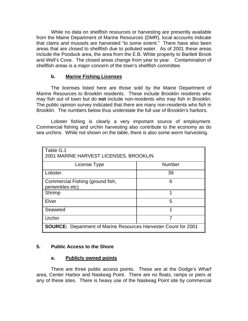While no data on shellfish resources or harvesting are presently available from the Maine Department of Marine Resources (DMR), local accounts indicate that clams and mussels are harvested "to some extent." There have also been areas that are closed to shellfish due to polluted water. As of 2001 these areas include the Pooduck area, the area from the E.B. White property to Bartlett Brook and Well's Cove. The closed areas change from year to year. Contamination of shellfish areas is a major concern of the town's shellfish committee.

## **b. Marine Fishing Licenses**

The licenses listed here are those sold by the Maine Department of Marine Resources to Brooklin residents. These include Brooklin residents who may fish out of town but do **not** include non-residents who may fish in Brooklin. The public opinion survey indicated that there are many non-residents who fish in Brooklin. The numbers below thus understate the full use of Brooklin's harbors.

Lobster fishing is clearly a very important source of employment. Commercial fishing and urchin harvesting also contribute to the economy as do sea urchins. While not shown on the table, there is also some worm harvesting.

| Table G.1<br>2001 MARINE HARVEST LICENSES, BROOKLIN                    |               |  |  |  |
|------------------------------------------------------------------------|---------------|--|--|--|
|                                                                        |               |  |  |  |
| License Type                                                           | <b>Number</b> |  |  |  |
| Lobster                                                                | 39            |  |  |  |
| Commercial Fishing (ground fish,<br>periwinkles etc)                   | 6             |  |  |  |
| Shrimp                                                                 | 1             |  |  |  |
| Elver                                                                  | 5             |  |  |  |
| Seaweed                                                                |               |  |  |  |
| Urchin                                                                 | 7             |  |  |  |
| <b>SOURCE:</b> Department of Marine Resources Harvester Count for 2001 |               |  |  |  |

## **5. Public Access to the Shore**

## **a. Publicly owned points**

There are three public access points. These are at the Dodge's Wharf area, Center Harbor and Naskeag Point. There are no floats, ramps or piers at any of these sites. There is heavy use of the Naskeag Point site by commercial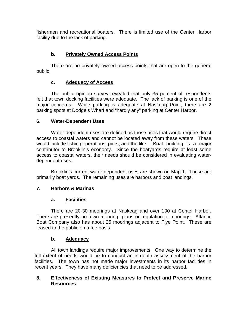fishermen and recreational boaters. There is limited use of the Center Harbor facility due to the lack of parking.

# **b. Privately Owned Access Points**

There are no privately owned access points that are open to the general public.

# **c. Adequacy of Access**

The public opinion survey revealed that only 35 percent of respondents felt that town docking facilities were adequate. The lack of parking is one of the major concerns. While parking is adequate at Naskeag Point, there are 2 parking spots at Dodge's Wharf and "hardly any" parking at Center Harbor.

## **6. Water-Dependent Uses**

Water-dependent uses are defined as those uses that would require direct access to coastal waters and cannot be located away from these waters. These would include fishing operations, piers, and the like. Boat building is a major contributor to Brooklin's economy. Since the boatyards require at least some access to coastal waters, their needs should be considered in evaluating waterdependent uses.

Brooklin's current water-dependent uses are shown on Map 1. These are primarily boat yards. The remaining uses are harbors and boat landings.

# **7. Harbors & Marinas**

## **a. Facilities**

There are 20-30 moorings at Naskeag and over 100 at Center Harbor. There are presently no town mooring plans or regulation of moorings. Atlantic Boat Company also has about 25 moorings adjacent to Flye Point. These are leased to the public on a fee basis.

## **b. Adequacy**

All town landings require major improvements. One way to determine the full extent of needs would be to conduct an in-depth assessment of the harbor facilities. The town has not made major investments in its harbor facilities in recent years. They have many deficiencies that need to be addressed.

## **8. Effectiveness of Existing Measures to Protect and Preserve Marine Resources**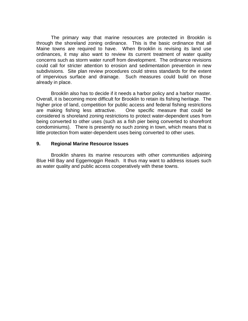The primary way that marine resources are protected in Brooklin is through the shoreland zoning ordinance. This is the basic ordinance that all Maine towns are required to have. When Brooklin is revising its land use ordinances, it may also want to review its current treatment of water quality concerns such as storm water runoff from development. The ordinance revisions could call for stricter attention to erosion and sedimentation prevention in new subdivisions. Site plan review procedures could stress standards for the extent of impervious surface and drainage. Such measures could build on those already in place.

Brooklin also has to decide if it needs a harbor policy and a harbor master. Overall, it is becoming more difficult for Brooklin to retain its fishing heritage. The higher price of land, competition for public access and federal fishing restrictions are making fishing less attractive. One specific measure that could be considered is shoreland zoning restrictions to protect water-dependent uses from being converted to other uses (such as a fish pier being converted to shorefront condominiums). There is presently no such zoning in town, which means that is little protection from water-dependent uses being converted to other uses.

#### **9. Regional Marine Resource Issues**

Brooklin shares its marine resources with other communities adjoining Blue Hill Bay and Eggemoggin Reach. It thus may want to address issues such as water quality and public access cooperatively with these towns.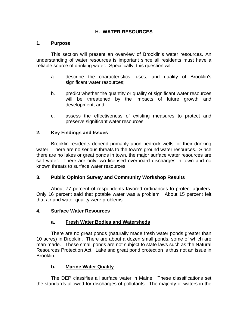## **H. WATER RESOURCES**

## **1. Purpose**

This section will present an overview of Brooklin's water resources. An understanding of water resources is important since all residents must have a reliable source of drinking water. Specifically, this question will:

- a. describe the characteristics, uses, and quality of Brooklin's significant water resources;
- b. predict whether the quantity or quality of significant water resources will be threatened by the impacts of future growth and development; and
- c. assess the effectiveness of existing measures to protect and preserve significant water resources.

## **2. Key Findings and Issues**

Brooklin residents depend primarily upon bedrock wells for their drinking water. There are no serious threats to the town's ground water resources. Since there are no lakes or great ponds in town, the major surface water resources are salt water. There are only two licensed overboard discharges in town and no known threats to surface water resources.

## **3. Public Opinion Survey and Community Workshop Results**

About 77 percent of respondents favored ordinances to protect aquifers. Only 16 percent said that potable water was a problem. About 15 percent felt that air and water quality were problems.

#### **4. Surface Water Resources**

## **a. Fresh Water Bodies and Watersheds**

There are no great ponds (naturally made fresh water ponds greater than 10 acres) in Brooklin. There are about a dozen small ponds, some of which are man-made. These small ponds are not subject to state laws such as the Natural Resources Protection Act. Lake and great pond protection is thus not an issue in Brooklin.

## **b. Marine Water Quality**

The DEP classifies all surface water in Maine. These classifications set the standards allowed for discharges of pollutants. The majority of waters in the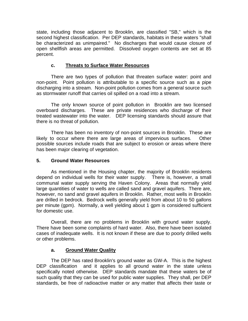state, including those adjacent to Brooklin, are classified "SB," which is the second highest classification. Per DEP standards, habitats in these waters "shall be characterized as unimpaired." No discharges that would cause closure of open shellfish areas are permitted. Dissolved oxygen contents are set at 85 percent.

# **c. Threats to Surface Water Resources**

There are two types of pollution that threaten surface water: point and non-point. Point pollution is attributable to a specific source such as a pipe discharging into a stream. Non-point pollution comes from a general source such as stormwater runoff that carries oil spilled on a road into a stream.

The only known source of point pollution in Brooklin are two licensed overboard discharges. These are private residences who discharge of their treated wastewater into the water. DEP licensing standards should assure that there is no threat of pollution.

There has been no inventory of non-point sources in Brooklin. These are likely to occur where there are large areas of impervious surfaces. Other possible sources include roads that are subject to erosion or areas where there has been major clearing of vegetation.

# **5. Ground Water Resources**

As mentioned in the Housing chapter, the majority of Brooklin residents depend on individual wells for their water supply. There is, however, a small communal water supply serving the Haven Colony. Areas that normally yield large quantities of water to wells are called sand and gravel aquifers. There are, however, no sand and gravel aquifers in Brooklin. Rather, most wells in Brooklin are drilled in bedrock. Bedrock wells generally yield from about 10 to 50 gallons per minute (gpm). Normally, a well yielding about 1 gpm is considered sufficient for domestic use.

Overall, there are no problems in Brooklin with ground water supply. There have been some complaints of hard water. Also, there have been isolated cases of inadequate wells. It is not known if these are due to poorly drilled wells or other problems.

## **a. Ground Water Quality**

The DEP has rated Brooklin's ground water as GW-A. This is the highest DEP classification and it applies to all ground water in the state unless specifically noted otherwise. DEP standards mandate that these waters be of such quality that they can be used for public water supplies. They shall, per DEP standards, be free of radioactive matter or any matter that affects their taste or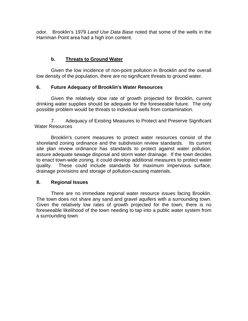odor. Brooklin's 1979 *Land Use Data Base* noted that some of the wells in the Harriman Point area had a high iron content.

# **b. Threats to Ground Water**

Given the low incidence of non-point pollution in Brooklin and the overall low density of the population, there are no significant threats to ground water.

## **6. Future Adequacy of Brooklin's Water Resources**

Given the relatively slow rate of growth projected for Brooklin, current drinking water supplies should be adequate for the foreseeable future. The only possible problem would be threats to individual wells from contamination.

7. Adequacy of Existing Measures to Protect and Preserve Significant Water Resources

Brooklin's current measures to protect water resources consist of the shoreland zoning ordinance and the subdivision review standards. Its current site plan review ordinance has standards to protect against water pollution, assure adequate sewage disposal and storm water drainage. If the town decides to enact town-wide zoning, it could develop additional measures to protect water quality. These could include standards for maximum impervious surface, drainage provisions and storage of pollution-causing materials.

## **8. Regional Issues**

There are no immediate regional water resource issues facing Brooklin. The town does not share any sand and gravel aquifers with a surrounding town. Given the relatively low rates of growth projected for the town, there is no foreseeable likelihood of the town needing to tap into a public water system from a surrounding town.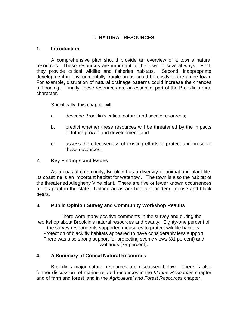# **I. NATURAL RESOURCES**

## **1. Introduction**

A comprehensive plan should provide an overview of a town's natural resources. These resources are important to the town in several ways. First, they provide critical wildlife and fisheries habitats. Second, inappropriate development in environmentally fragile areas could be costly to the entire town. For example, disruption of natural drainage patterns could increase the chances of flooding. Finally, these resources are an essential part of the Brooklin's rural character.

Specifically, this chapter will:

- a. describe Brooklin's critical natural and scenic resources;
- b. predict whether these resources will be threatened by the impacts of future growth and development; and
- c. assess the effectiveness of existing efforts to protect and preserve these resources.

## **2. Key Findings and Issues**

As a coastal community, Brooklin has a diversity of animal and plant life. Its coastline is an important habitat for waterfowl. The town is also the habitat of the threatened Allegheny Vine plant. There are five or fewer known occurrences of this plant in the state. Upland areas are habitats for deer, moose and black bears.

## **3. Public Opinion Survey and Community Workshop Results**

There were many positive comments in the survey and during the workshop about Brooklin's natural resources and beauty. Eighty-one percent of the survey respondents supported measures to protect wildlife habitats. Protection of black fly habitats appeared to have considerably less support. There was also strong support for protecting scenic views (81 percent) and wetlands (79 percent).

## **4. A Summary of Critical Natural Resources**

Brooklin's major natural resources are discussed below. There is also further discussion of marine-related resources in the *Marine Resources* chapter and of farm and forest land in the *Agricultural and Forest Resources* chapter.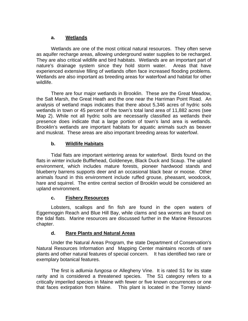## **a. Wetlands**

Wetlands are one of the most critical natural resources. They often serve as aquifer recharge areas, allowing underground water supplies to be recharged. They are also critical wildlife and bird habitats. Wetlands are an important part of nature's drainage system since they hold storm water. Areas that have experienced extensive filling of wetlands often face increased flooding problems. Wetlands are also important as breeding areas for waterfowl and habitat for other wildlife.

There are four major wetlands in Brooklin. These are the Great Meadow, the Salt Marsh, the Great Heath and the one near the Harriman Point Road. An analysis of wetland maps indicates that there about 5,346 acres of hydric soils wetlands in town or 45 percent of the town's total land area of 11,882 acres (see Map 2). While not all hydric soils are necessarily classified as wetlands their presence does indicate that a large portion of town's land area is wetlands. Brooklin's wetlands are important habitats for aquatic animals such as beaver and muskrat. These areas are also important breeding areas for waterfowl.

## **b. Wildlife Habitats**

Tidal flats are important wintering areas for waterfowl. Birds found on the flats in winter include Bufflehead, Goldeneye, Black Duck and Scaup. The upland environment, which includes mature forests, pioneer hardwood stands and blueberry barrens supports deer and an occasional black bear or moose. Other animals found in this environment include ruffed grouse, pheasant, woodcock, hare and squirrel. The entire central section of Brooklin would be considered an upland environment.

## **c. Fishery Resources**

Lobsters, scallops and fin fish are found in the open waters of Eggemoggin Reach and Blue Hill Bay, while clams and sea worms are found on the tidal flats. Marine resources are discussed further in the Marine Resources chapter.

## **d. Rare Plants and Natural Areas**

Under the Natural Areas Program, the state Department of Conservation's Natural Resources Information and Mapping Center maintains records of rare plants and other natural features of special concern. It has identified two rare or exemplary botanical features.

The first is *adlumia fungosa* or Allegheny Vine. It is rated S1 for its state rarity and is considered a threatened species. The S1 category refers to a critically imperiled species in Maine with fewer or five known occurrences or one that faces extirpation from Maine. This plant is located in the Torrey Island-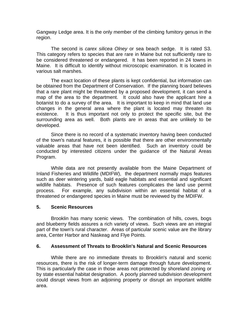Gangway Ledge area. It is the only member of the climbing fumitory genus in the region.

The second is *carex silicea Olney* or sea beach sedge. It is rated S3. This category refers to species that are rare in Maine but not sufficiently rare to be considered threatened or endangered. It has been reported in 24 towns in Maine. It is difficult to identify without microscopic examination. It is located in various salt marshes.

The exact location of these plants is kept confidential, but information can be obtained from the Department of Conservation. If the planning board believes that a rare plant might be threatened by a proposed development, it can send a map of the area to the department. It could also have the applicant hire a botanist to do a survey of the area. It is important to keep in mind that land use changes in the general area where the plant is located may threaten its existence. It is thus important not only to protect the specific site, but the surrounding area as well. Both plants are in areas that are unlikely to be developed.

Since there is no record of a systematic inventory having been conducted of the town's natural features, it is possible that there are other environmentally valuable areas that have not been identified. Such an inventory could be conducted by interested citizens under the guidance of the Natural Areas Program.

While data are not presently available from the Maine Department of Inland Fisheries and Wildlife (MDIFW), the department normally maps features such as deer wintering yards, bald eagle habitats and essential and significant wildlife habitats. Presence of such features complicates the land use permit process. For example, any subdivision within an essential habitat of a threatened or endangered species in Maine must be reviewed by the MDIFW.

#### **5. Scenic Resources**

Brooklin has many scenic views. The combination of hills, coves, bogs and blueberry fields assures a rich variety of views. Such views are an integral part of the town's rural character. Areas of particular scenic value are the library area, Center Harbor and Naskeag and Flye Points.

#### **6. Assessment of Threats to Brooklin's Natural and Scenic Resources**

While there are no immediate threats to Brooklin's natural and scenic resources, there is the risk of longer-term damage through future development. This is particularly the case in those areas not protected by shoreland zoning or by state essential habitat designation. A poorly planned subdivision development could disrupt views from an adjoining property or disrupt an important wildlife area.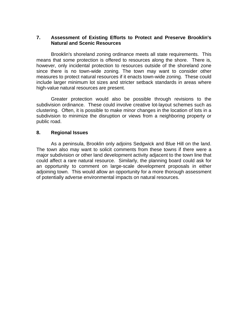#### **7. Assessment of Existing Efforts to Protect and Preserve Brooklin's Natural and Scenic Resources**

Brooklin's shoreland zoning ordinance meets all state requirements. This means that some protection is offered to resources along the shore. There is, however, only incidental protection to resources outside of the shoreland zone since there is no town-wide zoning. The town may want to consider other measures to protect natural resources if it enacts town-wide zoning. These could include larger minimum lot sizes and stricter setback standards in areas where high-value natural resources are present.

Greater protection would also be possible through revisions to the subdivision ordinance. These could involve creative lot-layout schemes such as clustering. Often, it is possible to make minor changes in the location of lots in a subdivision to minimize the disruption or views from a neighboring property or public road.

#### **8. Regional Issues**

As a peninsula, Brooklin only adjoins Sedgwick and Blue Hill on the land. The town also may want to solicit comments from these towns if there were a major subdivision or other land development activity adjacent to the town line that could affect a rare natural resource. Similarly, the planning board could ask for an opportunity to comment on large-scale development proposals in either adjoining town. This would allow an opportunity for a more thorough assessment of potentially adverse environmental impacts on natural resources.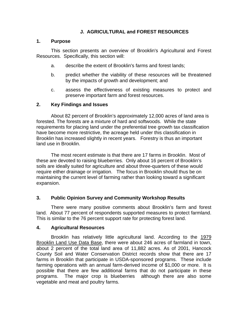# **J. AGRICULTURAL and FOREST RESOURCES**

#### **1. Purpose**

This section presents an overview of Brooklin's Agricultural and Forest Resources. Specifically, this section will:

- a. describe the extent of Brooklin's farms and forest lands;
- b. predict whether the viability of these resources will be threatened by the impacts of growth and development; and
- c. assess the effectiveness of existing measures to protect and preserve important farm and forest resources.

# **2. Key Findings and Issues**

About 82 percent of Brooklin's approximately 12,000 acres of land area is forested. The forests are a mixture of hard and softwoods. While the state requirements for placing land under the preferential tree growth tax classification have become more restrictive, the acreage held under this classification in Brooklin has increased slightly in recent years. Forestry is thus an important land use in Brooklin.

The most recent estimate is that there are 17 farms in Brooklin. Most of these are devoted to raising blueberries. Only about 16 percent of Brooklin's soils are ideally suited for agriculture and about three-quarters of these would require either drainage or irrigation. The focus in Brooklin should thus be on maintaining the current level of farming rather than looking toward a significant expansion.

# **3. Public Opinion Survey and Community Workshop Results**

There were many positive comments about Brooklin's farm and forest land. About 77 percent of respondents supported measures to protect farmland. This is similar to the 76 percent support rate for protecting forest land.

#### **4. Agricultural Resources**

Brooklin has relatively little agricultural land. According to the 1979 Brooklin Land Use Data Base, there were about 246 acres of farmland in town, about 2 percent of the total land area of 11,882 acres. As of 2001, Hancock County Soil and Water Conservation District records show that there are 17 farms in Brooklin that participate in USDA-sponsored programs. These include farming operations with an annual farm-derived income of \$1,000 or more. It is possible that there are few additional farms that do not participate in these programs. The major crop is blueberries although there are also some vegetable and meat and poultry farms.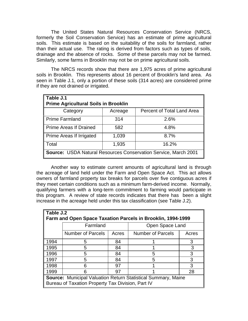The United States Natural Resources Conservation Service (NRCS, formerly the Soil Conservation Service) has an estimate of prime agricultural soils. This estimate is based on the suitability of the soils for farmland, rather than their actual use. The rating is derived from factors such as types of soils, drainage and the absence of rocks. Some of these parcels may not be farmed. Similarly, some farms in Brooklin may not be on prime agricultural soils.

The NRCS records show that there are 1,975 acres of prime agricultural soils in Brooklin. This represents about 16 percent of Brooklin's land area. As seen in Table J.1, only a portion of these soils (314 acres) are considered prime if they are not drained or irrigated.

| Table J.1<br><b>Prime Agricultural Soils in Brooklin</b>               |         |                            |  |  |  |  |
|------------------------------------------------------------------------|---------|----------------------------|--|--|--|--|
| Category                                                               | Acreage | Percent of Total Land Area |  |  |  |  |
| <b>Prime Farmland</b>                                                  | 314     | 2.6%                       |  |  |  |  |
| Prime Areas If Drained                                                 | 582     | 4.8%                       |  |  |  |  |
| Prime Areas If Irrigated                                               | 1,039   | 8.7%                       |  |  |  |  |
| 16.2%<br>1,935<br>Total                                                |         |                            |  |  |  |  |
| <b>Source: USDA Natural Resources Conservation Service, March 2001</b> |         |                            |  |  |  |  |

Another way to estimate current amounts of agricultural land is through the acreage of land held under the Farm and Open Space Act. This act allows owners of farmland property tax breaks for parcels over five contiguous acres if they meet certain conditions such as a minimum farm-derived income. Normally, qualifying farmers with a long-term commitment to farming would participate in this program. A review of state records indicates that there has been a slight increase in the acreage held under this tax classification (see Table J.2).

|                                                                      | Table J.2                                                   |       |                          |       |  |  |
|----------------------------------------------------------------------|-------------------------------------------------------------|-------|--------------------------|-------|--|--|
|                                                                      | Farm and Open Space Taxation Parcels in Brooklin, 1994-1999 |       |                          |       |  |  |
|                                                                      | Farmland<br>Open Space Land                                 |       |                          |       |  |  |
|                                                                      | <b>Number of Parcels</b>                                    | Acres | <b>Number of Parcels</b> | Acres |  |  |
| 1994                                                                 | 5                                                           | 84    |                          | 3     |  |  |
| 1995                                                                 | 5                                                           | 84    |                          |       |  |  |
| 1996                                                                 | 5                                                           | 84    | 5                        | 3     |  |  |
| 1997                                                                 | 5                                                           | 84    | 5                        | 3     |  |  |
| 1998                                                                 | 6                                                           | 97    |                          | 3     |  |  |
| 1999                                                                 |                                                             | 97    |                          | 28    |  |  |
| <b>Source:</b> Municipal Valuation Return Statistical Summary, Maine |                                                             |       |                          |       |  |  |
|                                                                      | Bureau of Taxation Property Tax Division, Part IV           |       |                          |       |  |  |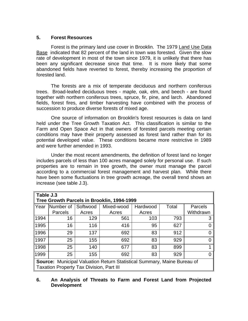#### **5. Forest Resources**

Forest is the primary land use cover in Brooklin. The 1979 Land Use Data Base indicated that 82 percent of the land in town was forested. Given the slow rate of development in most of the town since 1979, it is unlikely that there has been any significant decrease since that time. It is more likely that some abandoned fields have reverted to forest, thereby increasing the proportion of forested land.

The forests are a mix of temperate deciduous and northern coniferous trees. Broad-leafed deciduous trees - maple, oak, elm, and beech - are found together with northern coniferous trees, spruce, fir, pine, and larch. Abandoned fields, forest fires, and timber harvesting have combined with the process of succession to produce diverse forests of mixed age.

One source of information on Brooklin's forest resources is data on land held under the Tree Growth Taxation Act. This classification is similar to the Farm and Open Space Act in that owners of forested parcels meeting certain conditions may have their property assessed as forest land rather than for its potential developed value. These conditions became more restrictive in 1989 and were further amended in 1993.

Under the most recent amendments, the definition of forest land no longer includes parcels of less than 100 acres managed solely for personal use. If such properties are to remain in tree growth, the owner must manage the parcel according to a commercial forest management and harvest plan. While there have been some fluctuations in tree growth acreage, the overall trend shows an increase (see table J.3).

|      | Table J.3                                                                      |          |            |          |       |           |  |  |  |
|------|--------------------------------------------------------------------------------|----------|------------|----------|-------|-----------|--|--|--|
|      | Tree Growth Parcels in Brooklin, 1994-1999                                     |          |            |          |       |           |  |  |  |
| Year | Number of                                                                      | Softwood | Mixed-wood | Hardwood | Total | Parcels   |  |  |  |
|      | Parcels                                                                        | Acres    | Acres      | Acres    |       | Withdrawn |  |  |  |
| 1994 | 16                                                                             | 129      | 561        | 103      | 793   |           |  |  |  |
| 1995 | 16                                                                             | 116      | 416        | 95       | 627   |           |  |  |  |
| 1996 | 29                                                                             | 137      | 692        | 83       | 912   |           |  |  |  |
| 1997 | 25                                                                             | 155      | 692        | 83       | 929   |           |  |  |  |
| 1998 | 25                                                                             | 140      | 677        | 83       | 899   |           |  |  |  |
| 1999 | 25                                                                             | 155      | 692        | 83       | 929   |           |  |  |  |
|      | <b>Source:</b> Municipal Valuation Return Statistical Summary, Maine Bureau of |          |            |          |       |           |  |  |  |
|      | <b>Taxation Property Tax Division, Part III</b>                                |          |            |          |       |           |  |  |  |

# **6. An Analysis of Threats to Farm and Forest Land from Projected Development**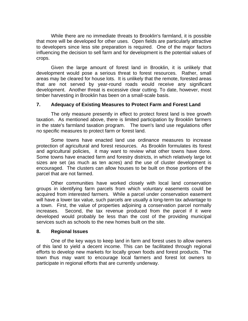While there are no immediate threats to Brooklin's farmland, it is possible that more will be developed for other uses. Open fields are particularly attractive to developers since less site preparation is required. One of the major factors influencing the decision to sell farm and for development is the potential values of crops.

Given the large amount of forest land in Brooklin, it is unlikely that development would pose a serious threat to forest resources. Rather, small areas may be cleared for house lots. It is unlikely that the remote, forested areas that are not served by year-round roads would receive any significant development. Another threat is excessive clear cutting. To date, however, most timber harvesting in Brooklin has been on a small-scale basis.

#### **7. Adequacy of Existing Measures to Protect Farm and Forest Land**

The only measure presently in effect to protect forest land is tree growth taxation. As mentioned above, there is limited participation by Brooklin farmers in the state's farmland taxation program. The town's land use regulations offer no specific measures to protect farm or forest land.

Some towns have enacted land use ordinance measures to increase protection of agricultural and forest resources. As Brooklin formulates its forest and agricultural policies, it may want to review what other towns have done. Some towns have enacted farm and forestry districts, in which relatively large lot sizes are set (as much as ten acres) and the use of cluster development is encouraged. The clusters can allow houses to be built on those portions of the parcel that are not farmed.

Other communities have worked closely with local land conservation groups in identifying farm parcels from which voluntary easements could be acquired from interested farmers. While a parcel under conservation easement will have a lower tax value, such parcels are usually a long-term tax advantage to a town. First, the value of properties adjoining a conservation parcel normally increases. Second, the tax revenue produced from the parcel if it were developed would probably be less than the cost of the providing municipal services such as schools to the new homes built on the site.

#### **8. Regional Issues**

One of the key ways to keep land in farm and forest uses to allow owners of this land to yield a decent income. This can be facilitated through regional efforts to develop new markets for locally grown foods and forest products. The town thus may want to encourage local farmers and forest lot owners to participate in regional efforts that are currently underway.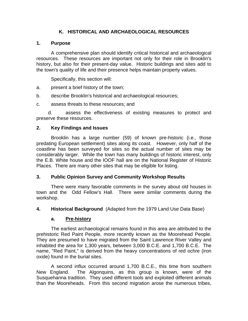# **K. HISTORICAL AND ARCHAEOLOGICAL RESOURCES**

### **1. Purpose**

A comprehensive plan should identify critical historical and archaeological resources. These resources are important not only for their role in Brooklin's history, but also for their present-day value. Historic buildings and sites add to the town's quality of life and their presence helps maintain property values.

Specifically, this section will:

- a. present a brief history of the town;
- b. describe Brooklin's historical and archaeological resources;
- c. assess threats to these resources; and

d. assess the effectiveness of existing measures to protect and preserve these resources.

# **2. Key Findings and Issues**

Brooklin has a large number (59) of known pre-historic (i.e., those predating European settlement) sites along its coast. However, only half of the coastline has been surveyed for sites so the actual number of sites may be considerably larger. While the town has many buildings of historic interest, only the E.B. White house and the IOOF hall are on the National Register of Historic Places. There are many other sites that may be eligible for listing.

#### **3. Public Opinion Survey and Community Workshop Results**

There were many favorable comments in the survey about old houses in town and the Odd Fellow's Hall. There were similar comments during the workshop.

**4. Historical Background** (Adapted from the 1979 Land Use Data Base)

#### **a. Pre-history**

The earliest archaeological remains found in this area are attributed to the prehistoric Red Paint People, more recently known as the Moorehead People. They are presumed to have migrated from the Saint Lawrence River Valley and inhabited the area for 1,300 years, between 3,000 B.C.E. and 1,700 B.C.E. The name, "Red Paint," is derived from the heavy concentrations of red ochre (iron oxide) found in the burial sites.

A second influx occurred around 1,700 B.C.E., this time from southern New England. The Algonquins, as this group is known, were of the Susquehanna tradition. They used different tools and exploited different animals than the Mooreheads. From this second migration arose the numerous tribes,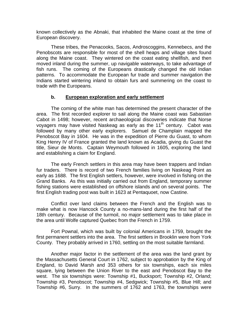known collectively as the Abnaki, that inhabited the Maine coast at the time of European discovery.

These tribes, the Penacooks, Sacos, Androscoggins, Kennebecs, and the Penobscots are responsible for most of the shell heaps and village sites found along the Maine coast. They wintered on the coast eating shellfish, and then moved inland during the summer, up navigable waterways, to take advantage of fish runs. The coming of the Europeans drastically changed the old Indian patterns. To accommodate the European fur trade and summer navigation the Indians started wintering inland to obtain furs and summering on the coast to trade with the Europeans.

#### **b. European exploration and early settlement**

The coming of the white man has determined the present character of the area. The first recorded explorer to sail along the Maine coast was Sabastian Cabot in 1498; however, recent archaeological discoveries indicate that Norse voyagers may have visited Naskeag as early as the  $11<sup>th</sup>$  century. Cabot was followed by many other early explorers. Samuel de Champlain mapped the Penobscot Bay in 1604. He was in the expedition of Pierre du Guast, to whom King Henry IV of France granted the land known as Acadia, giving du Guast the title, Sieur de Monts. Captain Weymouth followed in 1605, exploring the land and establishing a claim for England.

The early French settlers in this area may have been trappers and Indian fur traders. There is record of two French families living on Naskeag Point as early as 1688. The first English settlers, however, were involved in fishing on the Grand Banks. As this was initially carried out from England, temporary summer fishing stations were established on offshore islands and on several points. The first English trading post was built in 1623 at Pentaquoet, now Castine.

Conflict over land claims between the French and the English was to make what is now Hancock County a no-mans-land during the first half of the 18th century. Because of the turmoil, no major settlement was to take place in the area until Wolfe captured Quebec from the French in 1759.

Fort Pownal, which was built by colonial Americans in 1759, brought the first permanent settlers into the area. The first settlers in Brooklin were from York County. They probably arrived in 1760, settling on the most suitable farmland.

Another major factor in the settlement of the area was the land grant by the Massachusetts General Court in 1762, subject to approbation by the King of England, to David Marsh and 353 others for six townships, each six miles square, lying between the Union River to the east and Penobscot Bay to the west. The six townships were: Township #1, Bucksport; Township #2, Orland; Township #3, Penobscot; Township #4, Sedgwick; Township #5, Blue Hill; and Township #6, Surry. In the summers of 1762 and 1763, the townships were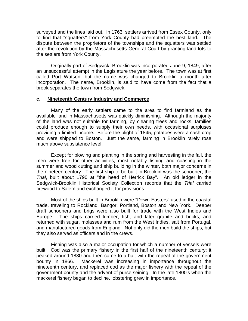surveyed and the lines laid out. In 1763, settlers arrived from Essex County, only to find that "squatters" from York County had preempted the best land. The dispute between the proprietors of the townships and the squatters was settled after the revolution by the Massachusetts General Court by granting land lots to the settlers from York County.

Originally part of Sedgwick, Brooklin was incorporated June 9, 1849, after an unsuccessful attempt in the Legislature the year before. The town was at first called Port Watson, but the name was changed to Brooklin a month after incorporation. The name, Brooklin, is said to have come from the fact that a brook separates the town from Sedgwick.

#### **c. Nineteenth Century Industry and Commerce**

Many of the early settlers came to the area to find farmland as the available land in Massachusetts was quickly diminishing. Although the majority of the land was not suitable for farming, by clearing trees and rocks, families could produce enough to supply their own needs, with occasional surpluses providing a limited income. Before the blight of 1845, potatoes were a cash crop and were shipped to Boston. Just the same, farming in Brooklin rarely rose much above subsistence level.

Except for plowing and planting in the spring and harvesting in the fall, the men were free for other activities, most notably fishing and coasting in the summer and wood cutting and ship building in the winter, both major concerns in the nineteen century. The first ship to be built in Brooklin was the schooner, the *Trial*, built about 1790 at "the head of Herrick Bay". An old ledger in the Sedgwick-Brooklin Historical Society Collection records that the *Trial* carried firewood to Salem and exchanged it for provisions.

Most of the ships built in Brooklin were "Down-Easters" used in the coastal trade, traveling to Rockland, Bangor, Portland, Boston and New York. Deeper draft schooners and brigs were also built for trade with the West Indies and Europe. The ships carried lumber, fish, and later granite and bricks; and returned with sugar, molasses and rum from the West Indies, salt from Portugal, and manufactured goods from England. Not only did the men build the ships, but they also served as officers and in the crews.

Fishing was also a major occupation for which a number of vessels were built. Cod was the primary fishery in the first half of the nineteenth century; it peaked around 1830 and then came to a halt with the repeal of the government bounty in 1866. Mackerel was increasing in importance throughout the nineteenth century, and replaced cod as the major fishery with the repeal of the government bounty and the advent of purse seining. In the late 1800's when the mackerel fishery began to decline, lobstering grew in importance.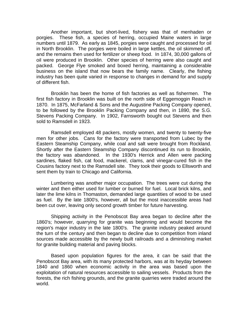Another important, but short-lived, fishery was that of menhaden or porgies. These fish, a species of herring, occupied Maine waters in large numbers until 1879. As early as 1845, porgies were caught and processed for oil in North Brooklin. The porgies were boiled in large kettles, the oil skimmed off, and the remains then used for fertilizer or sheep food. In 1874, 30,000 gallons of oil were produced in Brooklin. Other species of herring were also caught and packed. George Flye smoked and boxed herring, maintaining a considerable business on the island that now bears the family name. Clearly, the fishing industry has been quite varied in response to changes in demand for and supply of different fish.

Brooklin has been the home of fish factories as well as fishermen. The first fish factory in Brooklin was built on the north side of Eggemoggin Reach in 1870. In 1875, McFarland & Sons and the Augustine Packing Company opened, to be followed by the Brooklin Packing Company and then, in 1890, the S.G. Stevens Packing Company. In 1902, Farnsworth bought out Stevens and then sold to Ramsdell in 1923.

Ramsdell employed 48 packers, mostly women, and twenty to twenty-five men for other jobs. Cans for the factory were transported from Lubec by the Eastern Steamship Company, while coal and salt were brought from Rockland. Shortly after the Eastern Steamship Company discontinued its run to Brooklin, the factory was abandoned. In the 1930's Herrick and Allen were packing sardines, flaked fish, cat food, mackerel, clams, and vinegar-cured fish in the Cousins factory next to the Ramsdell site. They took their goods to Ellsworth and sent them by train to Chicago and California.

Lumbering was another major occupation. The trees were cut during the winter and then either used for lumber or burned for fuel. Local brick kilns, and later the lime kilns in Thomaston, demanded large quantities of wood to be used as fuel. By the late 1800's, however, all but the most inaccessible areas had been cut over, leaving only second growth timber for future harvesting.

Shipping activity in the Penobscot Bay area began to decline after the 1860's; however, quarrying for granite was beginning and would become the region's major industry in the late 1800's. The granite industry peaked around the turn of the century and then began to decline due to competition from inland sources made accessible by the newly built railroads and a diminishing market for granite building material and paving blocks.

Based upon population figures for the area, it can be said that the Penobscot Bay area, with its many protected harbors, was at its heyday between 1840 and 1860 when economic activity in the area was based upon the exploitation of natural resources accessible to sailing vessels. Products from the forests, the rich fishing grounds, and the granite quarries were traded around the world.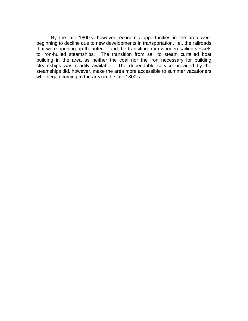By the late 1800's, however, economic opportunities in the area were beginning to decline due to new developments in transportation, i.e., the railroads that were opening up the interior and the transition from wooden sailing vessels to iron-hulled steamships. The transition from sail to steam curtailed boat building in the area as neither the coal nor the iron necessary for building steamships was readily available. The dependable service provided by the steamships did, however, make the area more accessible to summer vacationers who began coming to the area in the late 1800's.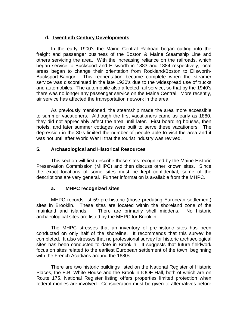### **d. Twentieth Century Developments**

In the early 1900's the Maine Central Railroad began cutting into the freight and passenger business of the Boston & Maine Steamship Line and others servicing the area. With the increasing reliance on the railroads, which began service to Bucksport and Ellsworth in 1883 and 1884 respectively, local areas began to change their orientation from Rockland/Boston to Ellsworth-Bucksport-Bangor. This reorientation became complete when the steamer service was discontinued in the late 1930's due to the widespread use of trucks and automobiles. The automobile also affected rail service, so that by the 1940's there was no longer any passenger service on the Maine Central. More recently, air service has affected the transportation network in the area.

As previously mentioned, the steamship made the area more accessible to summer vacationers. Although the first vacationers came as early as 1880, they did not appreciably affect the area until later. First boarding houses, then hotels, and later summer cottages were built to serve these vacationers. The depression in the 30's limited the number of people able to visit the area and it was not until after World War II that the tourist industry was revived.

#### **5. Archaeological and Historical Resources**

This section will first describe those sites recognized by the Maine Historic Preservation Commission (MHPC) and then discuss other known sites. Since the exact locations of some sites must be kept confidential, some of the descriptions are very general. Further information is available from the MHPC.

#### **a. MHPC recognized sites**

MHPC records list 59 pre-historic (those predating European settlement) sites in Brooklin. These sites are located within the shoreland zone of the mainland and islands. There are primarily shell middens. No historic archaeological sites are listed by the MHPC for Brooklin.

The MHPC stresses that an inventory of pre-historic sites has been conducted on only half of the shoreline. It recommends that this survey be completed. It also stresses that no professional survey for historic archaeological sites has been conducted to date in Brooklin. It suggests that future fieldwork focus on sites related to the earliest European settlement of the town, beginning with the French Acadians around the 1680s.

There are two historic buildings listed on the National Register of Historic Places, the E.B. White House and the Brooklin IOOF Hall, both of which are on Route 175. National Register listing offers properties limited protection when federal monies are involved. Consideration must be given to alternatives before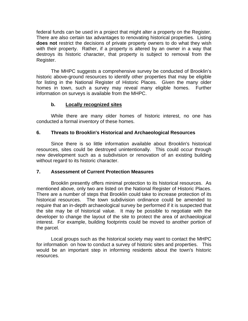federal funds can be used in a project that might alter a property on the Register. There are also certain tax advantages to renovating historical properties. Listing **does not** restrict the decisions of private property owners to do what they wish with their property. Rather, if a property is altered by an owner in a way that destroys its historic character, that property is subject to removal from the Register.

The MHPC suggests a comprehensive survey be conducted of Brooklin's historic above-ground resources to identify other properties that may be eligible for listing in the National Register of Historic Places. Given the many older homes in town, such a survey may reveal many eligible homes. Further information on surveys is available from the MHPC.

# **b. Locally recognized sites**

While there are many older homes of historic interest, no one has conducted a formal inventory of these homes.

# **6. Threats to Brooklin's Historical and Archaeological Resources**

Since there is so little information available about Brooklin's historical resources, sites could be destroyed unintentionally. This could occur through new development such as a subdivision or renovation of an existing building without regard to its historic character.

#### **7. Assessment of Current Protection Measures**

Brooklin presently offers minimal protection to its historical resources. As mentioned above, only two are listed on the National Register of Historic Places. There are a number of steps that Brooklin could take to increase protection of its historical resources. The town subdivision ordinance could be amended to require that an in-depth archaeological survey be performed if it is suspected that the site may be of historical value. It may be possible to negotiate with the developer to change the layout of the site to protect the area of archaeological interest. For example, building footprints could be moved to another portion of the parcel.

Local groups such as the historical society may want to contact the MHPC for information on how to conduct a survey of historic sites and properties. This would be an important step in informing residents about the town's historic resources.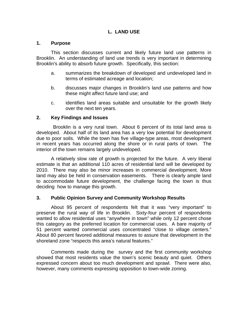# **L. LAND USE**

#### **1. Purpose**

This section discusses current and likely future land use patterns in Brooklin. An understanding of land use trends is very important in determining Brooklin's ability to absorb future growth. Specifically, this section:

- a. summarizes the breakdown of developed and undeveloped land in terms of estimated acreage and location;
- b. discusses major changes in Brooklin's land use patterns and how these might affect future land use; and
- c. identifies land areas suitable and unsuitable for the growth likely over the next ten years.

#### **2. Key Findings and Issues**

 Brooklin is a very rural town. About 6 percent of its total land area is developed. About half of its land area has a very low potential for development due to poor soils. While the town has five village-type areas, most development in recent years has occurred along the shore or in rural parts of town. The interior of the town remains largely undeveloped.

A relatively slow rate of growth is projected for the future. A very liberal estimate is that an additional 110 acres of residential land will be developed by 2010. There may also be minor increases in commercial development. More land may also be held in conservation easements. There is clearly ample land to accommodate future development, the challenge facing the town is thus deciding how to manage this growth.

#### **3. Public Opinion Survey and Community Workshop Results**

About 95 percent of respondents felt that it was "very important" to preserve the rural way of life in Brooklin. Sixty-four percent of respondents wanted to allow residential uses "anywhere in town" while only 12 percent chose this category as the preferred location for commercial uses. A bare majority of 51 percent wanted commercial uses concentrated "close to village centers." About 80 percent favored additional measures to assure that development in the shoreland zone "respects this area's natural features."

Comments made during the survey and the first community workshop showed that most residents value the town's scenic beauty and quiet. Others expressed concern about too much development and sprawl. There were also, however, many comments expressing opposition to town-wide zoning.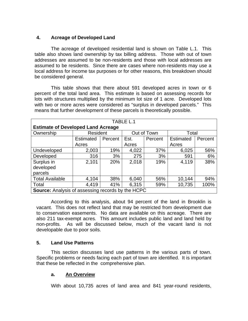# **4. Acreage of Developed Land**

The acreage of developed residential land is shown on Table L.1. This table also shows land ownership by tax billing address. Those with out of town addresses are assumed to be non-residents and those with local addresses are assumed to be residents. Since there are cases where non-residents may use a local address for income tax purposes or for other reasons, this breakdown should be considered general.

This table shows that there about 591 developed acres in town or 6 percent of the total land area. This estimate is based on assessing records for lots with structures multiplied by the minimum lot size of 1 acre. Developed lots with two or more acres were considered as "surplus in developed parcels." This means that further development of these parcels is theoretically possible.

| TABLE L.1                                                |                                  |         |       |         |                  |         |  |  |
|----------------------------------------------------------|----------------------------------|---------|-------|---------|------------------|---------|--|--|
| <b>Estimate of Developed Land Acreage</b>                |                                  |         |       |         |                  |         |  |  |
| Ownership                                                | Resident<br>Out of Town<br>Total |         |       |         |                  |         |  |  |
|                                                          | <b>Estimated</b>                 | Percent | Est.  | Percent | <b>Estimated</b> | Percent |  |  |
|                                                          | Acres                            |         | Acres |         | Acres            |         |  |  |
| Undeveloped                                              | 2,003                            | 19%     | 4,022 | 37%     | 6,025            | 56%     |  |  |
| Developed                                                | 316                              | 3%      | 275   | 3%      | 591              | 6%      |  |  |
| Surplus in                                               | 2,101                            | 20%     | 2,018 | 19%     | 4,119            | 38%     |  |  |
| developed                                                |                                  |         |       |         |                  |         |  |  |
| parcels                                                  |                                  |         |       |         |                  |         |  |  |
| <b>Total Available</b>                                   | 4,104                            | 38%     | 6,040 | 56%     | 10,144           | 94%     |  |  |
| Total                                                    | 4,419                            | 41%     | 6,315 | 59%     | 10,735           | 100%    |  |  |
| <b>Source:</b> Analysis of assessing records by the HCPC |                                  |         |       |         |                  |         |  |  |

According to this analysis, about 94 percent of the land in Brooklin is vacant. This does not reflect land that may be restricted from development due to conservation easements. No data are available on this acreage. There are also 211 tax-exempt acres. This amount includes public land and land held by non-profits. As will be discussed below, much of the vacant land is not developable due to poor soils.

#### **5. Land Use Patterns**

This section discusses land use patterns in the various parts of town. Specific problems or needs facing each part of town are identified. It is important that these be reflected in the comprehensive plan.

#### **a. An Overview**

With about 10,735 acres of land area and 841 year-round residents,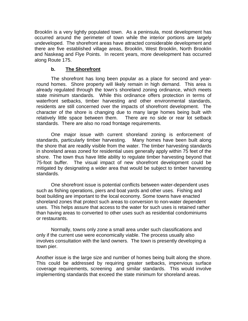Brooklin is a very lightly populated town. As a peninsula, most development has occurred around the perimeter of town while the interior portions are largely undeveloped. The shorefront areas have attracted considerable development and there are five established village areas, Brooklin, West Brooklin, North Brooklin and Naskeag and Flye Points. In recent years, more development has occurred along Route 175.

### **b. The Shorefront**

The shorefront has long been popular as a place for second and yearround homes. Shore property will likely remain in high demand. This area is already regulated through the town's shoreland zoning ordinance, which meets state minimum standards. While this ordinance offers protection in terms of waterfront setbacks, timber harvesting and other environmental standards, residents are still concerned over the impacts of shorefront development. The character of the shore is changing due to many large homes being built with relatively little space between them. There are no side or rear lot setback standards. There are also no road frontage requirements.

One major issue with current shoreland zoning is enforcement of standards, particularly timber harvesting. Many homes have been built along the shore that are readily visible from the water. The timber harvesting standards in shoreland areas zoned for residential uses generally apply within 75 feet of the shore. The town thus have little ability to regulate timber harvesting beyond that 75-foot buffer. The visual impact of new shorefront development could be mitigated by designating a wider area that would be subject to timber harvesting standards.

One shorefront issue is potential conflicts between water-dependent uses such as fishing operations, piers and boat yards and other uses. Fishing and boat building are important to the local economy. Some towns have enacted shoreland zones that protect such areas to conversion to non-water dependent uses. This helps assure that access to the water for such uses is retained rather than having areas to converted to other uses such as residential condominiums or restaurants.

Normally, towns only zone a small area under such classifications and only if the current use were economically viable. The process usually also involves consultation with the land owners. The town is presently developing a town pier.

Another issue is the large size and number of homes being built along the shore. This could be addressed by requiring greater setbacks, impervious surface coverage requirements, screening and similar standards. This would involve implementing standards that exceed the state minimum for shoreland areas.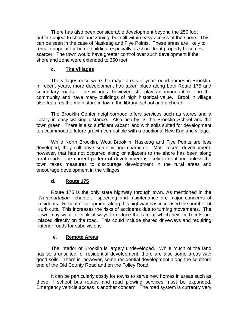There has also been considerable development beyond the 250 foot buffer subject to shoreland zoning, but still within easy access of the shore. This can be seen in the case of Naskeag and Flye Points. These areas are likely to remain popular for home building, especially as shore front property becomes scarcer. The town would have greater control over such development if the shoreland zone were extended to 350 feet.

# **c. The Villages**

The villages once were the major areas of year-round homes in Brooklin. In recent years, more development has taken place along both Route 175 and secondary roads. The villages, however, still play an important role in the community and have many buildings of high historical value. Brooklin village also features the main store in town, the library, school and a church.

The Brooklin Center neighborhood offers services such as stores and a library in easy walking distance. Also nearby, is the Brooklin School and the town green. There is also sufficient vacant land with soils suited for development to accommodate future growth compatible with a traditional New England village.

While North Brooklin, West Brooklin, Naskeag and Flye Points are less developed, they still have some village character. Most recent development, however, that has not occurred along or adjacent to the shore has been along rural roads. The current pattern of development is likely to continue unless the town takes measures to discourage development in the rural areas and encourage development in the villages.

# **d. Route 175**

Route 175 is the only state highway through town. As mentioned in the *Transportation* chapter, speeding and maintenance are major concerns of residents. Recent development along this highway has increased the number of curb cuts. This increases the risks of accidents due to turning movements. The town may want to think of ways to reduce the rate at which new curb cuts are placed directly on the road. This could include shared driveways and requiring interior roads for subdivisions.

#### **e. Remote Areas**

The interior of Brooklin is largely undeveloped. While much of the land has soils unsuited for residential development, there are also some areas with good soils. There is, however, some residential development along the southern end of the Old County Road and on the Folley Road.

It can be particularly costly for towns to serve new homes in areas such as these if school bus routes and road plowing services must be expanded. Emergency vehicle access is another concern. The road system is currently very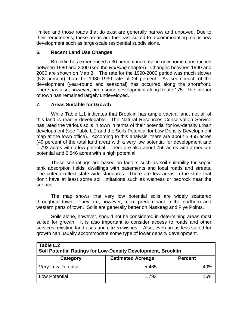limited and those roads that do exist are generally narrow and unpaved. Due to their remoteness, these areas are the least suited to accommodating major new development such as large-scale residential subdivisions.

# **6. Recent Land Use Changes**

Brooklin has experienced a 30 percent increase in new home construction between 1980 and 2000 (see the *Housing* chapter). Changes between 1990 and 2000 are shown on Map 3. The rate for the 1990-2000 period was much slower (5.3 percent) than the 1980-1990 rate of 24 percent. As seen much of the development (year-round and seasonal) has occurred along the shorefront. There has also, however, been some development along Route 175. The interior of town has remained largely undeveloped.

# **7. Areas Suitable for Growth**

While Table L.1 indicates that Brooklin has ample vacant land, not all of this land is readily developable. The Natural Resources Conservation Service has rated the various soils in town in terms of their potential for low-density urban development (see Table L.2 and the Soils Potential for Low Density Development map at the town office). According to this analysis, there are about 5,465 acres (49 percent of the total land area) with a very low potential for development and 1,793 acres with a low potential. There are also about 756 acres with a medium potential and 2,846 acres with a high potential.

These soil ratings are based on factors such as soil suitability for septic tank absorption fields, dwellings with basements and local roads and streets. The criteria reflect state-wide standards. There are few areas in the state that don't have at least some soil limitations such as wetness or bedrock near the surface.

The map shows that very low potential soils are widely scattered throughout town. They are, however, more predominant in the northern and western parts of town. Soils are generally better on Naskeag and Flye Points.

Soils alone, however, should not be considered in determining areas most suited for growth. It is also important to consider access to roads and other services, existing land uses and citizen wishes. Also, even areas less suited for growth can usually accommodate some type of lower density development.

| Table L.2<br>Soil Potential Ratings for Low-Density Development, Brooklin |                          |                |  |  |  |  |
|---------------------------------------------------------------------------|--------------------------|----------------|--|--|--|--|
| Category                                                                  | <b>Estimated Acreage</b> | <b>Percent</b> |  |  |  |  |
| Very Low Potential                                                        | 5,465                    | 49%            |  |  |  |  |
| Low Potential                                                             | 1,793                    | 16%            |  |  |  |  |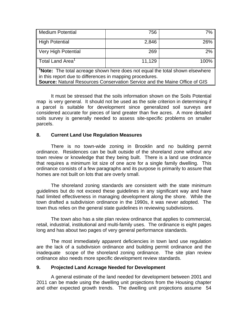| Medium Potential                                                                     | 756    | 7%    |  |  |  |  |
|--------------------------------------------------------------------------------------|--------|-------|--|--|--|--|
| High Potential                                                                       | 2,846  | 26%   |  |  |  |  |
| Very High Potential                                                                  | 269    | $2\%$ |  |  |  |  |
| $\parallel$ Total Land Area <sup>1</sup>                                             | 11,129 | 100%  |  |  |  |  |
| $\vert$ 'Note: The total acreage shown here does not equal the total shown elsewhere |        |       |  |  |  |  |
| in this report due to differences in mapping procedures.                             |        |       |  |  |  |  |
| Source: Natural Resources Conservation Service and the Maine Office of GIS           |        |       |  |  |  |  |

It must be stressed that the soils information shown on the Soils Potential map is very general. It should not be used as the sole criterion in determining if a parcel is suitable for development since generalized soil surveys are considered accurate for pieces of land greater than five acres. A more detailed soils survey is generally needed to assess site-specific problems on smaller parcels.

#### **8. Current Land Use Regulation Measures**

There is no town-wide zoning in Brooklin and no building permit ordinance. Residences can be built outside of the shoreland zone without any town review or knowledge that they being built. There is a land use ordinance that requires a minimum lot size of one acre for a single family dwelling. This ordinance consists of a few paragraphs and its purpose is primarily to assure that homes are not built on lots that are overly small.

The shoreland zoning standards are consistent with the state minimum guidelines but do not exceed these guidelines in any significant way and have had limited effectiveness in managing development along the shore. While the town drafted a subdivision ordinance in the 1990s, it was never adopted. The town thus relies on the general state guidelines in reviewing subdivisions.

The town also has a site plan review ordinance that applies to commercial, retail, industrial, institutional and multi-family uses. The ordinance is eight pages long and has about two pages of very general performance standards.

The most immediately apparent deficiencies in town land use regulation are the lack of a subdivision ordinance and building permit ordinance and the inadequate scope of the shoreland zoning ordinance. The site plan review ordinance also needs more specific development review standards.

#### **9. Projected Land Acreage Needed for Development**

A general estimate of the land needed for development between 2001 and 2011 can be made using the dwelling unit projections from the Housing chapter and other expected growth trends. The dwelling unit projections assume 54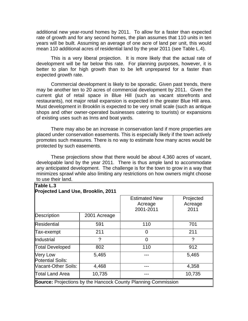additional new year-round homes by 2011. To allow for a faster than expected rate of growth and for any second homes, the plan assumes that 110 units in ten years will be built. Assuming an average of one acre of land per unit, this would mean 110 additional acres of residential land by the year 2011 (see Table L.4).

This is a very liberal projection. It is more likely that the actual rate of development will be far below this rate. For planning purposes, however, it is better to plan for high growth than to be left unprepared for a faster than expected growth rate.

Commercial development is likely to be sporadic. Given past trends, there may be another ten to 20 acres of commercial development by 2011. Given the current glut of retail space in Blue Hill (such as vacant storefronts and restaurants), not major retail expansion is expected in the greater Blue Hill area. Must development in Brooklin is expected to be very small scale (such as antique shops and other owner-operated businesses catering to tourists) or expansions of existing uses such as Inns and boat yards.

There may also be an increase in conservation land if more properties are placed under conservation easements. This is especially likely if the town actively promotes such measures. There is no way to estimate how many acres would be protected by such easements.

These projections show that there would be about 4,360 acres of vacant, developable land by the year 2011. There is thus ample land to accommodate any anticipated development. The challenge is for the town to grow in a way that minimizes sprawl while also limiting any restrictions on how owners might choose to use their land.

| Table L.3<br>Projected Land Use, Brooklin, 2011 |              |                                                                      |                              |  |  |  |
|-------------------------------------------------|--------------|----------------------------------------------------------------------|------------------------------|--|--|--|
|                                                 |              | <b>Estimated New</b><br>Acreage<br>2001-2011                         | Projected<br>Acreage<br>2011 |  |  |  |
| Description                                     | 2001 Acreage |                                                                      |                              |  |  |  |
| Residential                                     | 591          | 110                                                                  | 701                          |  |  |  |
| Tax-exempt                                      | 211          | 0                                                                    | 211                          |  |  |  |
| <b>Industrial</b>                               | ?            | ∩                                                                    | ?                            |  |  |  |
| Total Developed                                 | 802          | 110                                                                  | 912                          |  |  |  |
| Very Low<br>Potential Soils:                    | 5,465        |                                                                      | 5,465                        |  |  |  |
| Vacant-Other Soils:                             | 4,468        |                                                                      | 4,358                        |  |  |  |
| Total Land Area                                 | 10,735       |                                                                      | 10,735                       |  |  |  |
|                                                 |              | <b>Source:</b> Projections by the Hancock County Planning Commission |                              |  |  |  |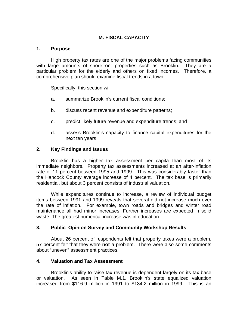# **M. FISCAL CAPACITY**

#### **1. Purpose**

High property tax rates are one of the major problems facing communities with large amounts of shorefront properties such as Brooklin. They are a particular problem for the elderly and others on fixed incomes. Therefore, a comprehensive plan should examine fiscal trends in a town.

Specifically, this section will:

- a. summarize Brooklin's current fiscal conditions;
- b. discuss recent revenue and expenditure patterns;
- c. predict likely future revenue and expenditure trends; and
- d. assess Brooklin's capacity to finance capital expenditures for the next ten years.

#### **2. Key Findings and Issues**

Brooklin has a higher tax assessment per capita than most of its immediate neighbors. Property tax assessments increased at an after-inflation rate of 11 percent between 1995 and 1999. This was considerably faster than the Hancock County average increase of 4 percent. The tax base is primarily residential, but about 3 percent consists of industrial valuation.

While expenditures continue to increase, a review of individual budget items between 1991 and 1999 reveals that several did not increase much over the rate of inflation. For example, town roads and bridges and winter road maintenance all had minor increases. Further increases are expected in solid waste. The greatest numerical increase was in education.

#### **3. Public Opinion Survey and Community Workshop Results**

About 26 percent of respondents felt that property taxes were a problem, 57 percent felt that they were **not** a problem. There were also some comments about "uneven" assessment practices.

#### **4. Valuation and Tax Assessment**

Brooklin's ability to raise tax revenue is dependent largely on its tax base or valuation. As seen in Table M.1, Brooklin's state equalized valuation increased from \$116.9 million in 1991 to \$134.2 million in 1999. This is an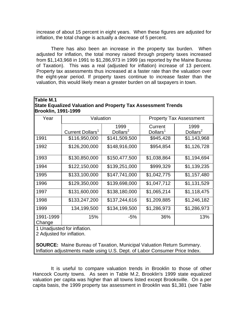increase of about 15 percent in eight years. When these figures are adjusted for inflation, the total change is actually a decrease of 5 percent.

There has also been an increase in the property tax burden. When adjusted for inflation, the total money raised through property taxes increased from \$1,143,968 in 1991 to \$1,286,973 in 1999 (as reported by the Maine Bureau of Taxation). This was a real (adjusted for inflation) increase of 13 percent. Property tax assessments thus increased at a faster rate than the valuation over the eight-year period. If property taxes continue to increase faster than the valuation, this would likely mean a greater burden on all taxpayers in town.

| Table M.1                                                    |  |
|--------------------------------------------------------------|--|
| State Equalized Valuation and Property Tax Assessment Trends |  |
| Brooklin, 1991-1999                                          |  |

| Year                | Valuation                    |                              |                                 | <b>Property Tax Assessment</b> |
|---------------------|------------------------------|------------------------------|---------------------------------|--------------------------------|
|                     | Current Dollars <sup>1</sup> | 1999<br>Dollars <sup>2</sup> | Current<br>Dollars <sup>1</sup> | 1999<br>Dollars <sup>2</sup>   |
| 1991                | \$116,950,000                | \$141,509,500                | \$945,428                       | \$1,143,968                    |
| 1992                | \$126,200,000                | \$148,916,000                | \$954,854                       | \$1,126,728                    |
| 1993                | \$130,850,000                | \$150,477,500                | \$1,038,864                     | \$1,194,694                    |
| 1994                | \$122,150,000                | \$139,251,000                | \$999,329                       | \$1,139,235                    |
| 1995                | \$133,100,000                | \$147,741,000                | \$1,042,775                     | \$1,157,480                    |
| 1996                | \$129,350,000                | \$139,698,000                | \$1,047,712                     | \$1,131,529                    |
| 1997                | \$131,600,000                | \$138,180,000                | \$1,065,214                     | \$1,118,475                    |
| 1998                | \$133,247,200                | \$137,244,616                | \$1,209,885                     | \$1,246,182                    |
| 1999                | 134,199,500                  | \$134,199,500                | \$1,286,973                     | \$1,286,973                    |
| 1991-1999<br>Change | 15%                          | -5%                          | 36%                             | 13%                            |

1 Unadjusted for inflation.

2 Adjusted for inflation.

 **SOURCE:** Maine Bureau of Taxation, Municipal Valuation Return Summary. Inflation adjustments made using U.S. Dept. of Labor Consumer Price Index.

It is useful to compare valuation trends in Brooklin to those of other Hancock County towns. As seen in Table M.2, Brooklin's 1999 state equalized valuation per capita was higher than all towns listed except Brooksville. On a per capita basis, the 1999 property tax assessment in Brooklin was \$1,381 (see Table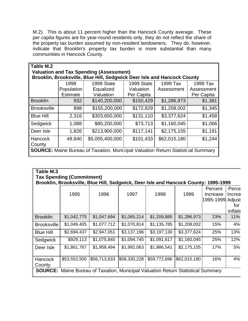M.2). This is about 11 percent higher than the Hancock County average. These per capita figures are for year-round residents only, they do not reflect the share of the property tax burden assumed by non-resident landowners. They do, however, indicate that Brooklin's property tax burden is more substantial than many communities in Hancock County.

| Table M.2          |                                                                         |                                                                                         |            |              |            |  |  |  |  |
|--------------------|-------------------------------------------------------------------------|-----------------------------------------------------------------------------------------|------------|--------------|------------|--|--|--|--|
|                    | <b>Valuation and Tax Spending (Assessment)</b>                          |                                                                                         |            |              |            |  |  |  |  |
|                    | Brooklin, Brooksville, Blue Hill, Sedgwick Deer Isle and Hancock County |                                                                                         |            |              |            |  |  |  |  |
|                    | 1998                                                                    | 1999 State                                                                              | 1999 State | 1999 Tax     | 1999 Tax   |  |  |  |  |
|                    | Population                                                              | Equalized                                                                               | Valuation  | Assessment   | Assessment |  |  |  |  |
|                    | <b>Estimate</b>                                                         | Valuation                                                                               | Per Capita |              | Per Capita |  |  |  |  |
| <b>Brooklin</b>    | 932                                                                     | \$140,200,000                                                                           | \$150,429  | \$1,286,973  | \$1,381    |  |  |  |  |
| <b>Brooksville</b> | 898                                                                     | \$155,200,000                                                                           | \$172,829  | \$1,208,002  | \$1,345    |  |  |  |  |
| <b>Blue Hill</b>   | 2,316                                                                   | \$303,650,000                                                                           | \$131,110  | \$3,377,624  | \$1,458    |  |  |  |  |
| Sedgwick           | 1,088                                                                   | \$80,200,000                                                                            | \$73,713   | \$1,160,045  | \$1,066    |  |  |  |  |
| Deer Isle          | 1,826                                                                   | \$213,900,000                                                                           | \$117,141  | \$2,175,155  | \$1,191    |  |  |  |  |
| Hancock<br>County  | 49,840                                                                  | \$5,055,400,000                                                                         | \$101,433  | \$62,015,180 | \$1,244    |  |  |  |  |
|                    |                                                                         | <b>SOURCE:</b> Maine Bureau of Taxation, Municipal Valuation Return Statistical Summary |            |              |            |  |  |  |  |

| Table M.3                                                                           |                                                                                         |              |              |              |              |                  |          |  |
|-------------------------------------------------------------------------------------|-----------------------------------------------------------------------------------------|--------------|--------------|--------------|--------------|------------------|----------|--|
|                                                                                     | <b>Tax Spending (Commitment)</b>                                                        |              |              |              |              |                  |          |  |
| Brooklin, Brooksville, Blue Hill, Sedgwick, Deer Isle and Hancock County: 1995-1999 |                                                                                         |              |              |              |              |                  |          |  |
|                                                                                     |                                                                                         |              |              |              |              | Percent          | Perce    |  |
|                                                                                     | 1995                                                                                    | 1996         | 1997         | 1998         | 1999         | Increase         | Increa   |  |
|                                                                                     |                                                                                         |              |              |              |              | 1995-1999 Adjust |          |  |
|                                                                                     |                                                                                         |              |              |              |              |                  | for      |  |
|                                                                                     |                                                                                         |              |              |              |              |                  | Inflatio |  |
| <b>Brooklin</b>                                                                     | \$1,042,775                                                                             | \$1,047,694  | \$1,065,214  | \$1,209,885  | \$1,286,973  | 23%              | 11%      |  |
| <b>Brooksville</b>                                                                  | \$1,049,405                                                                             | \$1,077,712  | \$1,070,814  | \$1,135,785  | \$1,208,002  | 15%              | 4%       |  |
| <b>Blue Hill</b>                                                                    | \$2,694,437                                                                             | \$2,947,051  | \$3,137,196  | \$3,197,130  | \$3,377,624  | 25%              | 13%      |  |
| Sedgwick                                                                            | \$929,113                                                                               | \$1,075,840  | \$1,094,745  | \$1,091,617  | \$1,160,045  | 25%              | 12%      |  |
| Deer Isle                                                                           | \$1,861,767                                                                             | \$1,958,494  | \$1,992,063  | \$1,986,541  | \$2,175,155  | 17%              | 5%       |  |
| <b>Hancock</b><br>County                                                            | \$53,552,500                                                                            | \$56,713,933 | \$58,330,228 | \$59,772,696 | \$62,015,180 | 16%              | 4%       |  |
|                                                                                     | <b>SOURCE:</b> Maine Bureau of Taxation, Municipal Valuation Return Statistical Summary |              |              |              |              |                  |          |  |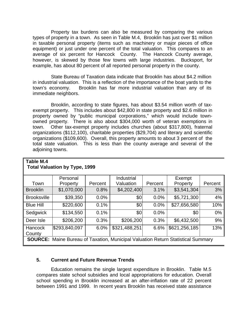Property tax burdens can also be measured by comparing the various types of property in a town. As seen in Table M.4, Brooklin has just over \$1 million in taxable personal property (items such as machinery or major pieces of office equipment) or just under one percent of the total valuation. This compares to an average of six percent for Hancock County. The Hancock County average, however, is skewed by those few towns with large industries. Bucksport, for example, has about 80 percent of all reported personal property in the county.

State Bureau of Taxation data indicate that Brooklin has about \$4.2 million in industrial valuation. This is a reflection of the importance of the boat yards to the town's economy. Brooklin has far more industrial valuation than any of its immediate neighbors.

Brooklin, according to state figures, has about \$3.54 million worth of taxexempt property. This includes about \$42,800 in state property and \$2.6 million in property owned by "public municipal corporations," which would include townowned property. There is also about \$304,000 worth of veteran exemptions in town. Other tax-exempt property includes churches (about \$317,800), fraternal organizations (\$112,100), charitable properties (\$29,704) and literary and scientific organizations (\$109,600). Overall, this property amounts to about 3 percent of the total state valuation. This is less than the county average and several of the adjoining towns.

|                    | Personal                                                                                |         | Industrial    |         | Exempt        |         |
|--------------------|-----------------------------------------------------------------------------------------|---------|---------------|---------|---------------|---------|
| Town               | Property                                                                                | Percent | Valuation     | Percent | Property      | Percent |
| <b>Brooklin</b>    | \$1,070,000                                                                             | 0.8%    | \$4,202,400   | 3.1%    | \$3,541,304   | 3%      |
| <b>Brooksville</b> | \$39,350                                                                                | 0.0%    | \$0           | 0.0%    | \$5,721,300   | $4\%$   |
| <b>Blue Hill</b>   | \$220,600                                                                               | 0.1%    | \$0           | 0.0%    | \$27,656,580  | 10%     |
| Sedgwick           | \$134,550                                                                               | 0.1%    | \$0           | 0.0%    | \$0           | $0\%$   |
| Deer Isle          | \$206,200                                                                               | 0.3%    | \$206,200     | 0.3%    | \$6,432,500   | 9%      |
| <b>Hancock</b>     | \$293,840,097                                                                           | 6.0%    | \$321,488,251 | 6.6%    | \$621,256,185 | 13%     |
| County             |                                                                                         |         |               |         |               |         |
|                    | <b>SOURCE:</b> Maine Bureau of Taxation, Municipal Valuation Return Statistical Summary |         |               |         |               |         |

#### **Table M.4 Total Valuation by Type, 1999**

# **5. Current and Future Revenue Trends**

Education remains the single largest expenditure in Brooklin. Table M.5 compares state school subsidies and local appropriations for education. Overall school spending in Brooklin increased at an after-inflation rate of 22 percent between 1991 and 1999. In recent years Brooklin has received state assistance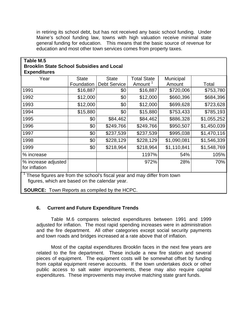in retiring its school debt, but has not received any basic school funding. Under Maine's school funding law, towns with high valuation receive minimal state general funding for education. This means that the basic source of revenue for education and most other town services comes from property taxes.

### **Table M.5 Brooklin State School Subsidies and Local Expenditures**

| <b>LAPVIRIUS</b>                     |              |                     |                     |             |             |
|--------------------------------------|--------------|---------------------|---------------------|-------------|-------------|
| Year                                 | <b>State</b> | <b>State</b>        | <b>Total State</b>  | Municipal   |             |
|                                      | Foundation   | <b>Debt Service</b> | Amount <sup>1</sup> | Amount      | Total       |
| 1991                                 | \$16,887     | \$0                 | \$16,887            | \$720,006   | \$753,780   |
| 1992                                 | \$12,000     | \$0                 | \$12,000            | \$660,396   | \$684,396   |
| 1993                                 | \$12,000     | \$0                 | \$12,000            | \$699,628   | \$723,628   |
| 1994                                 | \$15,880     | \$0                 | \$15,880            | \$753,433   | \$785,193   |
| 1995                                 | \$0          | \$84,462            | \$84,462            | \$886,328   | \$1,055,252 |
| 1996                                 | \$0          | \$249,766           | \$249,766           | \$950,507   | \$1,450,039 |
| 1997                                 | \$0          | \$237,539           | \$237,539           | \$995,038   | \$1,470,116 |
| 1998                                 | \$0          | \$228,129           | \$228,129           | \$1,090,081 | \$1,546,339 |
| 1999                                 | \$0          | \$218,964           | \$218,964           | \$1,110,841 | \$1,548,769 |
| % increase                           |              |                     | 1197%               | 54%         | 105%        |
| % increase adjusted<br>for inflation |              |                     | 972%                | 28%         | 70%         |
| ▔ ↑ —-                               |              |                     |                     |             |             |

These figures are from the school's fiscal year and may differ from town figures, which are based on the calendar year.

 **SOURCE:** Town Reports as compiled by the HCPC.

#### **6. Current and Future Expenditure Trends**

Table M.6 compares selected expenditures between 1991 and 1999 adjusted for inflation. The most rapid spending increases were in administration and the fire department. All other categories except social security payments and town roads and bridges increased at a rate above that of inflation.

Most of the capital expenditures Brooklin faces in the next few years are related to the fire department. These include a new fire station and several pieces of equipment. The equipment costs will be somewhat offset by funding from capital equipment reserve accounts. If the town undertakes dock or other public access to salt water improvements, these may also require capital expenditures. These improvements may involve matching state grant funds.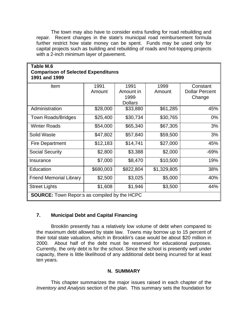The town may also have to consider extra funding for road rebuilding and repair. Recent changes in the state's municipal road reimbursement formula further restrict how state money can be spent. Funds may be used only for capital projects such as building and rebuilding of roads and hot-topping projects with a 2-inch minimum layer of pavement.

| Table M.6<br><b>Comparison of Selected Expenditures</b><br>1991 and 1999 |           |                |             |                       |  |  |  |
|--------------------------------------------------------------------------|-----------|----------------|-------------|-----------------------|--|--|--|
| Item                                                                     | 1991      | 1991           | 1999        | Constant              |  |  |  |
|                                                                          | Amount    | Amount in      | Amount      | <b>Dollar Percent</b> |  |  |  |
|                                                                          |           | 1999           |             | Change                |  |  |  |
|                                                                          |           | <b>Dollars</b> |             |                       |  |  |  |
| Administration                                                           | \$28,000  | \$33,880       | \$61,285    | 45%                   |  |  |  |
| <b>Town Roads/Bridges</b>                                                | \$25,400  | \$30,734       | \$30,765    | $0\%$                 |  |  |  |
| <b>Winter Roads</b>                                                      | \$54,000  | \$65,340       | \$67,305    | 3%                    |  |  |  |
| <b>Solid Waste</b>                                                       | \$47,802  | \$57,840       | \$59,500    | 3%                    |  |  |  |
| <b>Fire Department</b>                                                   | \$12,183  | \$14,741       | \$27,000    | 45%                   |  |  |  |
| <b>Social Security</b>                                                   | \$2,800   | \$3,388        | \$2,000     | $-69%$                |  |  |  |
| Insurance                                                                | \$7,000   | \$8,470        | \$10,500    | 19%                   |  |  |  |
| Education                                                                | \$680,003 | \$822,804      | \$1,329,805 | 38%                   |  |  |  |
| <b>Friend Memorial Library</b>                                           | \$2,500   | \$3,025        | \$5,000     | 40%                   |  |  |  |
| <b>Street Lights</b>                                                     | \$1,608   | \$1,946        | \$3,500     | 44%                   |  |  |  |
| <b>SOURCE:</b> Town Reports as compiled by the HCPC                      |           |                |             |                       |  |  |  |

# **7. Municipal Debt and Capital Financing**

Brooklin presently has a relatively low volume of debt when compared to the maximum debt allowed by state law. Towns may borrow up to 15 percent of their total state valuation, which in Brooklin's case would be about \$20 million in 2000. About half of the debt must be reserved for educational purposes. Currently, the only debt is for the school. Since the school is presently well under capacity, there is little likelihood of any additional debt being incurred for at least ten years.

#### **N. SUMMARY**

This chapter summarizes the major issues raised in each chapter of the *Inventory and Analysis* section of the plan. This summary sets the foundation for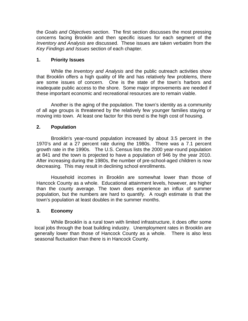the *Goals and Objectives* section. The first section discusses the most pressing concerns facing Brooklin and then specific issues for each segment of the *Inventory and Analysis* are discussed. These issues are taken verbatim from the *Key Findings and Issues* section of each chapter.

### **1. Priority Issues**

While the *Inventory and Analysis* and the public outreach activities show that Brooklin offers a high quality of life and has relatively few problems, there are some issues of concern. One is the state of the town's harbors and inadequate public access to the shore. Some major improvements are needed if these important economic and recreational resources are to remain viable.

Another is the aging of the population. The town's identity as a community of all age groups is threatened by the relatively few younger families staying or moving into town. At least one factor for this trend is the high cost of housing.

# **2. Population**

Brooklin's year-round population increased by about 3.5 percent in the 1970's and at a 27 percent rate during the 1980s. There was a 7.1 percent growth rate in the 1990s. The U.S. Census lists the 2000 year-round population at 841 and the town is projected to have a population of 946 by the year 2010. After increasing during the 1980s, the number of pre-school-aged children is now decreasing. This may result in declining school enrollments.

Household incomes in Brooklin are somewhat lower than those of Hancock County as a whole. Educational attainment levels, however, are higher than the county average. The town does experience an influx of summer population, but the numbers are hard to quantify. A rough estimate is that the town's population at least doubles in the summer months.

#### **3. Economy**

While Brooklin is a rural town with limited infrastructure, it does offer some local jobs through the boat building industry. Unemployment rates in Brooklin are generally lower than those of Hancock County as a whole. There is also less seasonal fluctuation than there is in Hancock County.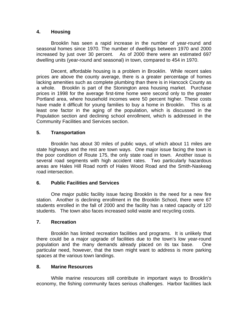# **4. Housing**

Brooklin has seen a rapid increase in the number of year-round and seasonal homes since 1970. The number of dwellings between 1970 and 2000 increased by just over 30 percent. As of 2000 there were an estimated 697 dwelling units (year-round and seasonal) in town, compared to 454 in 1970.

Decent, affordable housing is a problem in Brooklin. While recent sales prices are above the county average, there is a greater percentage of homes lacking amenities such as complete plumbing than there is in Hancock County as a whole. Brooklin is part of the Stonington area housing market. Purchase prices in 1998 for the average first-time home were second only to the greater Portland area, where household incomes were 50 percent higher. These costs have made it difficult for young families to buy a home in Brooklin. This is at least one factor in the aging of the population, which is discussed in the Population section and declining school enrollment, which is addressed in the Community Facilities and Services section.

# **5. Transportation**

Brooklin has about 30 miles of public ways, of which about 11 miles are state highways and the rest are town ways. One major issue facing the town is the poor condition of Route 175, the only state road in town. Another issue is several road segments with high accident rates. Two particularly hazardous areas are Hales Hill Road north of Hales Wood Road and the Smith-Naskeag road intersection.

#### **6. Public Facilities and Services**

One major public facility issue facing Brooklin is the need for a new fire station. Another is declining enrollment in the Brooklin School, there were 67 students enrolled in the fall of 2000 and the facility has a rated capacity of 120 students. The town also faces increased solid waste and recycling costs.

#### **7. Recreation**

Brooklin has limited recreation facilities and programs. It is unlikely that there could be a major upgrade of facilities due to the town's low year-round population and the many demands already placed on its tax base. One particular need, however, that the town might want to address is more parking spaces at the various town landings.

#### **8. Marine Resources**

While marine resources still contribute in important ways to Brooklin's economy, the fishing community faces serious challenges. Harbor facilities lack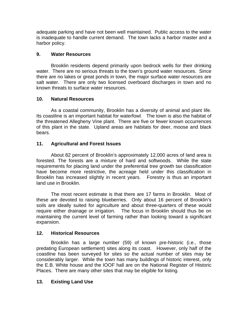adequate parking and have not been well maintained. Public access to the water is inadequate to handle current demand. The town lacks a harbor master and a harbor policy.

# **9. Water Resources**

Brooklin residents depend primarily upon bedrock wells for their drinking water. There are no serious threats to the town's ground water resources. Since there are no lakes or great ponds in town, the major surface water resources are salt water. There are only two licensed overboard discharges in town and no known threats to surface water resources.

# **10. Natural Resources**

As a coastal community, Brooklin has a diversity of animal and plant life. Its coastline is an important habitat for waterfowl. The town is also the habitat of the threatened Allegheny Vine plant. There are five or fewer known occurrences of this plant in the state. Upland areas are habitats for deer, moose and black bears.

# **11. Agricultural and Forest Issues**

About 82 percent of Brooklin's approximately 12,000 acres of land area is forested. The forests are a mixture of hard and softwoods. While the state requirements for placing land under the preferential tree growth tax classification have become more restrictive, the acreage held under this classification in Brooklin has increased slightly in recent years. Forestry is thus an important land use in Brooklin.

The most recent estimate is that there are 17 farms in Brooklin. Most of these are devoted to raising blueberries. Only about 16 percent of Brooklin's soils are ideally suited for agriculture and about three-quarters of these would require either drainage or irrigation. The focus in Brooklin should thus be on maintaining the current level of farming rather than looking toward a significant expansion.

# **12. Historical Resources**

Brooklin has a large number (59) of known pre-historic (i.e., those predating European settlement) sites along its coast. However, only half of the coastline has been surveyed for sites so the actual number of sites may be considerably larger. While the town has many buildings of historic interest, only the E.B. White house and the IOOF hall are on the National Register of Historic Places. There are many other sites that may be eligible for listing.

# **13. Existing Land Use**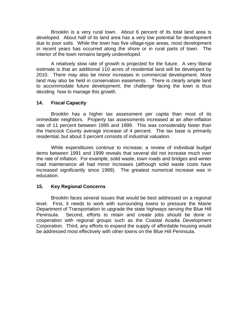Brooklin is a very rural town. About 6 percent of its total land area is developed. About half of its land area has a very low potential for development due to poor soils. While the town has five village-type areas, most development in recent years has occurred along the shore or in rural parts of town. The interior of the town remains largely undeveloped.

A relatively slow rate of growth is projected for the future. A very liberal estimate is that an additional 110 acres of residential land will be developed by 2010. There may also be minor increases in commercial development. More land may also be held in conservation easements. There is clearly ample land to accommodate future development, the challenge facing the town is thus deciding how to manage this growth.

#### **14. Fiscal Capacity**

Brooklin has a higher tax assessment per capita than most of its immediate neighbors. Property tax assessments increased at an after-inflation rate of 11 percent between 1995 and 1999. This was considerably faster than the Hancock County average increase of 4 percent. The tax base is primarily residential, but about 3 percent consists of industrial valuation.

While expenditures continue to increase, a review of individual budget items between 1991 and 1999 reveals that several did not increase much over the rate of inflation. For example, solid waste, town roads and bridges and winter road maintenance all had minor increases (although solid waste costs have increased significantly since 1999). The greatest numerical increase was in education.

# **15. Key Regional Concerns**

Brooklin faces several issues that would be best addressed on a regional level. First, it needs to work with surrounding towns to pressure the Maine Department of Transportation to upgrade the state highways serving the Blue Hill Peninsula. Second, efforts to retain and create jobs should be done in cooperation with regional groups such as the Coastal Acadia Development Corporation. Third, any efforts to expand the supply of affordable housing would be addressed most effectively with other towns on the Blue Hill Peninsula.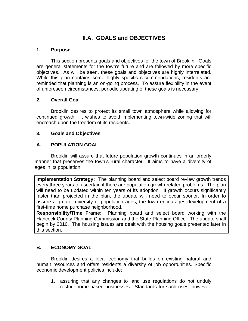# **II.A. GOALS and OBJECTIVES**

### **1. Purpose**

This section presents goals and objectives for the town of Brooklin. Goals are general statements for the town's future and are followed by more specific objectives. As will be seen, these goals and objectives are highly interrelated. While this plan contains some highly specific recommendations, residents are reminded that planning is an on-going process. To assure flexibility in the event of unforeseen circumstances, periodic updating of these goals is necessary.

# **2. Overall Goal**

Brooklin desires to protect its small town atmosphere while allowing for continued growth. It wishes to avoid implementing town-wide zoning that will encroach upon the freedom of its residents.

# **3. Goals and Objectives**

# **A. POPULATION GOAL**

Brooklin will assure that future population growth continues in an orderly manner that preserves the town's rural character. It aims to have a diversity of ages in its population.

**Implementation Strategy:** The planning board and select board review growth trends every three years to ascertain if there are population growth-related problems. The plan will need to be updated within ten years of its adoption. If growth occurs significantly faster than projected in the plan, the update will need to occur sooner. In order to assure a greater diversity of population ages, the town encourages development of a first-time home purchase neighborhood.

**Responsibility/Time Frame:** Planning board and select board working with the Hancock County Planning Commission and the State Planning Office. The update shall begin by 2010. The housing issues are dealt with the housing goals presented later in this section.

# **B. ECONOMY GOAL**

Brooklin desires a local economy that builds on existing natural and human resources and offers residents a diversity of job opportunities. Specific economic development policies include:

1. assuring that any changes to land use regulations do not unduly restrict home-based businesses. Standards for such uses, however,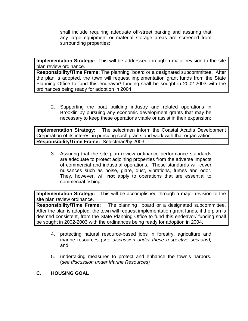shall include requiring adequate off-street parking and assuring that any large equipment or material storage areas are screened from surrounding properties;

**Implementation Strategy:** This will be addressed through a major revision to the site plan review ordinance.

**Responsibility/Time Frame:** The planning board or a designated subcommittee. After the plan is adopted, the town will request implementation grant funds from the State Planning Office to fund this endeavor/ funding shall be sought in 2002-2003 with the ordinances being ready for adoption in 2004.

2. Supporting the boat building industry and related operations in Brooklin by pursuing any economic development grants that may be necessary to keep these operations viable or assist in their expansion;

**Implementation Strategy:** The selectmen inform the Coastal Acadia Development Corporation of its interest in pursuing such grants and work with that organization **Responsibility/Time Frame:** Selectman/by 2003

3. Assuring that the site plan review ordinance performance standards are adequate to protect adjoining properties from the adverse impacts of commercial and industrial operations. These standards will cover nuisances such as noise, glare, dust, vibrations, fumes and odor. They, however, will **not** apply to operations that are essential to commercial fishing;

**Implementation Strategy:** This will be accomplished through a major revision to the site plan review ordinance.

**Responsibility/Time Frame:** The planning board or a designated subcommittee. After the plan is adopted, the town will request implementation grant funds, if the plan is deemed consistent, from the State Planning Office to fund this endeavor/ funding shall be sought in 2002-2003 with the ordinances being ready for adoption in 2004.

- 4. protecting natural resource-based jobs in forestry, agriculture and marine resources *(see discussion under these respective sections);* and
- 5. undertaking measures to protect and enhance the town's harbors. (*see discussion under Marine Resources)*
- **C. HOUSING GOAL**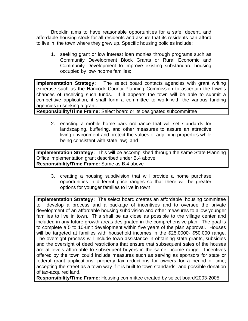Brooklin aims to have reasonable opportunities for a safe, decent, and affordable housing stock for all residents and assure that its residents can afford to live in the town where they grew up. Specific housing policies include:

1. seeking grant or low interest loan monies through programs such as Community Development Block Grants or Rural Economic and Community Development to improve existing substandard housing occupied by low-income families;

**Implementation Strategy:** The select board contacts agencies with grant writing expertise such as the Hancock County Planning Commission to ascertain the town's chances of receiving such funds. If it appears the town will be able to submit a competitive application, it shall form a committee to work with the various funding agencies in seeking a grant.

**Responsibility/Time Frame:** Select board or its designated subcommittee

2. enacting a mobile home park ordinance that will set standards for landscaping, buffering, and other measures to assure an attractive living environment and protect the values of adjoining properties while being consistent with state law; and

**Implementation Strategy:** This will be accomplished through the same State Planning Office implementation grant described under B.4 above. **Responsibility/Time Frame:** Same as B.4 above

3. creating a housing subdivision that will provide a home purchase opportunities in different price ranges so that there will be greater options for younger families to live in town.

**Implementation Strategy:** The select board creates an affordable housing committee to develop a process and a package of incentives and to oversee the private development of an affordable housing subdivision and other measures to allow younger families to live in town.. This shall be as close as possible to the village center and included in any future growth areas designated in the comprehensive plan. The goal is to complete a 5 to 10-unit development within five years of the plan approval. Houses will be targeted at families with household incomes in the \$25,0000- \$50,000 range. The oversight process will include town assistance in obtaining state grants, subsidies and the oversight of deed restrictions that ensure that subsequent sales of the houses are at levels affordable to subsequent buyers in the same income range. Incentives offered by the town could include measures such as serving as sponsors for state or federal grant applications, property tax reductions for owners for a period of time; accepting the street as a town way if it is built to town standards; and possible donation of tax-acquired land.

**Responsibility/Time Frame:** Housing committee created by select board/2003-2005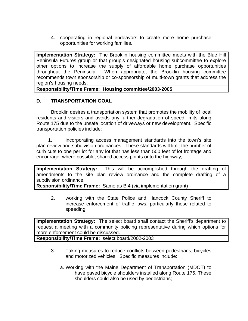4. cooperating in regional endeavors to create more home purchase opportunities for working families.

**Implementation Strategy:** The Brooklin housing committee meets with the Blue Hill Peninsula Futures group or that group's designated housing subcommittee to explore other options to increase the supply of affordable home purchase opportunities throughout the Peninsula. When appropriate, the Brooklin housing committee recommends town sponsorship or co-sponsorship of multi-town grants that address the region's housing needs.

**Responsibility/Time Frame: Housing committee/2003-2005**

#### **D. TRANSPORTATION GOAL**

Brooklin desires a transportation system that promotes the mobility of local residents and visitors and avoids any further degradation of speed limits along Route 175 due to the unsafe location of driveways or new development. Specific transportation policies include:

1. incorporating access management standards into the town's site plan review and subdivision ordinances. These standards will limit the number of curb cuts to one per lot for any lot that has less than 500 feet of lot frontage and encourage, where possible, shared access points onto the highway;

**Implementation Strategy:** This will be accomplished through the drafting of amendments to the site plan review ordinance and the complete drafting of a subdivision ordinance.

**Responsibility/Time Frame:** Same as B.4 (via implementation grant)

2. working with the State Police and Hancock County Sheriff to increase enforcement of traffic laws, particularly those related to speeding;

**Implementation Strategy:** The select board shall contact the Sheriff's department to request a meeting with a community policing representative during which options for more enforcement could be discussed.

**Responsibility/Time Frame:** select board/2002-2003

- 3. Taking measures to reduce conflicts between pedestrians, bicycles and motorized vehicles. Specific measures include:
	- a. Working with the Maine Department of Transportation (MDOT) to have paved bicycle shoulders installed along Route 175. These shoulders could also be used by pedestrians;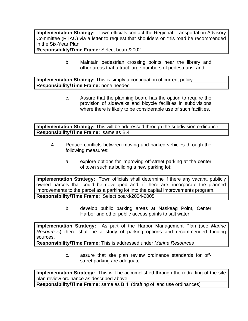**Implementation Strategy:** Town officials contact the Regional Transportation Advisory Committee (RTAC) via a letter to request that shoulders on this road be recommended in the Six-Year Plan

**Responsibility/Time Frame:** Select board/2002

b. Maintain pedestrian crossing points near the library and other areas that attract large numbers of pedestrians; and

**Implementation Strategy:** This is simply a continuation of current policy **Responsibility/Time Frame:** none needed

> c. Assure that the planning board has the option to require the provision of sidewalks and bicycle facilities in subdivisions where there is likely to be considerable use of such facilities.

**Implementation Strategy:** This will be addressed through the subdivision ordinance **Responsibility/Time Frame:** same as B.4

- 4. Reduce conflicts between moving and parked vehicles through the following measures:
	- a. explore options for improving off-street parking at the center of town such as building a new parking lot;

**Implementation Strategy:** Town officials shall determine if there any vacant, publicly owned parcels that could be developed and, if there are, incorporate the planned improvements to the parcel as a parking lot into the capital improvements program. **Responsibility/Time Frame:** Select board/2004-2005

> b. develop public parking areas at Naskeag Point, Center Harbor and other public access points to salt water;

**Implementation Strategy:** As part of the Harbor Management Plan (see *Marine Resources*) there shall be a study of parking options and recommended funding sources.

**Responsibility/Time Frame:** This is addressed under *Marine Resources*

c. assure that site plan review ordinance standards for offstreet parking are adequate.

**Implementation Strategy:** This will be accomplished through the redrafting of the site plan review ordinance as described above.

**Responsibility/Time Frame:** same as B.4 (drafting of land use ordinances)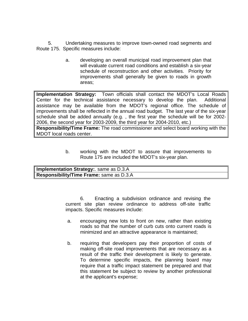5. Undertaking measures to improve town-owned road segments and Route 175. Specific measures include:

> a. developing an overall municipal road improvement plan that will evaluate current road conditions and establish a six-year schedule of reconstruction and other activities. Priority for improvements shall generally be given to roads in growth areas;

**Implementation Strategy:** Town officials shall contact the MDOT's Local Roads Center for the technical assistance necessary to develop the plan. Additional assistance may be available from the MDOT's regional office. The schedule of improvements shall be reflected in the annual road budget. The last year of the six-year schedule shall be added annually (e.g. , the first year the schedule will be for 2002- 2006, the second year for 2003-2009, the third year for 2004-2010, etc.)

**Responsibility/Time Frame:** The road commissioner and select board working with the MDOT local roads center.

> b. working with the MDOT to assure that improvements to Route 175 are included the MDOT's six-year plan.

| <b>Implementation Strategy: same as D.3.A</b> |
|-----------------------------------------------|
| Responsibility/Time Frame: same as D.3.A      |

6. Enacting a subdivision ordinance and revising the current site plan review ordinance to address off-site traffic impacts. Specific measures include:

- a. encouraging new lots to front on new, rather than existing roads so that the number of curb cuts onto current roads is minimized and an attractive appearance is maintained;
- b. requiring that developers pay their proportion of costs of making off-site road improvements that are necessary as a result of the traffic their development is likely to generate. To determine specific impacts, the planning board may require that a traffic impact statement be prepared and that this statement be subject to review by another professional at the applicant's expense;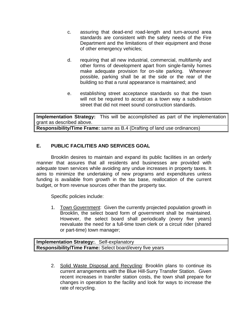- c. assuring that dead-end road-length and turn-around area standards are consistent with the safety needs of the Fire Department and the limitations of their equipment and those of other emergency vehicles;
- d. requiring that all new industrial, commercial, multifamily and other forms of development apart from single-family homes make adequate provision for on-site parking. Whenever possible, parking shall be at the side or the rear of the building so that a rural appearance is maintained; and
- e. establishing street acceptance standards so that the town will not be required to accept as a town way a subdivision street that did not meet sound construction standards.

**Implementation Strategy:** This will be accomplished as part of the implementation grant as described above.

**Responsibility/Time Frame:** same as B.4 (Drafting of land use ordinances)

# **E. PUBLIC FACILITIES AND SERVICES GOAL**

Brooklin desires to maintain and expand its public facilities in an orderly manner that assures that all residents and businesses are provided with adequate town services while avoiding any undue increases in property taxes. It aims to minimize the undertaking of new programs and expenditures unless funding is available from growth in the tax base, reallocation of the current budget, or from revenue sources other than the property tax.

Specific policies include:

1. Town Government: Given the currently projected population growth in Brooklin, the select board form of government shall be maintained. However, the select board shall periodically (every five years) reevaluate the need for a full-time town clerk or a circuit rider (shared or part-time) town manager;

**Implementation Strategy:**. Self-explanatory **Responsibility/Time Frame:** Select board/every five years

> 2. Solid Waste Disposal and Recycling: Brooklin plans to continue its current arrangements with the Blue Hill-Surry Transfer Station. Given recent increases in transfer station costs, the town shall prepare for changes in operation to the facility and look for ways to increase the rate of recycling.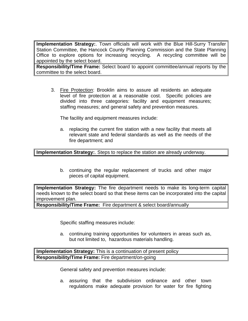**Implementation Strategy:**. Town officials will work with the Blue Hill-Surry Transfer Station Committee, the Hancock County Planning Commission and the State Planning Office to explore options for increasing recycling. A recycling committee will be appointed by the select board.

**Responsibility/Time Frame:** Select board to appoint committee/annual reports by the committee to the select board.

3. Fire Protection: Brooklin aims to assure all residents an adequate level of fire protection at a reasonable cost. Specific policies are divided into three categories: facility and equipment measures; staffing measures; and general safety and prevention measures.

The facility and equipment measures include:

a. replacing the current fire station with a new facility that meets all relevant state and federal standards as well as the needs of the fire department; and

**Implementation Strategy:**. Steps to replace the station are already underway.

b. continuing the regular replacement of trucks and other major pieces of capital equipment.

**Implementation Strategy:** The fire department needs to make its long-term capital needs known to the select board so that these items can be incorporated into the capital improvement plan.

**Responsibility/Time Frame:** Fire department & select board/annually

Specific staffing measures include:

a. continuing training opportunities for volunteers in areas such as, but not limited to, hazardous materials handling.

**Implementation Strategy:** This is a continuation of present policy **Responsibility/Time Frame:** Fire department/on-going

General safety and prevention measures include:

a. assuring that the subdivision ordinance and other town regulations make adequate provision for water for fire fighting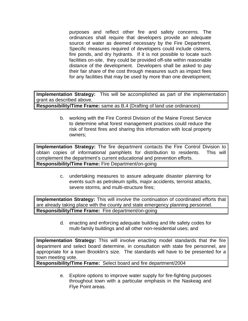purposes and reflect other fire and safety concerns. The ordinances shall require that developers provide an adequate source of water as deemed necessary by the Fire Department. Specific measures required of developers could include cisterns, fire ponds, and dry hydrants. If it is not possible to locate such facilities on-site, they could be provided off-site within reasonable distance of the development. Developers shall be asked to pay their fair share of the cost through measures such as impact fees for any facilities that may be used by more than one development;

**Implementation Strategy:** This will be accomplished as part of the implementation grant as described above.

**Responsibility/Time Frame:** same as B.4 (Drafting of land use ordinances)

b. working with the Fire Control Division of the Maine Forest Service to determine what forest management practices could reduce the risk of forest fires and sharing this information with local property owners;

**Implementation Strategy:** The fire department contacts the Fire Control Division to obtain copies of informational pamphlets for distribution to residents. This will complement the department's current educational and prevention efforts. **Responsibility/Time Frame:** Fire Department/on-going

> c. undertaking measures to assure adequate disaster planning for events such as petroleum spills, major accidents, terrorist attacks, severe storms, and multi-structure fires;

**Implementation Strategy:** This will involve the continuation of coordinated efforts that are already taking place with the county and state emergency planning personnel. **Responsibility/Time Frame:** Fire department/on-going

> d. enacting and enforcing adequate building and life safety codes for multi-family buildings and all other non-residential uses; and

**Implementation Strategy:** This will involve enacting model standards that the fire department and select board determine, in consultation with state fire personnel, are appropriate for a town Brooklin's size. The standards will have to be presented for a town meeting vote.

**Responsibility/Time Frame:** Select board and fire department/2004

e. Explore options to improve water supply for fire-fighting purposes throughout town with a particular emphasis in the Naskeag and Flye Point areas.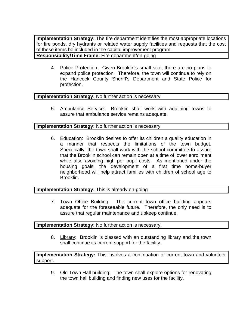**Implementation Strategy:** The fire department identifies the most appropriate locations for fire ponds, dry hydrants or related water supply facilities and requests that the cost of these items be included in the capital improvement program. **Responsibility/Time Frame:** Fire department/on-going

4. Police Protection: Given Brooklin's small size, there are no plans to expand police protection. Therefore, the town will continue to rely on the Hancock County Sheriff's Department and State Police for protection.

#### **Implementation Strategy:** No further action is necessary

5. Ambulance Service: Brooklin shall work with adjoining towns to assure that ambulance service remains adequate.

#### **Implementation Strategy:** No further action is necessary

6. Education: Brooklin desires to offer its children a quality education in a manner that respects the limitations of the town budget. Specifically, the town shall work with the school committee to assure that the Brooklin school can remain open at a time of lower enrollment while also avoiding high per pupil costs. As mentioned under the housing goals, the development of a first time home-buyer neighborhood will help attract families with children of school age to Brooklin.

## **Implementation Strategy:** This is already on-going

7. Town Office Building: The current town office building appears adequate for the foreseeable future. Therefore, the only need is to assure that regular maintenance and upkeep continue.

#### **Implementation Strategy:** No further action is necessary.

8. Library: Brooklin is blessed with an outstanding library and the town shall continue its current support for the facility.

**Implementation Strategy:** This involves a continuation of current town and volunteer support.

9. Old Town Hall building: The town shall explore options for renovating the town hall building and finding new uses for the facility.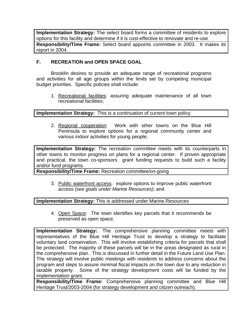**Implementation Strategy:** The select board forms a committee of residents to explore options for this facility and determine if it is cost-effective to renovate and re-use **Responsibility/Time Frame:** Select board appoints committee in 2003. It makes its report in 2004.

# **F. RECREATION and OPEN SPACE GOAL**

Brooklin desires to provide an adequate range of recreational programs and activities for all age groups within the limits set by competing municipal budget priorities. Specific policies shall include:

1. Recreational facilities: assuring adequate maintenance of all town recreational facilities;

**Implementation Strategy:** This is a continuation of current town policy.

2. Regional cooperation: Work with other towns on the Blue Hill Peninsula to explore options for a regional community center and various indoor activities for young people;

**Implementation Strategy:** The recreation committee meets with its counterparts in other towns to monitor progress on plans for a regional center. If proven appropriate and practical, the town co-sponsors grant funding requests to build such a facility and/or fund programs.

**Responsibility/Time Frame:** Recreation committee/on-going

3. Public waterfront access: explore options to improve public waterfront access (*see goals under Marine Resources)*; and

#### **Implementation Strategy:** This is addressed under Marine Resources

4. Open Space: The town identifies key parcels that it recommends be preserved as open space.

**Implementation Strategy:**. The comprehensive planning committee meets with representatives of the Blue Hill Heritage Trust to develop a strategy to facilitate voluntary land conservation. This will involve establishing criteria for parcels that shall be protected. The majority of these parcels will be in the areas designated as rural in the comprehensive plan. This is discussed in further detail in the Future Land Use Plan. The strategy will involve public meetings with residents to address concerns about the program and steps to assure minimal fiscal impacts on the town due to any reduction in taxable property. Some of the strategy development costs will be funded by the implementation grant.

**Responsibility/Time Frame:** Comprehensive planning committee and Blue Hill Heritage Trust/2003-2004 (for strategy development and citizen outreach).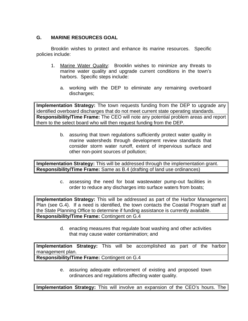# **G. MARINE RESOURCES GOAL**

Brooklin wishes to protect and enhance its marine resources. Specific policies include:

- 1. Marine Water Quality: Brooklin wishes to minimize any threats to marine water quality and upgrade current conditions in the town's harbors. Specific steps include:
	- a. working with the DEP to eliminate any remaining overboard discharges;

**Implementation Strategy:** The town requests funding from the DEP to upgrade any identified overboard discharges that do not meet current state operating standards. **Responsibility/Time Frame:** The CEO will note any potential problem areas and report them to the select board who will then request funding from the DEP.

> b. assuring that town regulations sufficiently protect water quality in marine watersheds through development review standards that consider storm water runoff, extent of impervious surface and other non-point sources of pollution;

**Implementation Strategy:** This will be addressed through the implementation grant. **Responsibility/Time Frame:** Same as B.4 (drafting of land use ordinances)

> c. assessing the need for boat wastewater pump-out facilities in order to reduce any discharges into surface waters from boats;

**Implementation Strategy:** This will be addressed as part of the Harbor Management Plan (see G.4). If a need is identified, the town contacts the Coastal Program staff at the State Planning Office to determine if funding assistance is currently available. **Responsibility/Time Frame:** Contingent on G.4

> d. enacting measures that regulate boat washing and other activities that may cause water contamination; and

**Implementation Strategy:** This will be accomplished as part of the harbor management plan.

**Responsibility/Time Frame:** Contingent on G.4

e. assuring adequate enforcement of existing and proposed town ordinances and regulations affecting water quality.

**Implementation Strategy:** This will involve an expansion of the CEO's hours. The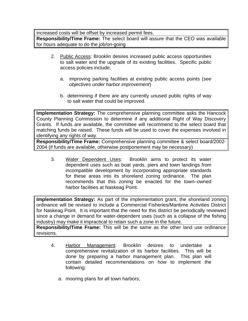increased costs will be offset by increased permit fees.

**Responsibility/Time Frame:** The select board will assure that the CEO was available for hours adequate to do the job/on-going

- 2. Public Access: Brooklin desires increased public access opportunities to salt water and the upgrade of its existing facilities. Specific public access policies include:
	- a. improving parking facilities at existing public access points (*see objectives under harbor improvement*)
	- b. determining if there are any currently unused public rights of way to salt water that could be improved.

**Implementation Strategy:** The comprehensive planning committee asks the Hancock County Planning Commission to determine if any additional Right of Way Discovery Grants. If funds are available, the committee will recommend to the select board that matching funds be raised. These funds will be used to cover the expenses involved in identifying any rights of way.

**Responsibility/Time Frame:** Comprehensive planning committee & select board/2002- 2004 (if funds are available, otherwise postponement may be necessary)

3. Water Dependent Uses: Brooklin aims to protect its water dependent uses such as boat yards, piers and town landings from incompatible development by incorporating appropriate standards for these areas into its shoreland zoning ordinance. The plan recommends that this zoning be enacted for the town–owned harbor facilities at Naskeag Point.

**Implementation Strategy:** As part of the implementation grant, the shoreland zoning ordinance will be revised to include a Commercial Fisheries/Maritime Activities District for Naskeag Point. It is important that the need for this district be periodically reviewed since a change in demand for water-dependent uses (such as a collapse of the fishing industry) may make it impractical to retain such a zone in the future.

**Responsibility/Time Frame:** This will be the same as the other land use ordinance revisions.

- 4. Harbor Management: Brooklin desires to undertake a comprehensive revitalization of its harbor facilities. This will be done by preparing a harbor management plan. This plan will contain detailed recommendations on how to implement the following:
	- a. mooring plans for all town harbors;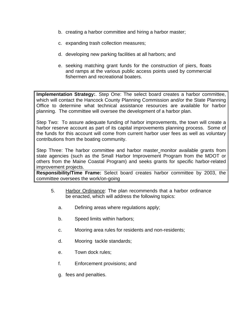- b. creating a harbor committee and hiring a harbor master;
- c. expanding trash collection measures;
- d. developing new parking facilities at all harbors; and
- e. seeking matching grant funds for the construction of piers, floats and ramps at the various public access points used by commercial fishermen and recreational boaters.

**Implementation Strategy:**. Step One: The select board creates a harbor committee, which will contact the Hancock County Planning Commission and/or the State Planning Office to determine what technical assistance resources are available for harbor planning. The committee will oversee the development of a harbor plan.

Step Two: To assure adequate funding of harbor improvements, the town will create a harbor reserve account as part of its capital improvements planning process. Some of the funds for this account will come from current harbor user fees as well as voluntary contributions from the boating community.

Step Three: The harbor committee and harbor master monitor available grants from state agencies (such as the Small Harbor Improvement Program from the MDOT or others from the Maine Coastal Program) and seeks grants for specific harbor-related improvement projects.

**Responsibility/Time Frame:** Select board creates harbor committee by 2003, the committee oversees the work/on-going

- 5. Harbor Ordinance: The plan recommends that a harbor ordinance be enacted, which will address the following topics:
	- a. Defining areas where regulations apply;
	- b. Speed limits within harbors;
	- c. Mooring area rules for residents and non-residents;
	- d. Mooring tackle standards;
	- e. Town dock rules;
	- f. Enforcement provisions; and
	- g. fees and penalties.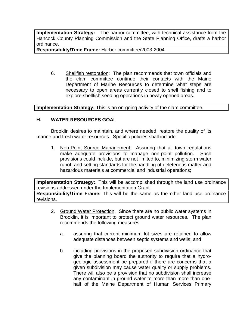**Implementation Strategy:** The harbor committee, with technical assistance from the Hancock County Planning Commission and the State Planning Office, drafts a harbor ordinance.

**Responsibility/Time Frame:** Harbor committee/2003-2004

6. Shellfish restoration: The plan recommends that town officials and the clam committee continue their contacts with the Maine Department of Marine Resources to determine what steps are necessary to open areas currently closed to shell fishing and to explore shellfish seeding operations in newly opened areas.

**Implementation Strategy:** This is an on-going activity of the clam committee.

# **H. WATER RESOURCES GOAL**

Brooklin desires to maintain, and where needed, restore the quality of its marine and fresh water resources. Specific policies shall include:

1. Non-Point Source Management: Assuring that all town regulations make adequate provisions to manage non-point pollution. Such provisions could include, but are not limited to, minimizing storm water runoff and setting standards for the handling of deleterious matter and hazardous materials at commercial and industrial operations;

**Implementation Strategy:**. This will be accomplished through the land use ordinance revisions addressed under the Implementation Grant.

**Responsibility/Time Frame:** This will be the same as the other land use ordinance revisions.

- 2. Ground Water Protection. Since there are no public water systems in Brooklin, it is important to protect ground water resources. The plan recommends the following measures:
	- a. assuring that current minimum lot sizes are retained to allow adequate distances between septic systems and wells; and
	- b. including provisions in the proposed subdivision ordinance that give the planning board the authority to require that a hydrogeologic assessment be prepared if there are concerns that a given subdivision may cause water quality or supply problems. There will also be a provision that no subdivision shall increase any contaminant in ground water to more than more than onehalf of the Maine Department of Human Services Primary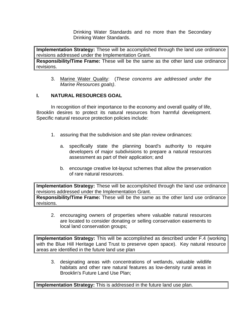Drinking Water Standards and no more than the Secondary Drinking Water Standards.

**Implementation Strategy:** These will be accomplished through the land use ordinance revisions addressed under the Implementation Grant.

**Responsibility/Time Frame:** These will be the same as the other land use ordinance revisions.

3. Marine Water Quality: (*These concerns are addressed under the Marine Resources goals)*.

# **I. NATURAL RESOURCES GOAL**

In recognition of their importance to the economy and overall quality of life, Brooklin desires to protect its natural resources from harmful development. Specific natural resource protection policies include:

- 1. assuring that the subdivision and site plan review ordinances:
	- a. specifically state the planning board's authority to require developers of major subdivisions to prepare a natural resources assessment as part of their application; and
	- b. encourage creative lot-layout schemes that allow the preservation of rare natural resources.

**Implementation Strategy:** These will be accomplished through the land use ordinance revisions addressed under the Implementation Grant.

**Responsibility/Time Frame:** These will be the same as the other land use ordinance revisions.

2. encouraging owners of properties where valuable natural resources are located to consider donating or selling conservation easements to local land conservation groups;

**Implementation Strategy:** This will be accomplished as described under F.4 (working with the Blue Hill Heritage Land Trust to preserve open space). Key natural resource areas are identified in the future land use plan

3. designating areas with concentrations of wetlands, valuable wildlife habitats and other rare natural features as low-density rural areas in Brooklin's Future Land Use Plan;

**Implementation Strategy:** This is addressed in the future land use plan.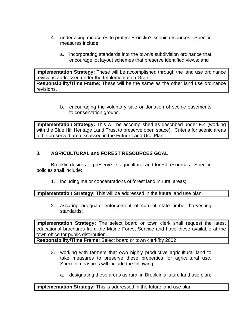- 4. undertaking measures to protect Brooklin's scenic resources. Specific measures include:
	- a. incorporating standards into the town's subdivision ordinance that encourage lot layout schemes that preserve identified views; and

**Implementation Strategy:** These will be accomplished through the land use ordinance revisions addressed under the Implementation Grant. **Responsibility/Time Frame:** These will be the same as the other land use ordinance revisions.

> b. encouraging the voluntary sale or donation of scenic easements to conservation groups.

**Implementation Strategy:** This will be accomplished as described under F.4 (working with the Blue Hill Heritage Land Trust to preserve open space). Criteria for scenic areas to be preserved are discussed in the Future Land Use Plan.

# **J. AGRICULTURAL and FOREST RESOURCES GOAL**

Brooklin desires to preserve its agricultural and forest resources. Specific policies shall include:

1. including major concentrations of forest land in rural areas;

**Implementation Strategy:** This will be addressed in the future land use plan.

2. assuring adequate enforcement of current state timber harvesting standards;

**Implementation Strategy:** The select board or town clerk shall request the latest educational brochures from the Maine Forest Service and have these available at the town office for public distribution.

**Responsibility/Time Frame:** Select board or town clerk/by 2002

- 3. working with farmers that own highly productive agricultural land to take measures to preserve these properties for agricultural use. Specific measures will include the following:
	- a. designating these areas as rural in Brooklin's future land use plan;

**Implementation Strategy:** This is addressed in the future land use plan.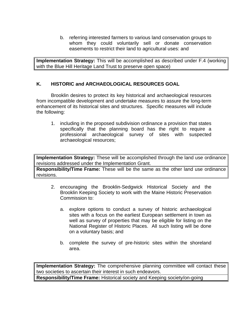b. referring interested farmers to various land conservation groups to whom they could voluntarily sell or donate conservation easements to restrict their land to agricultural uses: and

**Implementation Strategy:** This will be accomplished as described under F.4 (working with the Blue Hill Heritage Land Trust to preserve open space)

# **K. HISTORIC and ARCHAEOLOGICAL RESOURCES GOAL**

Brooklin desires to protect its key historical and archaeological resources from incompatible development and undertake measures to assure the long-term enhancement of its historical sites and structures. Specific measures will include the following:

1. including in the proposed subdivision ordinance a provision that states specifically that the planning board has the right to require a professional archaeological survey of sites with suspected archaeological resources;

**Implementation Strategy:** These will be accomplished through the land use ordinance revisions addressed under the Implementation Grant.

**Responsibility/Time Frame:** These will be the same as the other land use ordinance revisions.

- 2. encouraging the Brooklin-Sedgwick Historical Society and the Brooklin Keeping Society to work with the Maine Historic Preservation Commission to:
	- a. explore options to conduct a survey of historic archaeological sites with a focus on the earliest European settlement in town as well as survey of properties that may be eligible for listing on the National Register of Historic Places. All such listing will be done on a voluntary basis; and
	- b. complete the survey of pre-historic sites within the shoreland area.

**Implementation Strategy:** The comprehensive planning committee will contact these two societies to ascertain their interest in such endeavors. **Responsibility/Time Frame:** Historical society and Keeping society/on-going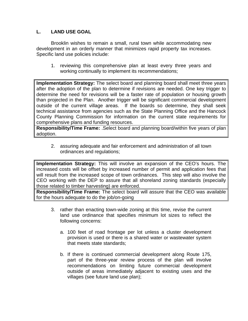# **L. LAND USE GOAL**

Brooklin wishes to remain a small, rural town while accommodating new development in an orderly manner that minimizes rapid property tax increases. Specific land use policies include:

1. reviewing this comprehensive plan at least every three years and working continually to implement its recommendations;

**Implementation Strategy:** The select board and planning board shall meet three years after the adoption of the plan to determine if revisions are needed. One key trigger to determine the need for revisions will be a faster rate of population or housing growth than projected in the Plan. Another trigger will be significant commercial development outside of the current village areas. If the boards so determine, they shall seek technical assistance from agencies such as the State Planning Office and the Hancock County Planning Commission for information on the current state requirements for comprehensive plans and funding resources.

**Responsibility/Time Frame:** .Select board and planning board/within five years of plan adoption.

2. assuring adequate and fair enforcement and administration of all town ordinances and regulations;

**Implementation Strategy:** This will involve an expansion of the CEO's hours. The increased costs will be offset by increased number of permit and application fees that will result from the increased scope of town ordinances. This step will also involve the CEO working with the DEP to assure that all shoreland zoning standards (especially those related to timber harvesting) are enforced.

**Responsibility/Time Frame:** The select board will assure that the CEO was available for the hours adequate to do the job/on-going

- 3. rather than enacting town-wide zoning at this time, revise the current land use ordinance that specifies minimum lot sizes to reflect the following concerns:
	- a. 100 feet of road frontage per lot unless a cluster development provision is used or there is a shared water or wastewater system that meets state standards;
	- b. If there is continued commercial development along Route 175, part of the three-year review process of the plan will involve recommendations on limiting future commercial development outside of areas immediately adjacent to existing uses and the villages (see future land use plan);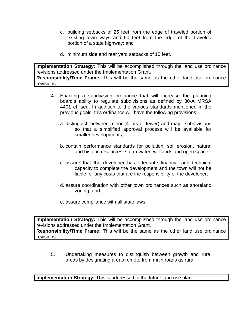- c. building setbacks of 25 feet from the edge of traveled portion of existing town ways and 50 feet from the edge of the traveled portion of a state highway; and
- d. minimum side and rear yard setbacks of 15 feet.

**Implementation Strategy:** This will be accomplished through the land use ordinance revisions addressed under the Implementation Grant. **Responsibility/Time Frame:** This will be the same as the other land use ordinance

revisions.

- 4. Enacting a subdivision ordinance that will increase the planning board's ability to regulate subdivisions as defined by 30-A MRSA 4401 et. seq. In addition to the various standards mentioned in the previous goals, this ordinance will have the following provisions:
	- a. distinguish between minor (4 lots or fewer) and major subdivisions so that a simplified approval process will be available for smaller developments;
	- b. contain performance standards for pollution, soil erosion, natural and historic resources, storm water, wetlands and open space;
	- c. assure that the developer has adequate financial and technical capacity to complete the development and the town will not be liable for any costs that are the responsibility of the developer;
	- d. assure coordination with other town ordinances such as shoreland zoning; and
	- e. assure compliance with all state laws

**Implementation Strategy:** This will be accomplished through the land use ordinance revisions addressed under the Implementation Grant.

**Responsibility/Time Frame:** This will be the same as the other land use ordinance revisions.

5. Undertaking measures to distinguish between growth and rural areas by designating areas remote from main roads as rural.

**Implementation Strategy:** This is addressed in the future land use plan.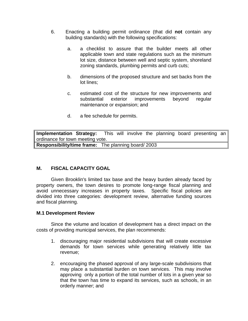- 6. Enacting a building permit ordinance (that did **not** contain any building standards) with the following specifications:
	- a. a checklist to assure that the builder meets all other applicable town and state regulations such as the minimum lot size, distance between well and septic system, shoreland zoning standards, plumbing permits and curb cuts;
	- b. dimensions of the proposed structure and set backs from the lot lines;
	- c. estimated cost of the structure for new improvements and substantial exterior improvements beyond regular maintenance or expansion; and
	- d. a fee schedule for permits.

**Implementation Strategy:** This will involve the planning board presenting an ordinance for town meeting vote. **Responsibility/time frame:** The planning board/ 2003

# **M. FISCAL CAPACITY GOAL**

Given Brooklin's limited tax base and the heavy burden already faced by property owners, the town desires to promote long-range fiscal planning and avoid unnecessary increases in property taxes. Specific fiscal policies are divided into three categories: development review, alternative funding sources and fiscal planning.

#### **M.1 Development Review**

Since the volume and location of development has a direct impact on the costs of providing municipal services, the plan recommends:

- 1. discouraging major residential subdivisions that will create excessive demands for town services while generating relatively little tax revenue;
- 2. encouraging the phased approval of any large-scale subdivisions that may place a substantial burden on town services. This may involve approving only a portion of the total number of lots in a given year so that the town has time to expand its services, such as schools, in an orderly manner; and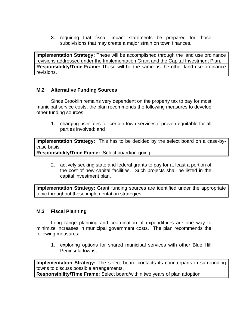3. requiring that fiscal impact statements be prepared for those subdivisions that may create a major strain on town finances.

**Implementation Strategy:** These will be accomplished through the land use ordinance revisions addressed under the Implementation Grant and the Capital Investment Plan. **Responsibility/Time Frame:** These will be the same as the other land use ordinance revisions.

# **M.2 Alternative Funding Sources**

Since Brooklin remains very dependent on the property tax to pay for most municipal service costs, the plan recommends the following measures to develop other funding sources:

1. charging user fees for certain town services if proven equitable for all parties involved; and

**Implementation Strategy:** This has to be decided by the select board on a case-bycase basis.

**Responsibility/Time Frame:** Select board/on-going

2. actively seeking state and federal grants to pay for at least a portion of the cost of new capital facilities. Such projects shall be listed in the capital investment plan.

**Implementation Strategy:** Grant funding sources are identified under the appropriate topic throughout these implementation strategies.

## **M.3 Fiscal Planning**

Long range planning and coordination of expenditures are one way to minimize increases in municipal government costs. The plan recommends the following measures:

1. exploring options for shared municipal services with other Blue Hill Peninsula towns;

**Implementation Strategy:** The select board contacts its counterparts in surrounding towns to discuss possible arrangements.

**Responsibility/Time Frame:** Select board/within two years of plan adoption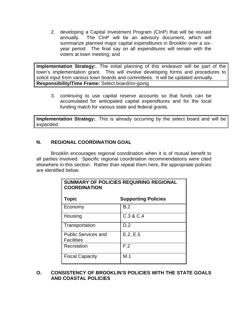2. developing a Capital Investment Program (CInP) that will be revised annually. The CInP will be an advisory document, which will summarize planned major capital expenditures in Brooklin over a sixyear period. The final say on all expenditures will remain with the voters at town meeting; and

**Implementation Strategy:**. The initial planning of this endeavor will be part of the town's implementation grant. This will involve developing forms and procedures to solicit input from various town boards and committees. It will be updated annually. **Responsibility/Time Frame:** Select board/on-going

3. continuing to use capital reserve accounts so that funds can be accumulated for anticipated capital expenditures and for the local funding match for various state and federal grants.

**Implementation Strategy:**. This is already occurring by the select board and will be expanded.

# **N. REGIONAL COORDINATION GOAL**

Brooklin encourages regional coordination when it is of mutual benefit to all parties involved. Specific regional coordination recommendations were cited elsewhere in this section. Rather than repeat them here, the appropriate policies are identified below.

**SUMMARY OF POLICIES REQUIRING REGIONAL**

| <b>COORDINATION</b>                             |                            |  |
|-------------------------------------------------|----------------------------|--|
| <b>Topic</b>                                    | <b>Supporting Policies</b> |  |
| Economy                                         | B.2                        |  |
| Housing                                         | C.3 & C.4                  |  |
| Transportation                                  | D.2                        |  |
| <b>Public Services and</b><br><b>Facilities</b> | E.2, E.5                   |  |
| Recreation                                      | F.2                        |  |
| <b>Fiscal Capacity</b>                          | M.1                        |  |

# **O. CONSISTENCY OF BROOKLIN'S POLICIES WITH THE STATE GOALS AND COASTAL POLICIES**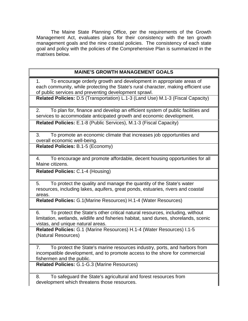The Maine State Planning Office, per the requirements of the Growth Management Act, evaluates plans for their consistency with the ten growth management goals and the nine coastal policies. The consistency of each state goal and policy with the policies of the Comprehensive Plan is summarized in the matrixes below.

# **MAINE'S GROWTH MANAGEMENT GOALS**

1. To encourage orderly growth and development in appropriate areas of each community, while protecting the State's rural character, making efficient use of public services and preventing development sprawl.

**Related Policies:** D.5 (Transportation) L.1-3 (Land Use) M.1-3 (Fiscal Capacity)

2. To plan for, finance and develop an efficient system of public facilities and services to accommodate anticipated growth and economic development.

**Related Policies:** E.1-8 (Public Services), M.1-3 (Fiscal Capacity)

3. To promote an economic climate that increases job opportunities and overall economic well-being.

**Related Policies:** B.1-5 (Economy)

4. To encourage and promote affordable, decent housing opportunities for all Maine citizens.

**Related Policies:** C.1-4 (Housing)

5. To protect the quality and manage the quantity of the State's water resources, including lakes, aquifers, great ponds, estuaries, rivers and coastal areas.

**Related Policies:** G.1(Marine Resources) H.1-4 (Water Resources)

6. To protect the State's other critical natural resources, including, without limitation, wetlands, wildlife and fisheries habitat, sand dunes, shorelands, scenic vistas, and unique natural areas.

**Related Policies:** G.1 (Marine Resources) H.1-4 (Water Resources) I.1-5 (Natural Resources)

7. To protect the State's marine resources industry, ports, and harbors from incompatible development, and to promote access to the shore for commercial fishermen and the public.

**Related Policies:** G.1-G.3 (Marine Resources)

8. To safeguard the State's agricultural and forest resources from development which threatens those resources.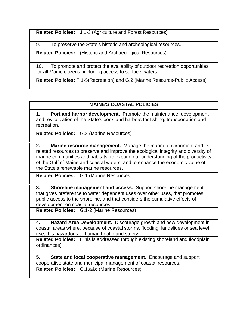**Related Policies:** J.1-3 (Agriculture and Forest Resources)

9. To preserve the State's historic and archeological resources.

**Related Policies:** (Historic and Archaeological Resources).

10. To promote and protect the availability of outdoor recreation opportunities for all Maine citizens, including access to surface waters.

**Related Policies:** F.1-5(Recreation) and G.2 (Marine Resource-Public Access)

# **MAINE'S COASTAL POLICIES**

**1. Port and harbor development.** Promote the maintenance, development and revitalization of the State's ports and harbors for fishing, transportation and recreation.

**Related Policies:** G.2 (Marine Resources)

**2. Marine resource management.** Manage the marine environment and its related resources to preserve and improve the ecological integrity and diversity of marine communities and habitats, to expand our understanding of the productivity of the Gulf of Maine and coastal waters, and to enhance the economic value of the State's renewable marine resources.

**Related Policies:** G.1 (Marine Resources)

**3. Shoreline management and access.** Support shoreline management that gives preference to water dependent uses over other uses, that promotes public access to the shoreline, and that considers the cumulative effects of development on coastal resources.

**Related Policies:** G.1-2 (Marine Resources)

**4. Hazard Area Development.** Discourage growth and new development in coastal areas where, because of coastal storms, flooding, landslides or sea level rise, it is hazardous to human health and safety.

**Related Policies:** (This is addressed through existing shoreland and floodplain ordinances)

**5. State and local cooperative management.** Encourage and support cooperative state and municipal management of coastal resources.

**Related Policies:** G.1.a&c (Marine Resources)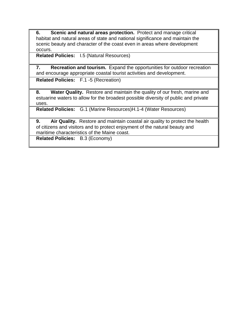**6. Scenic and natural areas protection.** Protect and manage critical habitat and natural areas of state and national significance and maintain the scenic beauty and character of the coast even in areas where development occurs.

**Related Policies:** I.5 (Natural Resources)

**7. Recreation and tourism.** Expand the opportunities for outdoor recreation and encourage appropriate coastal tourist activities and development.

**Related Policies:** F.1 -5 (Recreation)

**8. Water Quality.** Restore and maintain the quality of our fresh, marine and estuarine waters to allow for the broadest possible diversity of public and private uses.

**Related Policies:** G.1 (Marine Resources)H.1-4 (Water Resources)

**9. Air Quality.** Restore and maintain coastal air quality to protect the health of citizens and visitors and to protect enjoyment of the natural beauty and maritime characteristics of the Maine coast.

**Related Policies:** B.3 (Economy)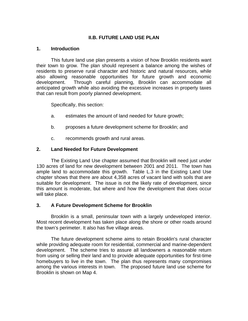# **II.B. FUTURE LAND USE PLAN**

#### **1. Introduction**

This future land use plan presents a vision of how Brooklin residents want their town to grow. The plan should represent a balance among the wishes of residents to preserve rural character and historic and natural resources, while also allowing reasonable opportunities for future growth and economic development. Through careful planning, Brooklin can accommodate all anticipated growth while also avoiding the excessive increases in property taxes that can result from poorly planned development.

Specifically, this section:

- a. estimates the amount of land needed for future growth;
- b. proposes a future development scheme for Brooklin; and
- c. recommends growth and rural areas.

## **2. Land Needed for Future Development**

The Existing Land Use chapter assumed that Brooklin will need just under 130 acres of land for new development between 2001 and 2011. The town has ample land to accommodate this growth. Table L.3 in the Existing Land Use chapter shows that there are about 4,358 acres of vacant land with soils that are suitable for development. The issue is not the likely rate of development, since this amount is moderate, but where and how the development that does occur will take place.

## **3. A Future Development Scheme for Brooklin**

Brooklin is a small, peninsular town with a largely undeveloped interior. Most recent development has taken place along the shore or other roads around the town's perimeter. It also has five village areas.

The future development scheme aims to retain Brooklin's rural character while providing adequate room for residential, commercial and marine-dependent development. The scheme tries to assure all landowners a reasonable return from using or selling their land and to provide adequate opportunities for first-time homebuyers to live in the town. The plan thus represents many compromises among the various interests in town. The proposed future land use scheme for Brooklin is shown on Map 4.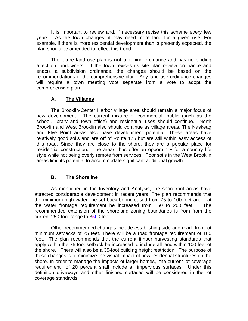It is important to review and, if necessary revise this scheme every few years. As the town changes, it may need more land for a given use. For example, if there is more residential development than is presently expected, the plan should be amended to reflect this trend.

The future land use plan is **not** a zoning ordinance and has no binding affect on landowners. If the town revises its site plan review ordinance and enacts a subdivision ordinance, the changes should be based on the recommendations of the comprehensive plan. Any land use ordinance changes will require a town meeting vote separate from a vote to adopt the comprehensive plan.

# **A. The Villages**

The Brooklin-Center Harbor village area should remain a major focus of new development. The current mixture of commercial, public (such as the school, library and town office) and residential uses should continue. North Brooklin and West Brooklin also should continue as village areas. The Naskeag and Flye Point areas also have development potential. These areas have relatively good soils and are off of Route 175 but are still within easy access of this road. Since they are close to the shore, they are a popular place for residential construction. The areas thus offer an opportunity for a country life style while not being overly remote from services. Poor soils in the West Brooklin areas limit its potential to accommodate significant additional growth.

# **B. The Shoreline**

As mentioned in the Inventory and Analysis, the shorefront areas have attracted considerable development in recent years. The plan recommends that the minimum high water line set back be increased from 75 to 100 feet and that the water frontage requirement be increased from 150 to 200 feet. The recommended extension of the shoreland zoning boundaries is from from the current 250-foot range to 3500 feet.

Other recommended changes include establishing side and road front lot minimum setbacks of 25 feet. There will be a road frontage requirement of 100 feet. The plan recommends that the current timber harvesting standards that apply within the 75 foot setback be increased to include all land within 100 feet of the shore. There will also be a 35-foot building height restriction. The purpose of these changes is to minimize the visual impact of new residential structures on the shore. In order to manage the impacts of larger homes, the current lot coverage requirement of 20 percent shall include all impervious surfaces. Under this definition driveways and other finished surfaces will be considered in the lot coverage standards.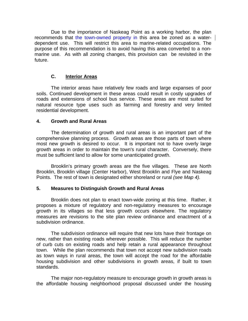Due to the importance of Naskeag Point as a working harbor, the plan recommends that the town-owned property in this area be zoned as a waterdependent use. This will restrict this area to marine-related occupations. The purpose of this recommendation is to avoid having this area converted to a nonmarine use. As with all zoning changes, this provision can be revisited in the future.

# **C. Interior Areas**

The interior areas have relatively few roads and large expanses of poor soils. Continued development in these areas could result in costly upgrades of roads and extensions of school bus service. These areas are most suited for natural resource type uses such as farming and forestry and very limited residential development.

# **4. Growth and Rural Areas**

The determination of growth and rural areas is an important part of the comprehensive planning process. Growth areas are those parts of town where most new growth is desired to occur. It is important not to have overly large growth areas in order to maintain the town's rural character. Conversely, there must be sufficient land to allow for some unanticipated growth.

Brooklin's primary growth areas are the five villages. These are North Brooklin, Brooklin village (Center Harbor), West Brooklin and Flye and Naskeag Points. The rest of town is designated either shoreland or rural *(see Map 4).*

## **5. Measures to Distinguish Growth and Rural Areas**

Brooklin does not plan to enact town-wide zoning at this time. Rather, it proposes a mixture of regulatory and non-regulatory measures to encourage growth in its villages so that less growth occurs elsewhere. The regulatory measures are revisions to the site plan review ordinance and enactment of a subdivision ordinance.

The subdivision ordinance will require that new lots have their frontage on new, rather than existing roads wherever possible. This will reduce the number of curb cuts on existing roads and help retain a rural appearance throughout town. While the plan recommends that town not accept new subdivision roads as town ways in rural areas, the town will accept the road for the affordable housing subdivision and other subdivisions in growth areas, if built to town standards.

The major non-regulatory measure to encourage growth in growth areas is the affordable housing neighborhood proposal discussed under the housing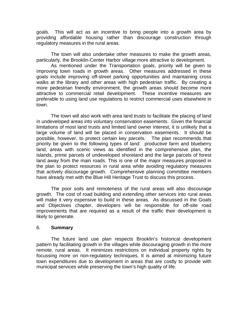goals. This will act as an incentive to bring people into a growth area by providing affordable housing rather than discourage construction through regulatory measures in the rural areas.

The town will also undertake other measures to make the growth areas, particularly, the Brooklin-Center Harbor village more attractive to development.

As mentioned under the Transportation goals, priority will be given to improving town roads in growth areas. Other measures addressed in these goals include improving off-street parking opportunities and maintaining cross walks at the library and other areas with high pedestrian traffic. By creating a more pedestrian friendly environment, the growth areas should become more attractive to commercial retail development. These incentive measures are preferable to using land use regulations to restrict commercial uses elsewhere in town.

The town will also work with area land trusts to facilitate the placing of land in undeveloped areas into voluntary conservation easements. Given the financial limitations of most land trusts and limited land owner interest, it is unlikely that a large volume of land will be placed in conservation easements. It should be possible, however, to protect certain key parcels. The plan recommends that priority be given to the following types of land: productive farm and blueberry land, areas with scenic views as identified in the comprehensive plan, the islands, prime parcels of undeveloped shoreland and the large parcels of forest land away from the main roads. This is one of the major measures proposed in the plan to protect resources in rural area while avoiding regulatory measures that actively discourage growth. Comprehensive planning committee members have already met with the Blue Hill Heritage Trust to discuss this process.

The poor soils and remoteness of the rural areas will also discourage growth. The cost of road building and extending other services into rural areas will make it very expensive to build in these areas. As discussed in the Goals and Objectives chapter, developers will be responsible for off-site road improvements that are required as a result of the traffic their development is likely to generate.

#### 6. **Summary**

The future land use plan respects Brooklin's historical development pattern by facilitating growth in the villages while discouraging growth in the more remote, rural areas. It minimizes restrictions on individual property rights by focussing more on non-regulatory techniques. It is aimed at minimizing future town expenditures due to development in areas that are costly to provide with municipal services while preserving the town's high quality of life.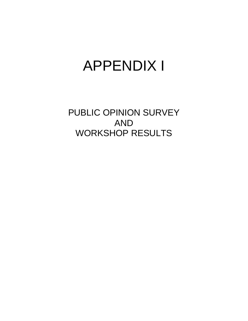# APPENDIX I

PUBLIC OPINION SURVEY AND WORKSHOP RESULTS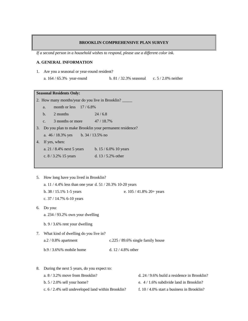#### **BROOKLIN COMPREHENSIVE PLAN SURVEY**

*If a second person in a household wishes to respond, please use a different color ink.*

#### **A. GENERAL INFORMATION**

- 1. Are you a seasonal or year-round resident?
	- a. 164 / 65.3% year-round b. 81 / 32.3% seasonal c. 5 / 2.0% neither

#### **Seasonal Residents Only:**

2. How many months/year do you live in Brooklin?

- a. month or less  $17/6.8\%$
- b. 2 months 24 / 6.8
- c.  $3$  months or more  $47/18.7\%$
- 3. Do you plan to make Brooklin your permanent residence?

a. 46 / 18.3% yes b. 34 / 13.5% no

- 4. If yes, when:
	- a. 21 / 8.4% next 5 years b. 15 / 6.0% 10 years
	- c. 8 / 3.2% 15 years d. 13 / 5.2% other
- 5. How long have you lived in Brooklin?
	- a. 11 / 4.4% less than one year d. 51 / 20.3% 10-20 years
	- b. 38 / 15.1% 1-5 years e. 105 / 41.8% 20+ years
	- c. 37 / 14.7% 6-10 years
- 6. Do you:
	- a. 234 / 93.2% own your dwelling
	- b. 9 / 3.6% rent your dwelling
- 7. What kind of dwelling do you live in? a.2 / 0.8% apartment c.225 / 89.6% single family house b.9 / 3.6%% mobile home d. 12 / 4.8% other
- 8. During the next 5 years, do you expect to: a. 8 / 3.2% move from Brooklin? d. 24 / 9.6% build a residence in Brooklin? b. 5 / 2.0% sell your home? e. 4 / 1.6% subdivide land in Brooklin? c.  $6/2.4\%$  sell undeveloped land within Brooklin? f. 10 / 4.0% start a business in Brooklin?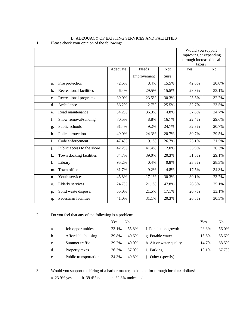|                                         |          |              |       | Would you support       |                |
|-----------------------------------------|----------|--------------|-------|-------------------------|----------------|
|                                         |          |              |       | improving or expanding  |                |
|                                         |          |              |       | through increased local |                |
|                                         |          |              |       | taxes?                  |                |
|                                         | Adequate | <b>Needs</b> | Not   | Yes                     | N <sub>o</sub> |
|                                         |          | Improvement  | Sure  |                         |                |
| Fire protection<br>a.                   | 72.5%    | 8.4%         | 15.5% | 42.8%                   | 20.0%          |
| <b>Recreational facilities</b><br>$b$   | 6.4%     | 29.5%        | 15.5% | 28.3%                   | 33.1%          |
| Recreational programs<br>C <sub>1</sub> | 39.0%    | 23.5%        | 30.3% | 25.5%                   | 32.7%          |
| Ambulance<br>d.                         | 56.2%    | 12.7%        | 25.5% | 32.7%                   | 23.5%          |
| Road maintenance<br>e.                  | 54.2%    | 36.3%        | 4.8%  | 37.8%                   | 24.7%          |
| f.<br>Snow removal/sanding              | 70.5%    | 8.8%         | 16.7% | 22.4%                   | 29.6%          |
| Public schools<br>g.                    | 61.4%    | 9.2%         | 24.7% | 32.3%                   | 20.7%          |
| h.<br>Police protection                 | 49.0%    | 24.3%        | 20.7% | 30.7%                   | 29.5%          |
| $\overline{i}$ .<br>Code enforcement    | 47.4%    | 19.1%        | 26.7% | 23.1%                   | 31.5%          |
| j.<br>Public access to the shore        | 42.2%    | 41.4%        | 12.0% | 35.9%                   | 26.3%          |
| k.<br>Town docking facilities           | 34.7%    | 39.0%        | 20.3% | 31.5%                   | 29.1%          |
| 1.<br>Library                           | 95.2%    | 0.4%         | 0.8%  | 23.5%                   | 28.3%          |
| Town office<br>m.                       | 81.7%    | 9.2%         | 4.8%  | 17.5%                   | 34.3%          |
| Youth services<br>n.                    | 45.8%    | 17.1%        | 30.3% | 30.1%                   | 23.7%          |
| <b>Elderly</b> services<br>0.           | 24.7%    | 21.1%        | 47.8% | 26.3%                   | 25.1%          |
| Solid waste disposal<br>p.              | 55.0%    | 21.5%        | 17.1% | 20.7%                   | 33.1%          |
| Pedestrian facilities<br>q.             | 41.0%    | 31.1%        | 20.3% | 26.3%                   | 30.3%          |

#### B. ADEQUACY OF EXISTING SERVICES AND FACILITIES 1. Please check your opinion of the following:

2. Do you feel that any of the following is a problem:

|    |                       | Yes   | No    |                         | Yes   | No.   |
|----|-----------------------|-------|-------|-------------------------|-------|-------|
| a. | Job opportunities     | 23.1% | 55.8% | f. Population growth    | 28.8% | 56.0% |
| b. | Affordable housing    | 39.8% | 40.6% | g. Potable water        | 15.6% | 65.6% |
| c. | Summer traffic        | 39.7% | 49.0% | h. Air or water quality | 14.7% | 68.5% |
| d. | Property taxes        | 26.3% | 57.0% | <i>i</i> . Parking      | 19.1% | 67.7% |
| e. | Public transportation | 34.3% | 49.8% | j. Other (specify)      |       |       |

3. Would you support the hiring of a harbor master, to be paid for through local tax dollars?

a. 23.9% yes b. 39.4% no c. 32.3% undecided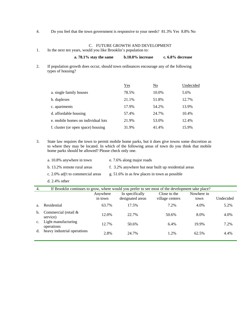4. Do you feel that the town government is responsive to your needs? 81.3% Yes 8.8% No

#### C. FUTURE GROWTH AND DEVELOPMENT

1. In the next ten years, would you like Brooklin's population to:

| a. $78.1\%$ stay the same | $b.10.0\%$ increase | c. 6.8% decrease |
|---------------------------|---------------------|------------------|
|---------------------------|---------------------|------------------|

2. If population growth does occur, should town ordinances encourage any of the following types of housing?

|                                    | $Yes$ | $\underline{\mathrm{No}}$ | Undecided |
|------------------------------------|-------|---------------------------|-----------|
| a. single family houses            | 78.5% | 10.0%                     | 5.6%      |
| b. duplexes                        | 21.1% | 51.8%                     | 12.7%     |
| c. apartments                      | 17.9% | 54.2%                     | 13.9%     |
| d. affordable housing              | 57.4% | 24.7%                     | 10.4%     |
| e, mobile homes on individual lots | 21.9% | 53.0%                     | 12.4%     |
| f. cluster (or open space) housing | 31.9% | 41.4%                     | 15.9%     |

3. State law requires the town to permit mobile home parks, but it does give towns some discretion as to where they may be located. In which of the following areas of town do you think that mobile home parks should be allowed? Please check only one.

| a. 10.8% anywhere in town         | e. 7.6% along major roads                            |
|-----------------------------------|------------------------------------------------------|
| b. 13.2% remote rural areas       | f. 3.2% anywhere but near built up residential areas |
| c. 2.0% adj't to commercial areas | g. $51.6\%$ in as few places in town as possible     |
| $d. 2.4\%$ other                  |                                                      |

| 4.             | If Brooklin continues to grow, where would you prefer to see most of the development take place? |                     |                                     |                                 |                    |           |
|----------------|--------------------------------------------------------------------------------------------------|---------------------|-------------------------------------|---------------------------------|--------------------|-----------|
|                |                                                                                                  | Anywhere<br>in town | In specifically<br>designated areas | Close to the<br>village centers | Nowhere in<br>town | Undecided |
| a.             | Residential                                                                                      | 63.7%               | 17.5%                               | 7.2%                            | 4.0%               | 5.2%      |
| $\mathbf{b}$ . | Commercial (retail &<br>service)                                                                 | 12.0%               | 22.7%                               | 50.6%                           | 8.0%               | 4.0%      |
| $\mathbf{c}$ . | Light manufacturing<br>operations                                                                | 12.7%               | 50.6%                               | 6.4%                            | 19.9%              | 7.2%      |
| d.             | heavy industrial operations                                                                      | 2.8%                | 24.7%                               | 1.2%                            | 62.5%              | 4.4%      |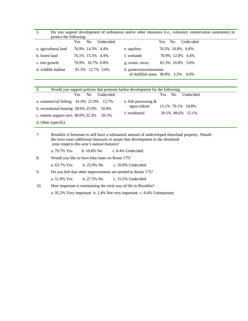5. Do you support development of ordinances and/or other measures (i.e., voluntary conservation easements) to protect the following:

|                      | Undecided<br>No.<br>Yes | Undecided<br>No.<br><b>Yes</b>                                         |
|----------------------|-------------------------|------------------------------------------------------------------------|
| a. agricultural land | 76.9% 14.3% 4.4%        | e. aquifers<br>76.5% 10.8% 6.8%                                        |
| b. forest land       | 76.1% 15.5% 4.4%        | 78.9% 12.0% 4.4%<br>f. wetlands                                        |
| c. tree growth       | 70.9% 16.7% 6.8%        | g. scenic views<br>81.3% 10.8% 5.6%                                    |
| d. wildlife habitat  | 81.3% 12.7% 3.6%        | h. protection/restoration<br>of shell fish areas $90.8\%$ 3.2%<br>4.0% |
|                      |                         |                                                                        |

| Would you support policies that promote harbor development for the following:<br>6. |                         |  |  |  |
|-------------------------------------------------------------------------------------|-------------------------|--|--|--|
| Undecided                                                                           | N <sub>o</sub>          |  |  |  |
| Yes.                                                                                | Undecided               |  |  |  |
| No.                                                                                 | <b>Yes</b>              |  |  |  |
| a. commercial fishing $61.0\%$ 21.9% 12.7%                                          | e. fish processing $\&$ |  |  |  |
| b. recreational boating 58.6% 25.9%                                                 | aqua-culture            |  |  |  |
| 10.0%                                                                               | 13.1% 70.1% 10.8%       |  |  |  |
| c. marine support serv. 49.0% 22.3%                                                 | f. residential          |  |  |  |
| 20.3%                                                                               | 29.1% 48.6% 15.1%       |  |  |  |
| d. Other (specify)                                                                  |                         |  |  |  |

| 7.                                                                     | Brooklin is fortunate to still have a substantial amount of undeveloped shoreland property. Should<br>the town enact additional measures to assure that development in the shoreland<br>zone respects this area's natural features? |  |                                             |
|------------------------------------------------------------------------|-------------------------------------------------------------------------------------------------------------------------------------------------------------------------------------------------------------------------------------|--|---------------------------------------------|
|                                                                        |                                                                                                                                                                                                                                     |  | a. 79.7% Yes b. 10.8% No c. 8.4% Undecided  |
| 8.                                                                     | Would you like to have bike lanes on Route 175?                                                                                                                                                                                     |  |                                             |
|                                                                        |                                                                                                                                                                                                                                     |  | a. 63.7% Yes b. 25.9% No c. 10.0% Undecided |
| 9.                                                                     | Do you feel that other improvements are needed to Route 175?                                                                                                                                                                        |  |                                             |
|                                                                        |                                                                                                                                                                                                                                     |  | a. 51.8% Yes b. 27.5% No c. 15.5% Undecided |
| 10.                                                                    | How important is maintaining the rural way of life in Brooklin?                                                                                                                                                                     |  |                                             |
| a. 95.2% Very important b. 2.4% Not very important c. 0.4% Unimportant |                                                                                                                                                                                                                                     |  |                                             |